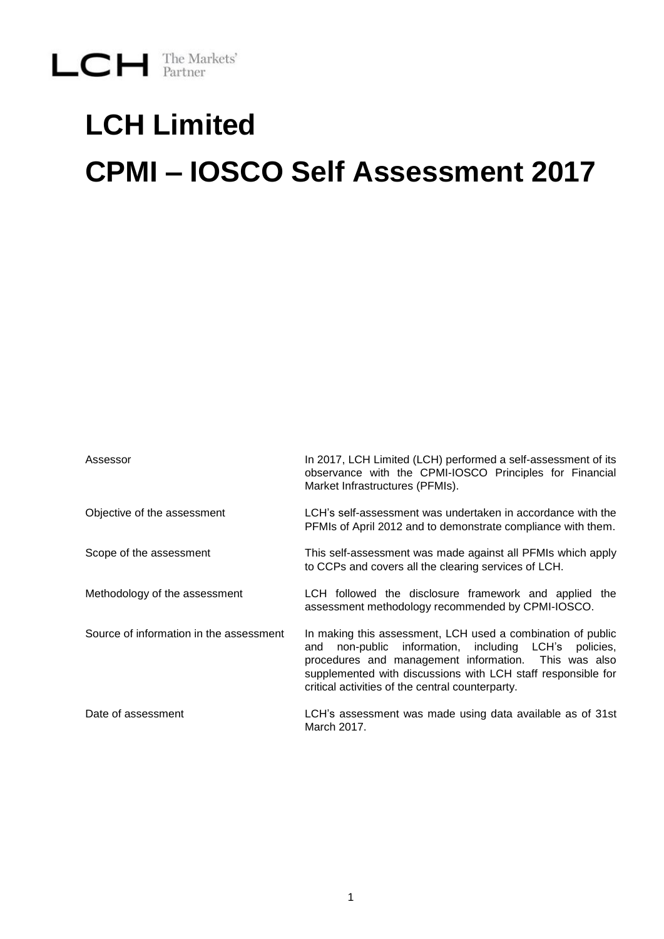# **LCH Limited CPMI – IOSCO Self Assessment 2017**

| Assessor                                | In 2017, LCH Limited (LCH) performed a self-assessment of its<br>observance with the CPMI-IOSCO Principles for Financial<br>Market Infrastructures (PFMIs).                                                                                                                                            |
|-----------------------------------------|--------------------------------------------------------------------------------------------------------------------------------------------------------------------------------------------------------------------------------------------------------------------------------------------------------|
| Objective of the assessment             | LCH's self-assessment was undertaken in accordance with the<br>PFMIs of April 2012 and to demonstrate compliance with them.                                                                                                                                                                            |
| Scope of the assessment                 | This self-assessment was made against all PFMIs which apply<br>to CCPs and covers all the clearing services of LCH.                                                                                                                                                                                    |
| Methodology of the assessment           | LCH followed the disclosure framework and applied the<br>assessment methodology recommended by CPMI-IOSCO.                                                                                                                                                                                             |
| Source of information in the assessment | In making this assessment, LCH used a combination of public<br>non-public information, including LCH's<br>policies.<br>and<br>procedures and management information. This was also<br>supplemented with discussions with LCH staff responsible for<br>critical activities of the central counterparty. |
| Date of assessment                      | LCH's assessment was made using data available as of 31st<br>March 2017.                                                                                                                                                                                                                               |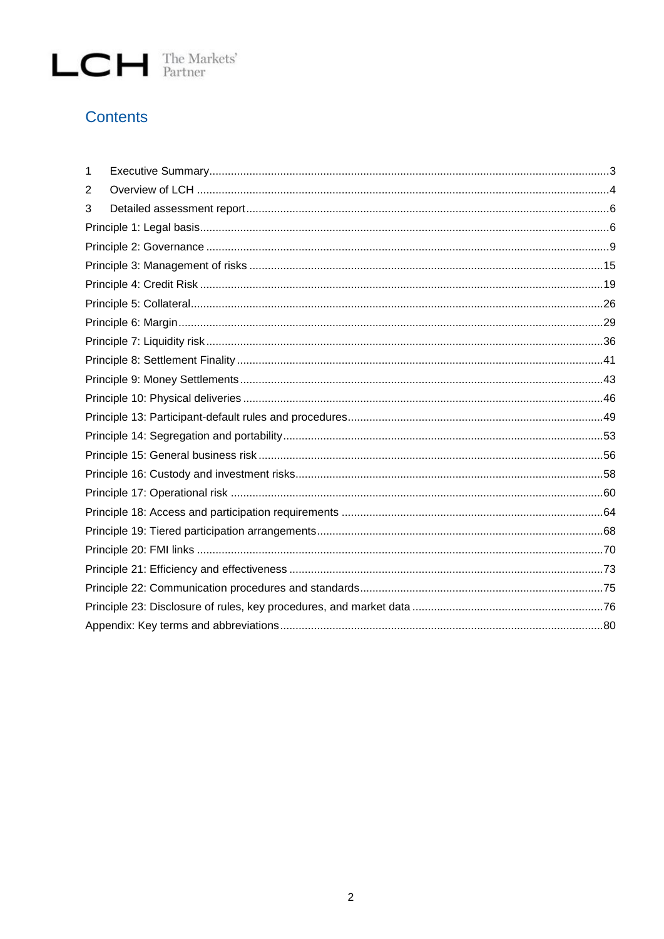#### **Contents**

| 1 |  |
|---|--|
| 2 |  |
| 3 |  |
|   |  |
|   |  |
|   |  |
|   |  |
|   |  |
|   |  |
|   |  |
|   |  |
|   |  |
|   |  |
|   |  |
|   |  |
|   |  |
|   |  |
|   |  |
|   |  |
|   |  |
|   |  |
|   |  |
|   |  |
|   |  |
|   |  |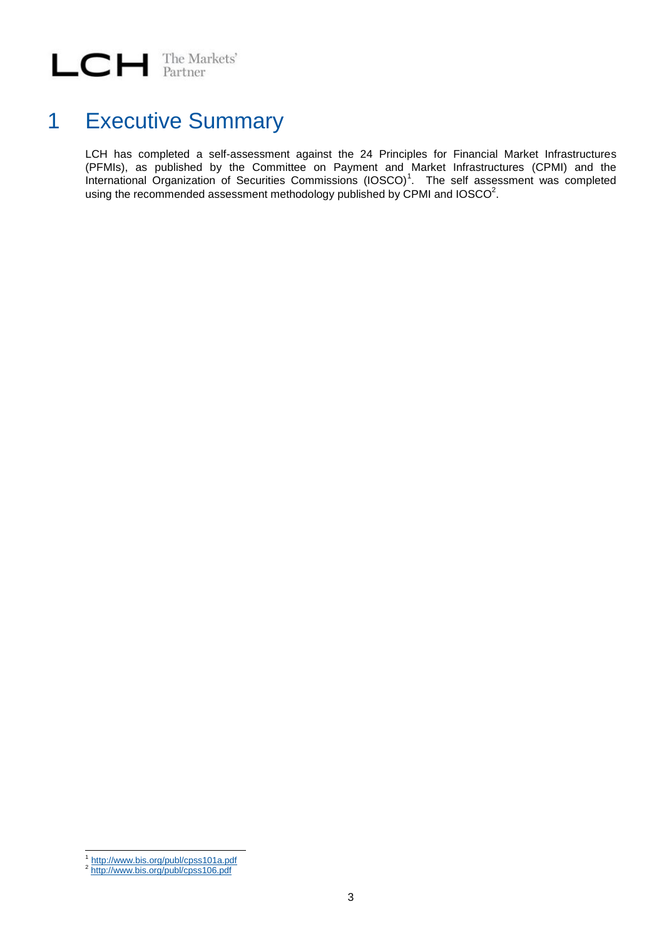### <span id="page-2-0"></span>1 Executive Summary

LCH has completed a self-assessment against the 24 Principles for Financial Market Infrastructures (PFMIs), as published by the Committee on Payment and Market Infrastructures (CPMI) and the International Organization of Securities Commissions (IOSCO)<sup>1</sup>. The self assessment was completed using the recommended assessment methodology published by CPMI and IOSCO $^2$ .

 $\frac{1}{1}$ <http://www.bis.org/publ/cpss101a.pdf>

<sup>&</sup>lt;sup>2</sup> <http://www.bis.org/publ/cpss106.pdf>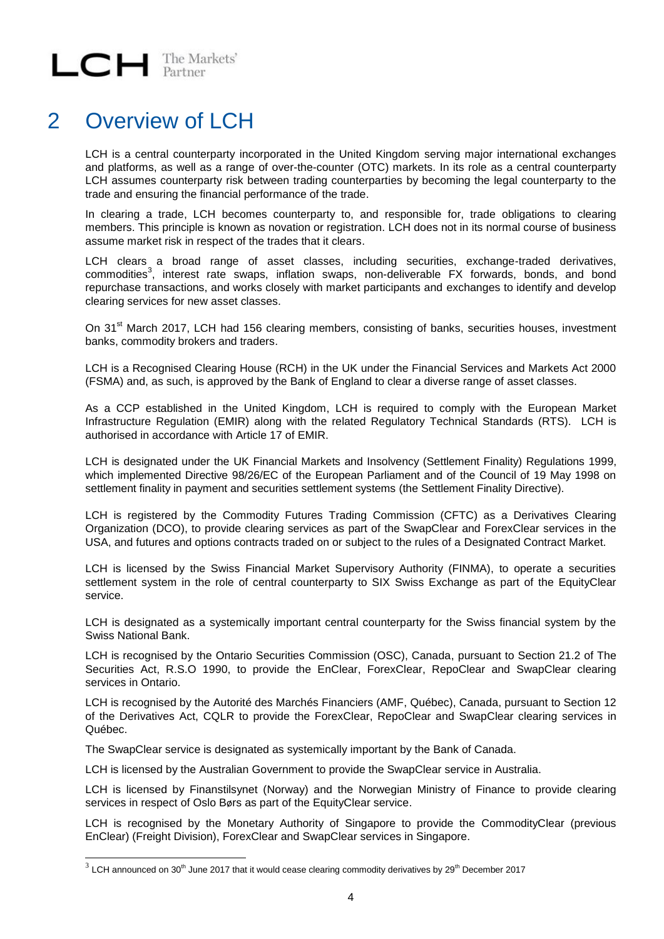#### <span id="page-3-0"></span>2 Overview of LCH

LCH is a central counterparty incorporated in the United Kingdom serving major international exchanges and platforms, as well as a range of over-the-counter (OTC) markets. In its role as a central counterparty LCH assumes counterparty risk between trading counterparties by becoming the legal counterparty to the trade and ensuring the financial performance of the trade.

In clearing a trade, LCH becomes counterparty to, and responsible for, trade obligations to clearing members. This principle is known as novation or registration. LCH does not in its normal course of business assume market risk in respect of the trades that it clears.

LCH clears a broad range of asset classes, including securities, exchange-traded derivatives, commodities<sup>3</sup>, interest rate swaps, inflation swaps, non-deliverable FX forwards, bonds, and bond repurchase transactions, and works closely with market participants and exchanges to identify and develop clearing services for new asset classes.

On 31<sup>st</sup> March 2017, LCH had 156 clearing members, consisting of banks, securities houses, investment banks, commodity brokers and traders.

LCH is a Recognised Clearing House (RCH) in the UK under the Financial Services and Markets Act 2000 (FSMA) and, as such, is approved by the Bank of England to clear a diverse range of asset classes.

As a CCP established in the United Kingdom, LCH is required to comply with the European Market Infrastructure Regulation (EMIR) along with the related Regulatory Technical Standards (RTS). LCH is authorised in accordance with Article 17 of EMIR.

LCH is designated under the UK Financial Markets and Insolvency (Settlement Finality) Regulations 1999, which implemented Directive 98/26/EC of the European Parliament and of the Council of 19 May 1998 on settlement finality in payment and securities settlement systems (the Settlement Finality Directive).

LCH is registered by the Commodity Futures Trading Commission (CFTC) as a Derivatives Clearing Organization (DCO), to provide clearing services as part of the SwapClear and ForexClear services in the USA, and futures and options contracts traded on or subject to the rules of a Designated Contract Market.

LCH is licensed by the Swiss Financial Market Supervisory Authority (FINMA), to operate a securities settlement system in the role of central counterparty to SIX Swiss Exchange as part of the EquityClear service.

LCH is designated as a systemically important central counterparty for the Swiss financial system by the Swiss National Bank.

LCH is recognised by the Ontario Securities Commission (OSC), Canada, pursuant to Section 21.2 of The Securities Act, R.S.O 1990, to provide the EnClear, ForexClear, RepoClear and SwapClear clearing services in Ontario.

LCH is recognised by the Autorité des Marchés Financiers (AMF, Québec), Canada, pursuant to Section 12 of the Derivatives Act, CQLR to provide the ForexClear, RepoClear and SwapClear clearing services in Québec.

The SwapClear service is designated as systemically important by the Bank of Canada.

LCH is licensed by the Australian Government to provide the SwapClear service in Australia.

LCH is licensed by Finanstilsynet (Norway) and the Norwegian Ministry of Finance to provide clearing services in respect of Oslo Børs as part of the EquityClear service.

LCH is recognised by the Monetary Authority of Singapore to provide the CommodityClear (previous EnClear) (Freight Division), ForexClear and SwapClear services in Singapore.

 $^3$  LCH announced on 30<sup>th</sup> June 2017 that it would cease clearing commodity derivatives by 29<sup>th</sup> December 2017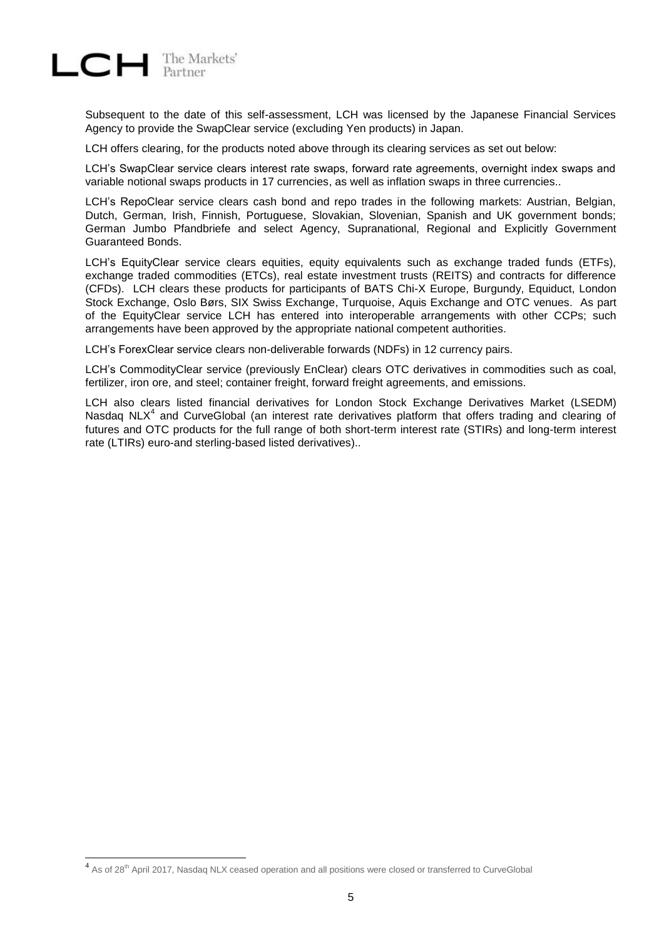

Subsequent to the date of this self-assessment, LCH was licensed by the Japanese Financial Services Agency to provide the SwapClear service (excluding Yen products) in Japan.

LCH offers clearing, for the products noted above through its clearing services as set out below:

LCH's SwapClear service clears interest rate swaps, forward rate agreements, overnight index swaps and variable notional swaps products in 17 currencies, as well as inflation swaps in three currencies..

LCH's RepoClear service clears cash bond and repo trades in the following markets: Austrian, Belgian, Dutch, German, Irish, Finnish, Portuguese, Slovakian, Slovenian, Spanish and UK government bonds; German Jumbo Pfandbriefe and select Agency, Supranational, Regional and Explicitly Government Guaranteed Bonds.

LCH's EquityClear service clears equities, equity equivalents such as exchange traded funds (ETFs), exchange traded commodities (ETCs), real estate investment trusts (REITS) and contracts for difference (CFDs). LCH clears these products for participants of BATS Chi-X Europe, Burgundy, Equiduct, London Stock Exchange, Oslo Børs, SIX Swiss Exchange, Turquoise, Aquis Exchange and OTC venues. As part of the EquityClear service LCH has entered into interoperable arrangements with other CCPs; such arrangements have been approved by the appropriate national competent authorities.

LCH's ForexClear service clears non-deliverable forwards (NDFs) in 12 currency pairs.

LCH's CommodityClear service (previously EnClear) clears OTC derivatives in commodities such as coal, fertilizer, iron ore, and steel; container freight, forward freight agreements, and emissions.

LCH also clears listed financial derivatives for London Stock Exchange Derivatives Market (LSEDM) Nasdaq NLX<sup>4</sup> and CurveGlobal (an interest rate derivatives platform that offers trading and clearing of futures and OTC products for the full range of both short-term interest rate (STIRs) and long-term interest rate (LTIRs) euro-and sterling-based listed derivatives)..

<sup>&</sup>lt;sup>4</sup> As of 28<sup>th</sup> April 2017, Nasdaq NLX ceased operation and all positions were closed or transferred to CurveGlobal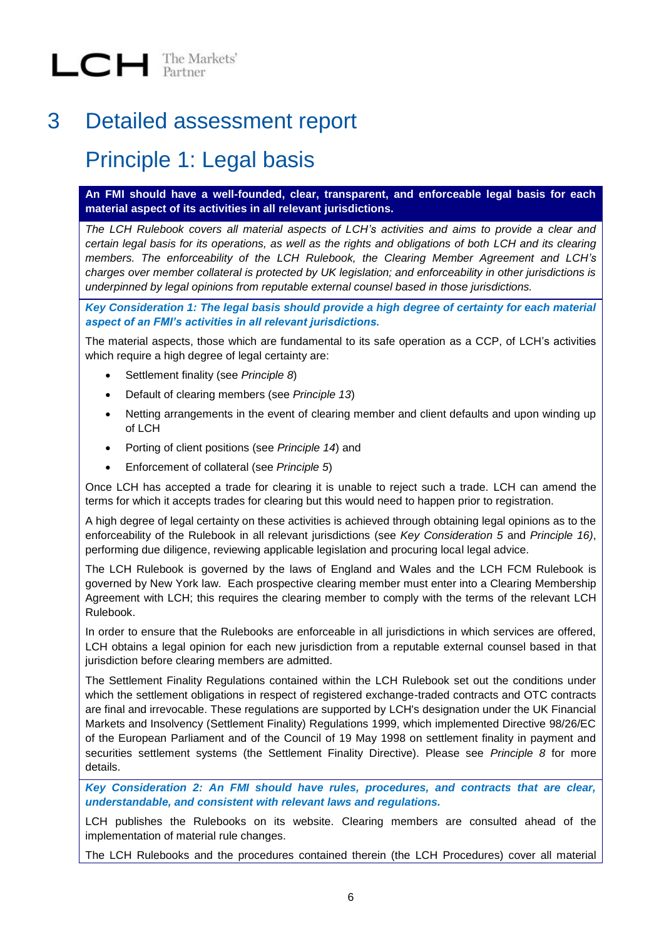#### <span id="page-5-0"></span>3 Detailed assessment report

#### <span id="page-5-1"></span>Principle 1: Legal basis

**An FMI should have a well-founded, clear, transparent, and enforceable legal basis for each material aspect of its activities in all relevant jurisdictions.** 

*The LCH Rulebook covers all material aspects of LCH's activities and aims to provide a clear and certain legal basis for its operations, as well as the rights and obligations of both LCH and its clearing members. The enforceability of the LCH Rulebook, the Clearing Member Agreement and LCH's charges over member collateral is protected by UK legislation; and enforceability in other jurisdictions is underpinned by legal opinions from reputable external counsel based in those jurisdictions.* 

*Key Consideration 1: The legal basis should provide a high degree of certainty for each material aspect of an FMI's activities in all relevant jurisdictions.*

The material aspects, those which are fundamental to its safe operation as a CCP, of LCH's activities which require a high degree of legal certainty are:

- Settlement finality (see *Principle 8*)
- Default of clearing members (see *Principle 13*)
- Netting arrangements in the event of clearing member and client defaults and upon winding up of LCH
- Porting of client positions (see *Principle 14*) and
- Enforcement of collateral (see *Principle 5*)

Once LCH has accepted a trade for clearing it is unable to reject such a trade. LCH can amend the terms for which it accepts trades for clearing but this would need to happen prior to registration.

A high degree of legal certainty on these activities is achieved through obtaining legal opinions as to the enforceability of the Rulebook in all relevant jurisdictions (see *Key Consideration 5* and *Principle 16)*, performing due diligence, reviewing applicable legislation and procuring local legal advice.

The LCH Rulebook is governed by the laws of England and Wales and the LCH FCM Rulebook is governed by New York law. Each prospective clearing member must enter into a Clearing Membership Agreement with LCH; this requires the clearing member to comply with the terms of the relevant LCH Rulebook.

In order to ensure that the Rulebooks are enforceable in all jurisdictions in which services are offered, LCH obtains a legal opinion for each new jurisdiction from a reputable external counsel based in that jurisdiction before clearing members are admitted.

The Settlement Finality Regulations contained within the LCH Rulebook set out the conditions under which the settlement obligations in respect of registered exchange-traded contracts and OTC contracts are final and irrevocable. These regulations are supported by LCH's designation under the UK Financial Markets and Insolvency (Settlement Finality) Regulations 1999, which implemented Directive 98/26/EC of the European Parliament and of the Council of 19 May 1998 on settlement finality in payment and securities settlement systems (the Settlement Finality Directive). Please see *Principle 8* for more details.

*Key Consideration 2: An FMI should have rules, procedures, and contracts that are clear, understandable, and consistent with relevant laws and regulations.*

LCH publishes the Rulebooks on its website. Clearing members are consulted ahead of the implementation of material rule changes.

The LCH Rulebooks and the procedures contained therein (the LCH Procedures) cover all material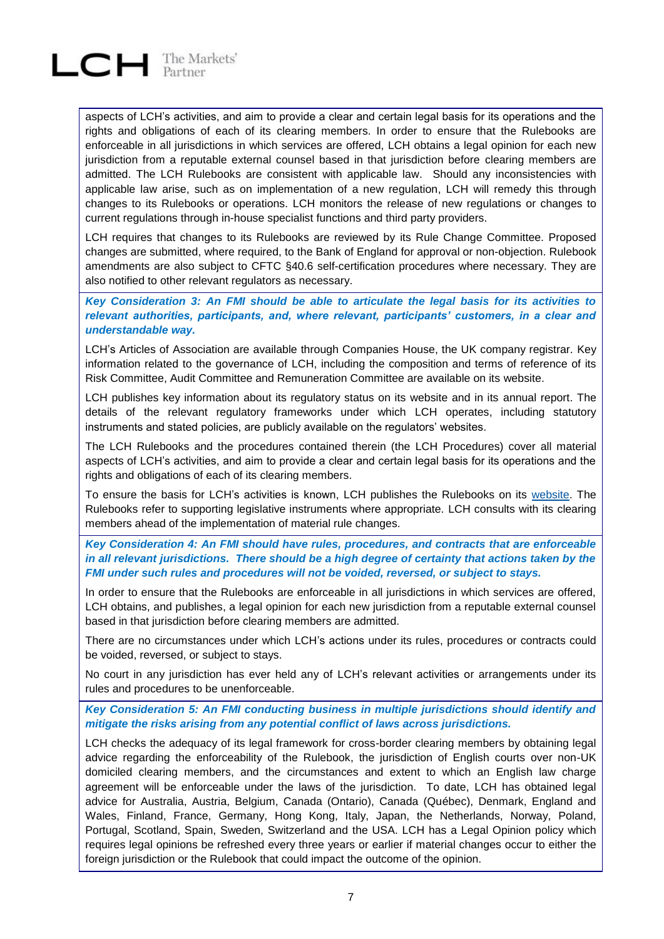

aspects of LCH's activities, and aim to provide a clear and certain legal basis for its operations and the rights and obligations of each of its clearing members. In order to ensure that the Rulebooks are enforceable in all jurisdictions in which services are offered, LCH obtains a legal opinion for each new jurisdiction from a reputable external counsel based in that jurisdiction before clearing members are admitted. The LCH Rulebooks are consistent with applicable law. Should any inconsistencies with applicable law arise, such as on implementation of a new regulation, LCH will remedy this through changes to its Rulebooks or operations. LCH monitors the release of new regulations or changes to current regulations through in-house specialist functions and third party providers.

LCH requires that changes to its Rulebooks are reviewed by its Rule Change Committee. Proposed changes are submitted, where required, to the Bank of England for approval or non-objection. Rulebook amendments are also subject to CFTC §40.6 self-certification procedures where necessary. They are also notified to other relevant regulators as necessary.

*Key Consideration 3: An FMI should be able to articulate the legal basis for its activities to relevant authorities, participants, and, where relevant, participants' customers, in a clear and understandable way.*

LCH's Articles of Association are available through Companies House, the UK company registrar. Key information related to the governance of LCH, including the composition and terms of reference of its Risk Committee, Audit Committee and Remuneration Committee are available on its website.

LCH publishes key information about its regulatory status on its website and in its annual report. The details of the relevant regulatory frameworks under which LCH operates, including statutory instruments and stated policies, are publicly available on the regulators' websites.

The LCH Rulebooks and the procedures contained therein (the LCH Procedures) cover all material aspects of LCH's activities, and aim to provide a clear and certain legal basis for its operations and the rights and obligations of each of its clearing members.

To ensure the basis for LCH's activities is known, LCH publishes the Rulebooks on its [website.](http://www.lch.com/rules-regulations/rulebooks/ltd) The Rulebooks refer to supporting legislative instruments where appropriate. LCH consults with its clearing members ahead of the implementation of material rule changes.

#### *Key Consideration 4: An FMI should have rules, procedures, and contracts that are enforceable in all relevant jurisdictions. There should be a high degree of certainty that actions taken by the FMI under such rules and procedures will not be voided, reversed, or subject to stays.*

In order to ensure that the Rulebooks are enforceable in all jurisdictions in which services are offered, LCH obtains, and publishes, a legal opinion for each new jurisdiction from a reputable external counsel based in that jurisdiction before clearing members are admitted.

There are no circumstances under which LCH's actions under its rules, procedures or contracts could be voided, reversed, or subject to stays.

No court in any jurisdiction has ever held any of LCH's relevant activities or arrangements under its rules and procedures to be unenforceable.

*Key Consideration 5: An FMI conducting business in multiple jurisdictions should identify and mitigate the risks arising from any potential conflict of laws across jurisdictions.*

LCH checks the adequacy of its legal framework for cross-border clearing members by obtaining legal advice regarding the enforceability of the Rulebook, the jurisdiction of English courts over non-UK domiciled clearing members, and the circumstances and extent to which an English law charge agreement will be enforceable under the laws of the jurisdiction. To date, LCH has obtained legal advice for Australia, Austria, Belgium, Canada (Ontario), Canada (Québec), Denmark, England and Wales, Finland, France, Germany, Hong Kong, Italy, Japan, the Netherlands, Norway, Poland, Portugal, Scotland, Spain, Sweden, Switzerland and the USA. LCH has a Legal Opinion policy which requires legal opinions be refreshed every three years or earlier if material changes occur to either the foreign jurisdiction or the Rulebook that could impact the outcome of the opinion.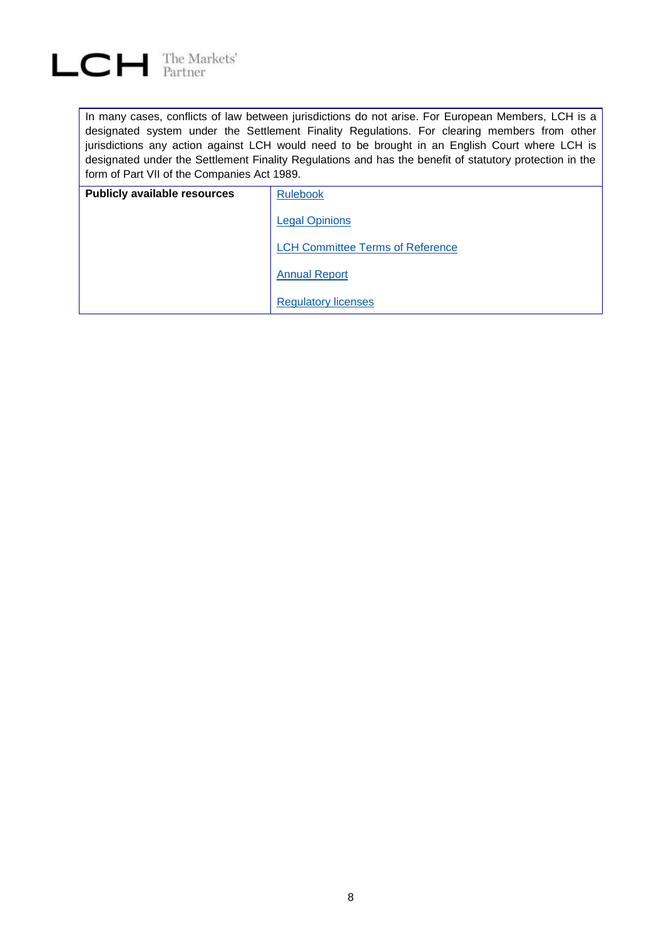

In many cases, conflicts of law between jurisdictions do not arise. For European Members, LCH is a designated system under the Settlement Finality Regulations. For clearing members from other jurisdictions any action against LCH would need to be brought in an English Court where LCH is designated under the Settlement Finality Regulations and has the benefit of statutory protection in the form of Part VII of the Companies Act 1989.

| <b>Publicly available resources</b> | <b>Rulebook</b>                         |
|-------------------------------------|-----------------------------------------|
|                                     | <b>Legal Opinions</b>                   |
|                                     | <b>LCH Committee Terms of Reference</b> |
|                                     | <b>Annual Report</b>                    |
|                                     | <b>Regulatory licenses</b>              |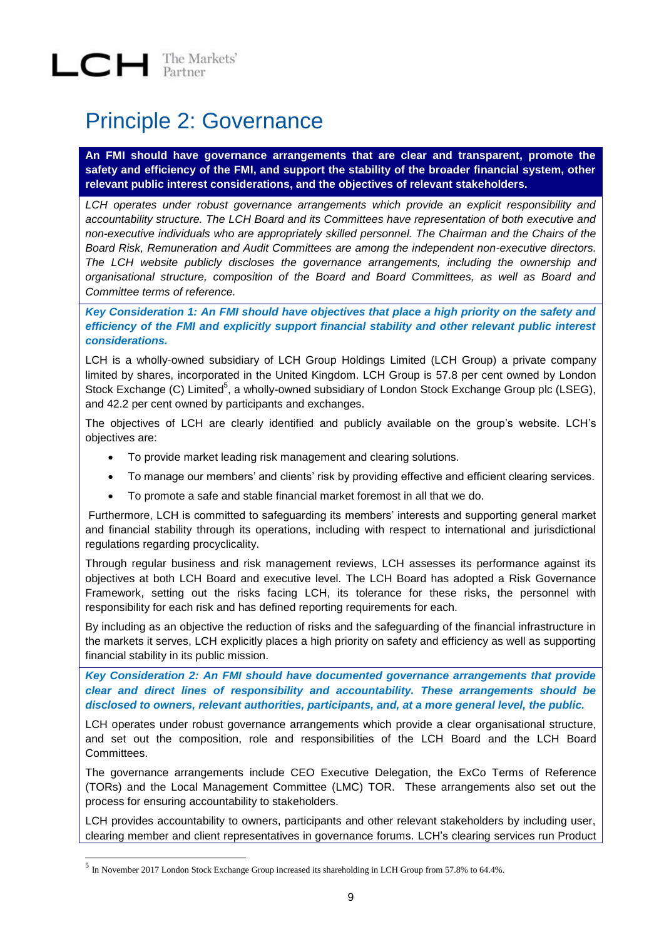### <span id="page-8-0"></span>Principle 2: Governance

**An FMI should have governance arrangements that are clear and transparent, promote the safety and efficiency of the FMI, and support the stability of the broader financial system, other relevant public interest considerations, and the objectives of relevant stakeholders.**

*LCH operates under robust governance arrangements which provide an explicit responsibility and accountability structure. The LCH Board and its Committees have representation of both executive and non-executive individuals who are appropriately skilled personnel. The Chairman and the Chairs of the Board Risk, Remuneration and Audit Committees are among the independent non-executive directors. The LCH website publicly discloses the governance arrangements, including the ownership and organisational structure, composition of the Board and Board Committees, as well as Board and Committee terms of reference.* 

*Key Consideration 1: An FMI should have objectives that place a high priority on the safety and efficiency of the FMI and explicitly support financial stability and other relevant public interest considerations.*

LCH is a wholly-owned subsidiary of LCH Group Holdings Limited (LCH Group) a private company limited by shares, incorporated in the United Kingdom. LCH Group is 57.8 per cent owned by London Stock Exchange (C) Limited<sup>5</sup>, a wholly-owned subsidiary of London Stock Exchange Group plc (LSEG), and 42.2 per cent owned by participants and exchanges.

The objectives of LCH are clearly identified and publicly available on the group's website. LCH's objectives are:

- To provide market leading risk management and clearing solutions.
- To manage our members' and clients' risk by providing effective and efficient clearing services.
- To promote a safe and stable financial market foremost in all that we do.

Furthermore, LCH is committed to safeguarding its members' interests and supporting general market and financial stability through its operations, including with respect to international and jurisdictional regulations regarding procyclicality.

Through regular business and risk management reviews, LCH assesses its performance against its objectives at both LCH Board and executive level. The LCH Board has adopted a Risk Governance Framework, setting out the risks facing LCH, its tolerance for these risks, the personnel with responsibility for each risk and has defined reporting requirements for each.

By including as an objective the reduction of risks and the safeguarding of the financial infrastructure in the markets it serves, LCH explicitly places a high priority on safety and efficiency as well as supporting financial stability in its public mission.

*Key Consideration 2: An FMI should have documented governance arrangements that provide clear and direct lines of responsibility and accountability. These arrangements should be disclosed to owners, relevant authorities, participants, and, at a more general level, the public.*

LCH operates under robust governance arrangements which provide a clear organisational structure, and set out the composition, role and responsibilities of the LCH Board and the LCH Board **Committees** 

The governance arrangements include CEO Executive Delegation, the ExCo Terms of Reference (TORs) and the Local Management Committee (LMC) TOR. These arrangements also set out the process for ensuring accountability to stakeholders.

LCH provides accountability to owners, participants and other relevant stakeholders by including user, clearing member and client representatives in governance forums. LCH's clearing services run Product

 5 In November 2017 London Stock Exchange Group increased its shareholding in LCH Group from 57.8% to 64.4%.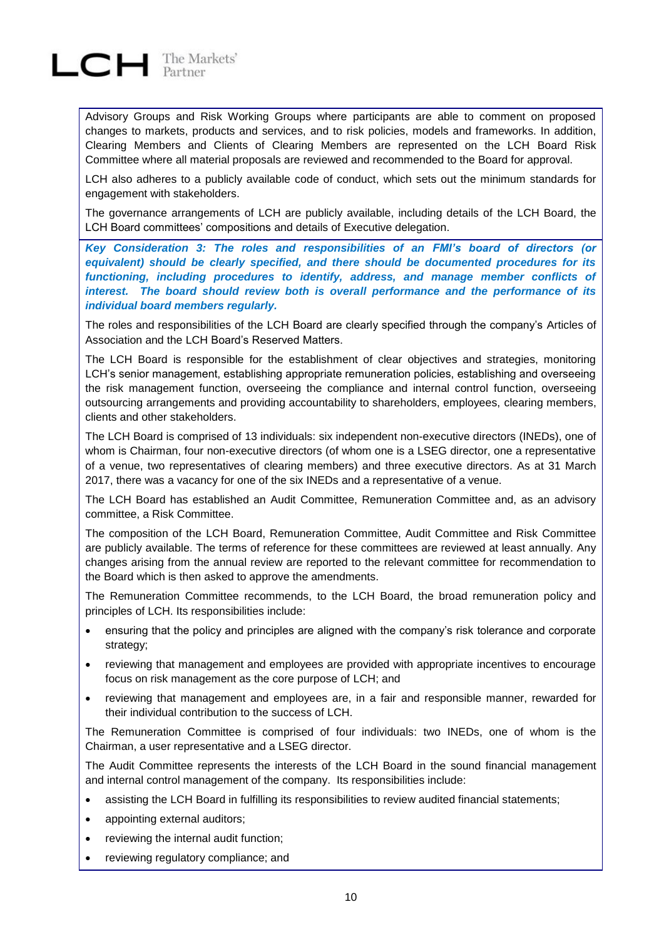

Advisory Groups and Risk Working Groups where participants are able to comment on proposed changes to markets, products and services, and to risk policies, models and frameworks. In addition, Clearing Members and Clients of Clearing Members are represented on the LCH Board Risk Committee where all material proposals are reviewed and recommended to the Board for approval.

LCH also adheres to a publicly available code of conduct, which sets out the minimum standards for engagement with stakeholders.

The governance arrangements of LCH are publicly available, including details of the LCH Board, the LCH Board committees' compositions and details of Executive delegation.

*Key Consideration 3: The roles and responsibilities of an FMI's board of directors (or equivalent) should be clearly specified, and there should be documented procedures for its functioning, including procedures to identify, address, and manage member conflicts of interest. The board should review both is overall performance and the performance of its individual board members regularly.*

The roles and responsibilities of the LCH Board are clearly specified through the company's Articles of Association and the LCH Board's Reserved Matters.

The LCH Board is responsible for the establishment of clear objectives and strategies, monitoring LCH's senior management, establishing appropriate remuneration policies, establishing and overseeing the risk management function, overseeing the compliance and internal control function, overseeing outsourcing arrangements and providing accountability to shareholders, employees, clearing members, clients and other stakeholders.

The LCH Board is comprised of 13 individuals: six independent non-executive directors (INEDs), one of whom is Chairman, four non-executive directors (of whom one is a LSEG director, one a representative of a venue, two representatives of clearing members) and three executive directors. As at 31 March 2017, there was a vacancy for one of the six INEDs and a representative of a venue.

The LCH Board has established an Audit Committee, Remuneration Committee and, as an advisory committee, a Risk Committee.

The composition of the LCH Board, Remuneration Committee, Audit Committee and Risk Committee are publicly available. The terms of reference for these committees are reviewed at least annually. Any changes arising from the annual review are reported to the relevant committee for recommendation to the Board which is then asked to approve the amendments.

The Remuneration Committee recommends, to the LCH Board, the broad remuneration policy and principles of LCH. Its responsibilities include:

- ensuring that the policy and principles are aligned with the company's risk tolerance and corporate strategy;
- reviewing that management and employees are provided with appropriate incentives to encourage focus on risk management as the core purpose of LCH; and
- reviewing that management and employees are, in a fair and responsible manner, rewarded for their individual contribution to the success of LCH.

The Remuneration Committee is comprised of four individuals: two INEDs, one of whom is the Chairman, a user representative and a LSEG director.

The Audit Committee represents the interests of the LCH Board in the sound financial management and internal control management of the company. Its responsibilities include:

- assisting the LCH Board in fulfilling its responsibilities to review audited financial statements;
- appointing external auditors;
- reviewing the internal audit function;
- reviewing regulatory compliance; and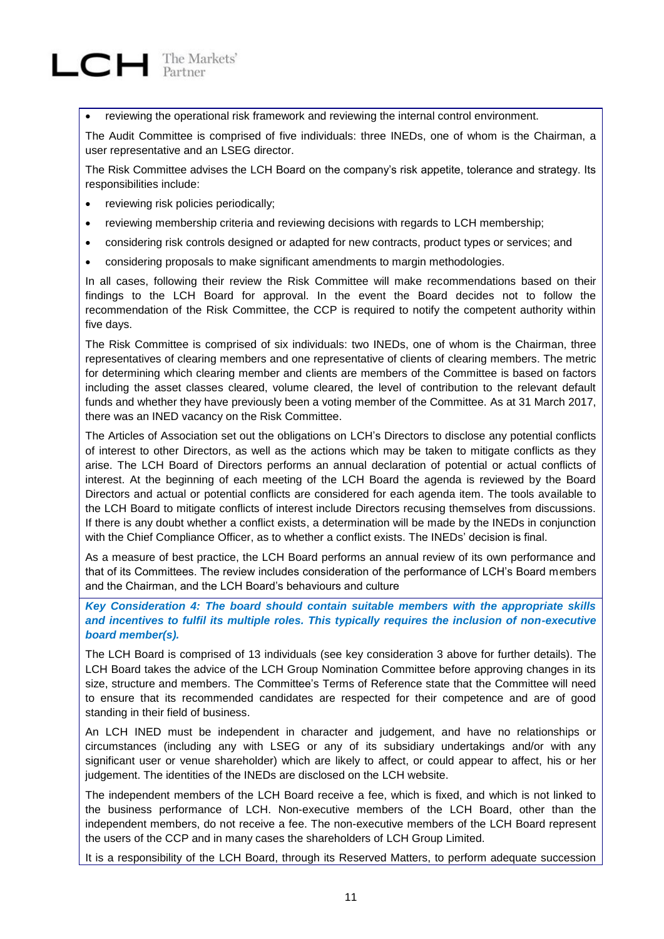

reviewing the operational risk framework and reviewing the internal control environment.

The Audit Committee is comprised of five individuals: three INEDs, one of whom is the Chairman, a user representative and an LSEG director.

The Risk Committee advises the LCH Board on the company's risk appetite, tolerance and strategy. Its responsibilities include:

- reviewing risk policies periodically;
- reviewing membership criteria and reviewing decisions with regards to LCH membership;
- considering risk controls designed or adapted for new contracts, product types or services; and
- considering proposals to make significant amendments to margin methodologies.

In all cases, following their review the Risk Committee will make recommendations based on their findings to the LCH Board for approval. In the event the Board decides not to follow the recommendation of the Risk Committee, the CCP is required to notify the competent authority within five days.

The Risk Committee is comprised of six individuals: two INEDs, one of whom is the Chairman, three representatives of clearing members and one representative of clients of clearing members. The metric for determining which clearing member and clients are members of the Committee is based on factors including the asset classes cleared, volume cleared, the level of contribution to the relevant default funds and whether they have previously been a voting member of the Committee. As at 31 March 2017, there was an INED vacancy on the Risk Committee.

The Articles of Association set out the obligations on LCH's Directors to disclose any potential conflicts of interest to other Directors, as well as the actions which may be taken to mitigate conflicts as they arise. The LCH Board of Directors performs an annual declaration of potential or actual conflicts of interest. At the beginning of each meeting of the LCH Board the agenda is reviewed by the Board Directors and actual or potential conflicts are considered for each agenda item. The tools available to the LCH Board to mitigate conflicts of interest include Directors recusing themselves from discussions. If there is any doubt whether a conflict exists, a determination will be made by the INEDs in conjunction with the Chief Compliance Officer, as to whether a conflict exists. The INEDs' decision is final.

As a measure of best practice, the LCH Board performs an annual review of its own performance and that of its Committees. The review includes consideration of the performance of LCH's Board members and the Chairman, and the LCH Board's behaviours and culture

*Key Consideration 4: The board should contain suitable members with the appropriate skills and incentives to fulfil its multiple roles. This typically requires the inclusion of non-executive board member(s).*

The LCH Board is comprised of 13 individuals (see key consideration 3 above for further details). The LCH Board takes the advice of the LCH Group Nomination Committee before approving changes in its size, structure and members. The Committee's Terms of Reference state that the Committee will need to ensure that its recommended candidates are respected for their competence and are of good standing in their field of business.

An LCH INED must be independent in character and judgement, and have no relationships or circumstances (including any with LSEG or any of its subsidiary undertakings and/or with any significant user or venue shareholder) which are likely to affect, or could appear to affect, his or her judgement. The identities of the INEDs are disclosed on the LCH website.

The independent members of the LCH Board receive a fee, which is fixed, and which is not linked to the business performance of LCH. Non-executive members of the LCH Board, other than the independent members, do not receive a fee. The non-executive members of the LCH Board represent the users of the CCP and in many cases the shareholders of LCH Group Limited.

It is a responsibility of the LCH Board, through its Reserved Matters, to perform adequate succession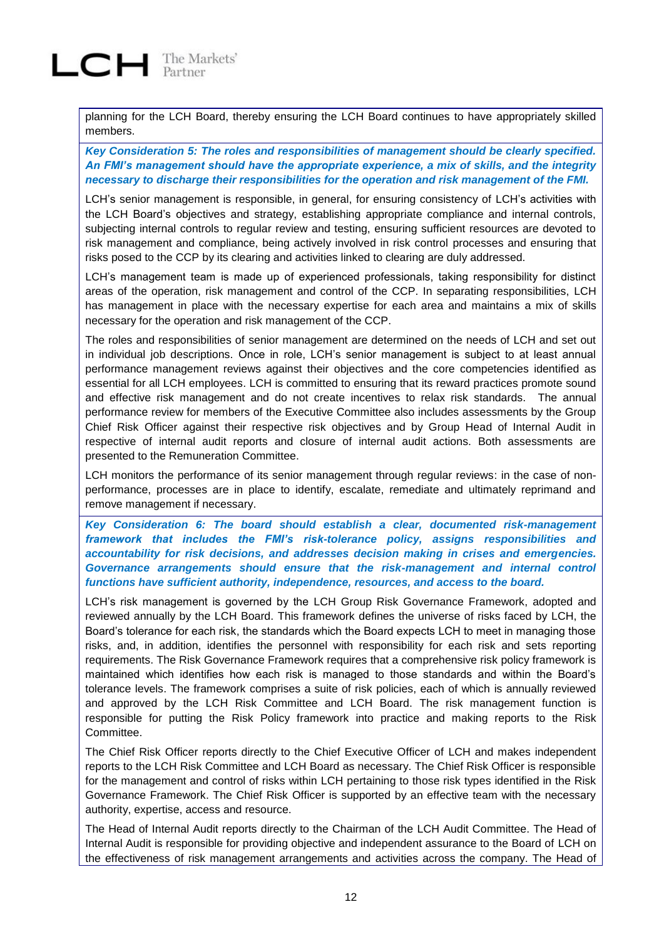planning for the LCH Board, thereby ensuring the LCH Board continues to have appropriately skilled members.

*Key Consideration 5: The roles and responsibilities of management should be clearly specified. An FMI's management should have the appropriate experience, a mix of skills, and the integrity necessary to discharge their responsibilities for the operation and risk management of the FMI.*

LCH's senior management is responsible, in general, for ensuring consistency of LCH's activities with the LCH Board's objectives and strategy, establishing appropriate compliance and internal controls, subjecting internal controls to regular review and testing, ensuring sufficient resources are devoted to risk management and compliance, being actively involved in risk control processes and ensuring that risks posed to the CCP by its clearing and activities linked to clearing are duly addressed.

LCH's management team is made up of experienced professionals, taking responsibility for distinct areas of the operation, risk management and control of the CCP. In separating responsibilities, LCH has management in place with the necessary expertise for each area and maintains a mix of skills necessary for the operation and risk management of the CCP.

The roles and responsibilities of senior management are determined on the needs of LCH and set out in individual job descriptions. Once in role, LCH's senior management is subject to at least annual performance management reviews against their objectives and the core competencies identified as essential for all LCH employees. LCH is committed to ensuring that its reward practices promote sound and effective risk management and do not create incentives to relax risk standards. The annual performance review for members of the Executive Committee also includes assessments by the Group Chief Risk Officer against their respective risk objectives and by Group Head of Internal Audit in respective of internal audit reports and closure of internal audit actions. Both assessments are presented to the Remuneration Committee.

LCH monitors the performance of its senior management through regular reviews: in the case of nonperformance, processes are in place to identify, escalate, remediate and ultimately reprimand and remove management if necessary.

*Key Consideration 6: The board should establish a clear, documented risk-management framework that includes the FMI's risk-tolerance policy, assigns responsibilities and accountability for risk decisions, and addresses decision making in crises and emergencies. Governance arrangements should ensure that the risk-management and internal control functions have sufficient authority, independence, resources, and access to the board.*

LCH's risk management is governed by the LCH Group Risk Governance Framework, adopted and reviewed annually by the LCH Board. This framework defines the universe of risks faced by LCH, the Board's tolerance for each risk, the standards which the Board expects LCH to meet in managing those risks, and, in addition, identifies the personnel with responsibility for each risk and sets reporting requirements. The Risk Governance Framework requires that a comprehensive risk policy framework is maintained which identifies how each risk is managed to those standards and within the Board's tolerance levels. The framework comprises a suite of risk policies, each of which is annually reviewed and approved by the LCH Risk Committee and LCH Board. The risk management function is responsible for putting the Risk Policy framework into practice and making reports to the Risk Committee.

The Chief Risk Officer reports directly to the Chief Executive Officer of LCH and makes independent reports to the LCH Risk Committee and LCH Board as necessary. The Chief Risk Officer is responsible for the management and control of risks within LCH pertaining to those risk types identified in the Risk Governance Framework. The Chief Risk Officer is supported by an effective team with the necessary authority, expertise, access and resource.

The Head of Internal Audit reports directly to the Chairman of the LCH Audit Committee. The Head of Internal Audit is responsible for providing objective and independent assurance to the Board of LCH on the effectiveness of risk management arrangements and activities across the company. The Head of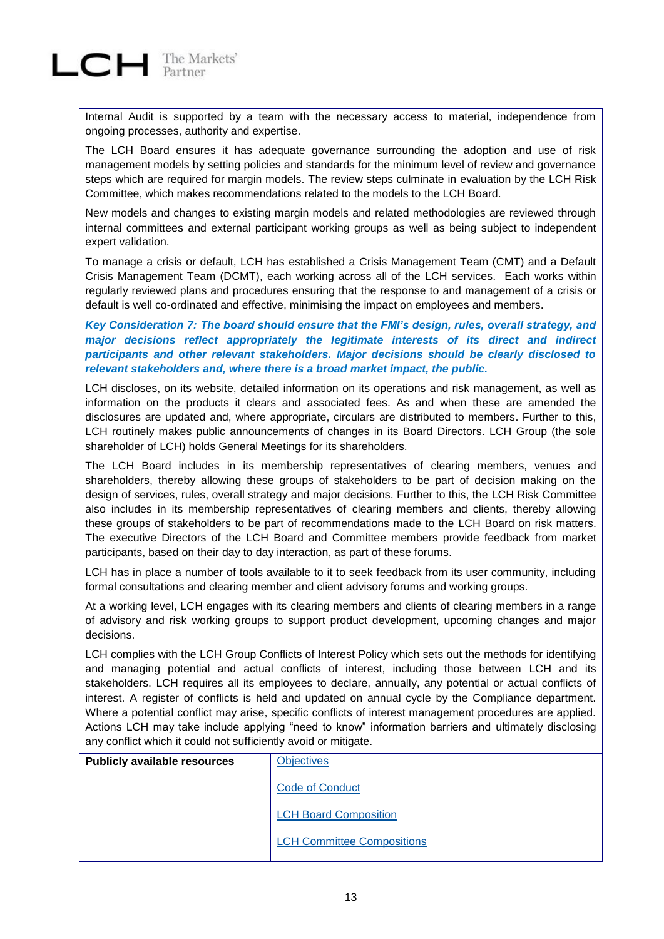Internal Audit is supported by a team with the necessary access to material, independence from ongoing processes, authority and expertise.

The LCH Board ensures it has adequate governance surrounding the adoption and use of risk management models by setting policies and standards for the minimum level of review and governance steps which are required for margin models. The review steps culminate in evaluation by the LCH Risk Committee, which makes recommendations related to the models to the LCH Board.

New models and changes to existing margin models and related methodologies are reviewed through internal committees and external participant working groups as well as being subject to independent expert validation.

To manage a crisis or default, LCH has established a Crisis Management Team (CMT) and a Default Crisis Management Team (DCMT), each working across all of the LCH services. Each works within regularly reviewed plans and procedures ensuring that the response to and management of a crisis or default is well co-ordinated and effective, minimising the impact on employees and members.

*Key Consideration 7: The board should ensure that the FMI's design, rules, overall strategy, and major decisions reflect appropriately the legitimate interests of its direct and indirect participants and other relevant stakeholders. Major decisions should be clearly disclosed to relevant stakeholders and, where there is a broad market impact, the public.*

LCH discloses, on its website, detailed information on its operations and risk management, as well as information on the products it clears and associated fees. As and when these are amended the disclosures are updated and, where appropriate, circulars are distributed to members. Further to this, LCH routinely makes public announcements of changes in its Board Directors. LCH Group (the sole shareholder of LCH) holds General Meetings for its shareholders.

The LCH Board includes in its membership representatives of clearing members, venues and shareholders, thereby allowing these groups of stakeholders to be part of decision making on the design of services, rules, overall strategy and major decisions. Further to this, the LCH Risk Committee also includes in its membership representatives of clearing members and clients, thereby allowing these groups of stakeholders to be part of recommendations made to the LCH Board on risk matters. The executive Directors of the LCH Board and Committee members provide feedback from market participants, based on their day to day interaction, as part of these forums.

LCH has in place a number of tools available to it to seek feedback from its user community, including formal consultations and clearing member and client advisory forums and working groups.

At a working level, LCH engages with its clearing members and clients of clearing members in a range of advisory and risk working groups to support product development, upcoming changes and major decisions.

LCH complies with the LCH Group Conflicts of Interest Policy which sets out the methods for identifying and managing potential and actual conflicts of interest, including those between LCH and its stakeholders. LCH requires all its employees to declare, annually, any potential or actual conflicts of interest. A register of conflicts is held and updated on annual cycle by the Compliance department. Where a potential conflict may arise, specific conflicts of interest management procedures are applied. Actions LCH may take include applying "need to know" information barriers and ultimately disclosing any conflict which it could not sufficiently avoid or mitigate.

| <b>Publicly available resources</b> | <b>Objectives</b>                 |
|-------------------------------------|-----------------------------------|
|                                     | <b>Code of Conduct</b>            |
|                                     | <b>LCH Board Composition</b>      |
|                                     | <b>LCH Committee Compositions</b> |
|                                     |                                   |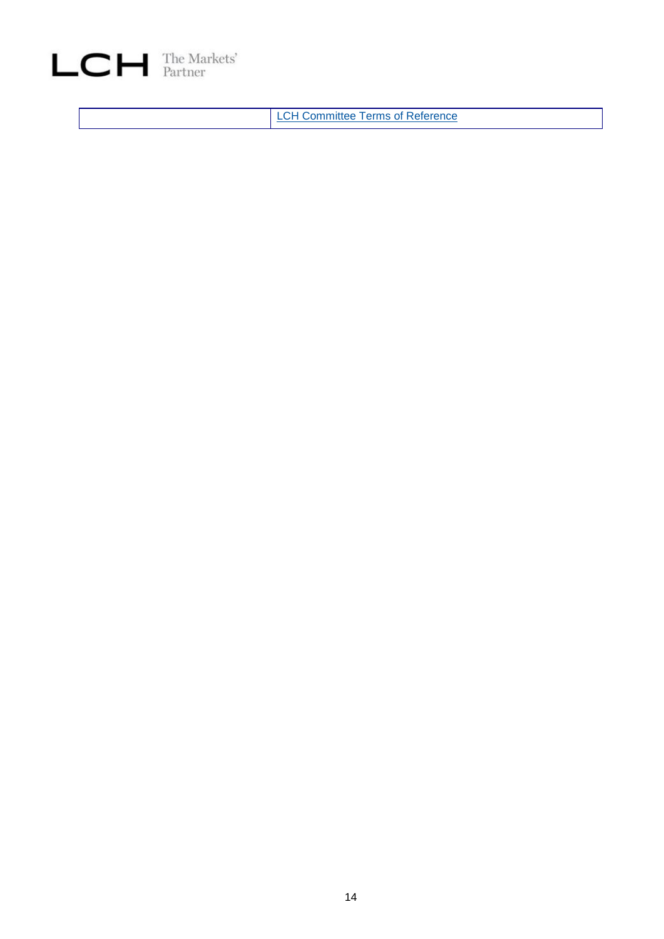

LCH [Committee Terms of Reference](http://www.lchclearnet.com/about-us/governance)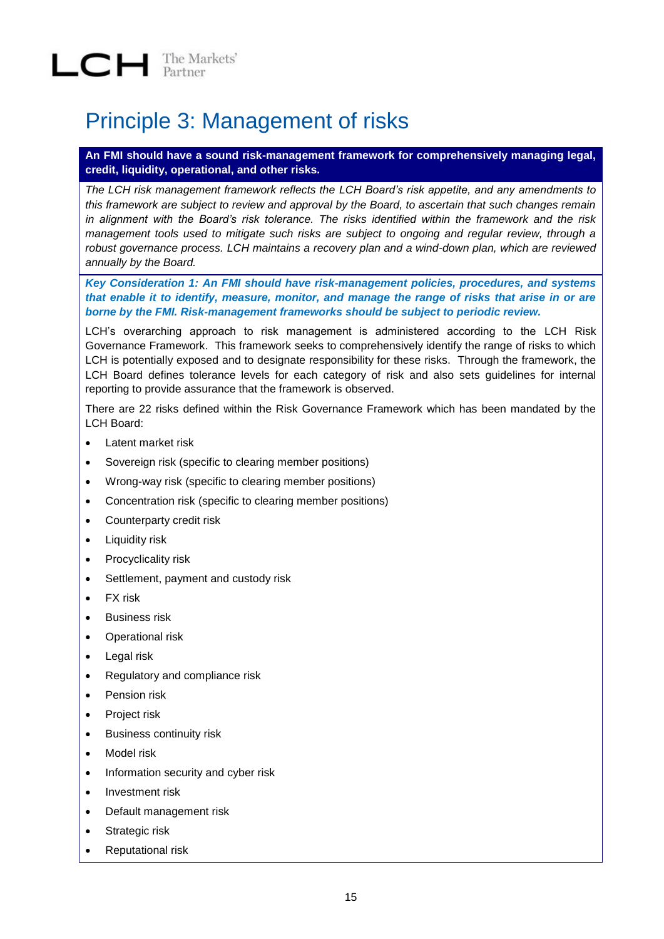### <span id="page-14-0"></span>Principle 3: Management of risks

#### **An FMI should have a sound risk-management framework for comprehensively managing legal, credit, liquidity, operational, and other risks.**

*The LCH risk management framework reflects the LCH Board's risk appetite, and any amendments to this framework are subject to review and approval by the Board, to ascertain that such changes remain in alignment with the Board's risk tolerance. The risks identified within the framework and the risk management tools used to mitigate such risks are subject to ongoing and regular review, through a robust governance process. LCH maintains a recovery plan and a wind-down plan, which are reviewed annually by the Board.* 

*Key Consideration 1: An FMI should have risk-management policies, procedures, and systems that enable it to identify, measure, monitor, and manage the range of risks that arise in or are borne by the FMI. Risk-management frameworks should be subject to periodic review.*

LCH's overarching approach to risk management is administered according to the LCH Risk Governance Framework. This framework seeks to comprehensively identify the range of risks to which LCH is potentially exposed and to designate responsibility for these risks. Through the framework, the LCH Board defines tolerance levels for each category of risk and also sets guidelines for internal reporting to provide assurance that the framework is observed.

There are 22 risks defined within the Risk Governance Framework which has been mandated by the LCH Board:

- Latent market risk
- Sovereign risk (specific to clearing member positions)
- Wrong-way risk (specific to clearing member positions)
- Concentration risk (specific to clearing member positions)
- Counterparty credit risk
- Liquidity risk
- Procyclicality risk
- Settlement, payment and custody risk
- FX risk
- Business risk
- Operational risk
- Legal risk
- Regulatory and compliance risk
- Pension risk
- Project risk
- **•** Business continuity risk
- Model risk
- Information security and cyber risk
- Investment risk
- Default management risk
- Strategic risk
- Reputational risk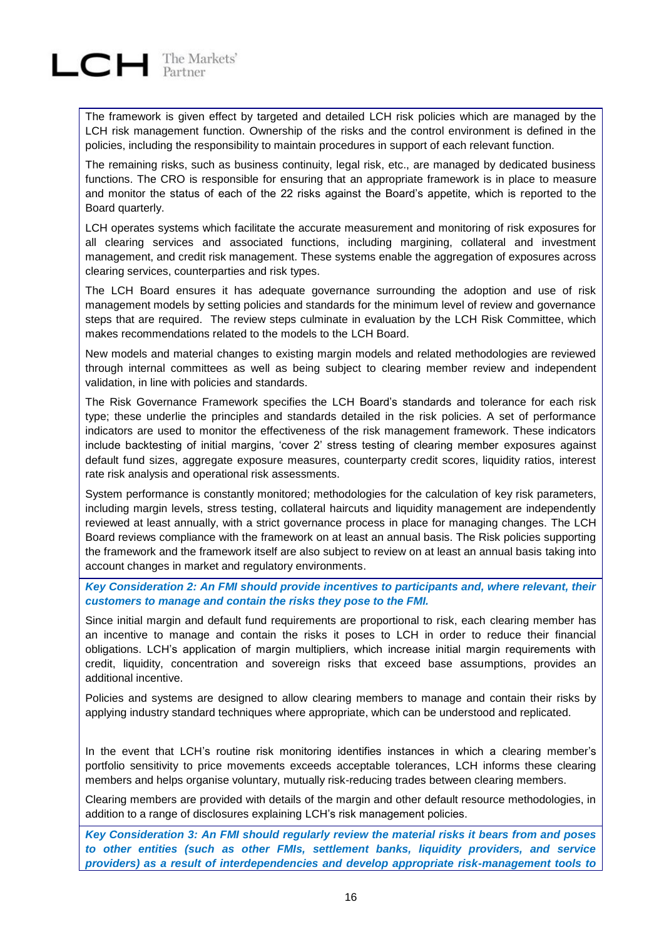

The framework is given effect by targeted and detailed LCH risk policies which are managed by the LCH risk management function. Ownership of the risks and the control environment is defined in the policies, including the responsibility to maintain procedures in support of each relevant function.

The remaining risks, such as business continuity, legal risk, etc., are managed by dedicated business functions. The CRO is responsible for ensuring that an appropriate framework is in place to measure and monitor the status of each of the 22 risks against the Board's appetite, which is reported to the Board quarterly.

LCH operates systems which facilitate the accurate measurement and monitoring of risk exposures for all clearing services and associated functions, including margining, collateral and investment management, and credit risk management. These systems enable the aggregation of exposures across clearing services, counterparties and risk types.

The LCH Board ensures it has adequate governance surrounding the adoption and use of risk management models by setting policies and standards for the minimum level of review and governance steps that are required. The review steps culminate in evaluation by the LCH Risk Committee, which makes recommendations related to the models to the LCH Board.

New models and material changes to existing margin models and related methodologies are reviewed through internal committees as well as being subject to clearing member review and independent validation, in line with policies and standards.

The Risk Governance Framework specifies the LCH Board's standards and tolerance for each risk type; these underlie the principles and standards detailed in the risk policies. A set of performance indicators are used to monitor the effectiveness of the risk management framework. These indicators include backtesting of initial margins, 'cover 2' stress testing of clearing member exposures against default fund sizes, aggregate exposure measures, counterparty credit scores, liquidity ratios, interest rate risk analysis and operational risk assessments.

System performance is constantly monitored; methodologies for the calculation of key risk parameters, including margin levels, stress testing, collateral haircuts and liquidity management are independently reviewed at least annually, with a strict governance process in place for managing changes. The LCH Board reviews compliance with the framework on at least an annual basis. The Risk policies supporting the framework and the framework itself are also subject to review on at least an annual basis taking into account changes in market and regulatory environments.

*Key Consideration 2: An FMI should provide incentives to participants and, where relevant, their customers to manage and contain the risks they pose to the FMI.*

Since initial margin and default fund requirements are proportional to risk, each clearing member has an incentive to manage and contain the risks it poses to LCH in order to reduce their financial obligations. LCH's application of margin multipliers, which increase initial margin requirements with credit, liquidity, concentration and sovereign risks that exceed base assumptions, provides an additional incentive.

Policies and systems are designed to allow clearing members to manage and contain their risks by applying industry standard techniques where appropriate, which can be understood and replicated.

In the event that LCH's routine risk monitoring identifies instances in which a clearing member's portfolio sensitivity to price movements exceeds acceptable tolerances, LCH informs these clearing members and helps organise voluntary, mutually risk-reducing trades between clearing members.

Clearing members are provided with details of the margin and other default resource methodologies, in addition to a range of disclosures explaining LCH's risk management policies.

*Key Consideration 3: An FMI should regularly review the material risks it bears from and poses to other entities (such as other FMIs, settlement banks, liquidity providers, and service providers) as a result of interdependencies and develop appropriate risk-management tools to*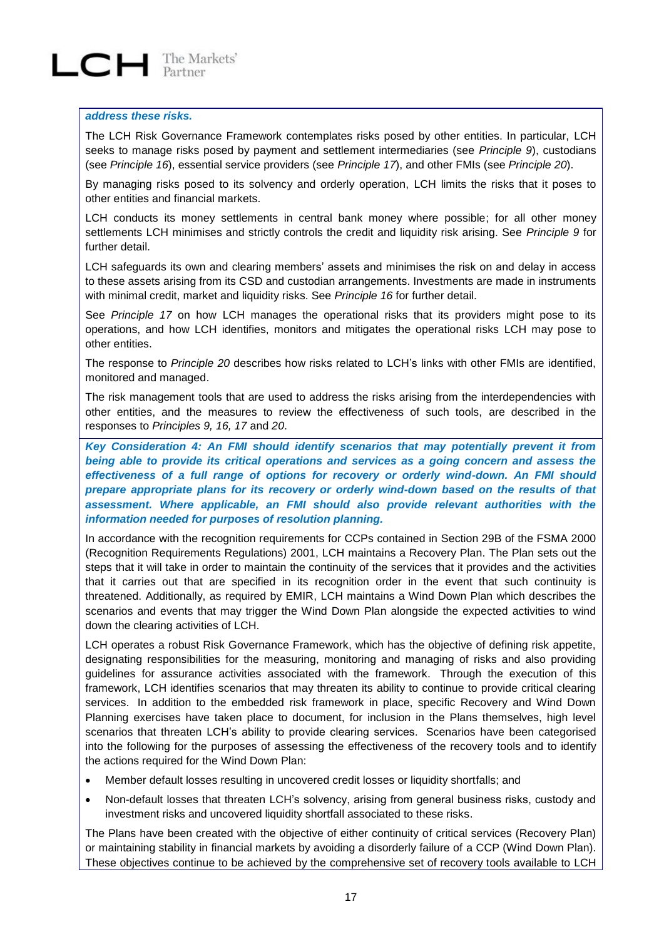#### *address these risks.*

The LCH Risk Governance Framework contemplates risks posed by other entities. In particular, LCH seeks to manage risks posed by payment and settlement intermediaries (see *Principle 9*), custodians (see *Principle 16*), essential service providers (see *Principle 17*), and other FMIs (see *Principle 20*).

By managing risks posed to its solvency and orderly operation, LCH limits the risks that it poses to other entities and financial markets.

LCH conducts its money settlements in central bank money where possible; for all other money settlements LCH minimises and strictly controls the credit and liquidity risk arising. See *Principle 9* for further detail.

LCH safeguards its own and clearing members' assets and minimises the risk on and delay in access to these assets arising from its CSD and custodian arrangements. Investments are made in instruments with minimal credit, market and liquidity risks. See *Principle 16* for further detail.

See *Principle 17* on how LCH manages the operational risks that its providers might pose to its operations, and how LCH identifies, monitors and mitigates the operational risks LCH may pose to other entities.

The response to *Principle 20* describes how risks related to LCH's links with other FMIs are identified, monitored and managed.

The risk management tools that are used to address the risks arising from the interdependencies with other entities, and the measures to review the effectiveness of such tools, are described in the responses to *Principles 9, 16, 17* and *20*.

*Key Consideration 4: An FMI should identify scenarios that may potentially prevent it from being able to provide its critical operations and services as a going concern and assess the effectiveness of a full range of options for recovery or orderly wind-down. An FMI should prepare appropriate plans for its recovery or orderly wind-down based on the results of that assessment. Where applicable, an FMI should also provide relevant authorities with the information needed for purposes of resolution planning.*

In accordance with the recognition requirements for CCPs contained in Section 29B of the FSMA 2000 (Recognition Requirements Regulations) 2001, LCH maintains a Recovery Plan. The Plan sets out the steps that it will take in order to maintain the continuity of the services that it provides and the activities that it carries out that are specified in its recognition order in the event that such continuity is threatened. Additionally, as required by EMIR, LCH maintains a Wind Down Plan which describes the scenarios and events that may trigger the Wind Down Plan alongside the expected activities to wind down the clearing activities of LCH.

LCH operates a robust Risk Governance Framework, which has the objective of defining risk appetite, designating responsibilities for the measuring, monitoring and managing of risks and also providing guidelines for assurance activities associated with the framework. Through the execution of this framework, LCH identifies scenarios that may threaten its ability to continue to provide critical clearing services. In addition to the embedded risk framework in place, specific Recovery and Wind Down Planning exercises have taken place to document, for inclusion in the Plans themselves, high level scenarios that threaten LCH's ability to provide clearing services. Scenarios have been categorised into the following for the purposes of assessing the effectiveness of the recovery tools and to identify the actions required for the Wind Down Plan:

- Member default losses resulting in uncovered credit losses or liquidity shortfalls; and
- Non-default losses that threaten LCH's solvency, arising from general business risks, custody and investment risks and uncovered liquidity shortfall associated to these risks.

The Plans have been created with the objective of either continuity of critical services (Recovery Plan) or maintaining stability in financial markets by avoiding a disorderly failure of a CCP (Wind Down Plan). These objectives continue to be achieved by the comprehensive set of recovery tools available to LCH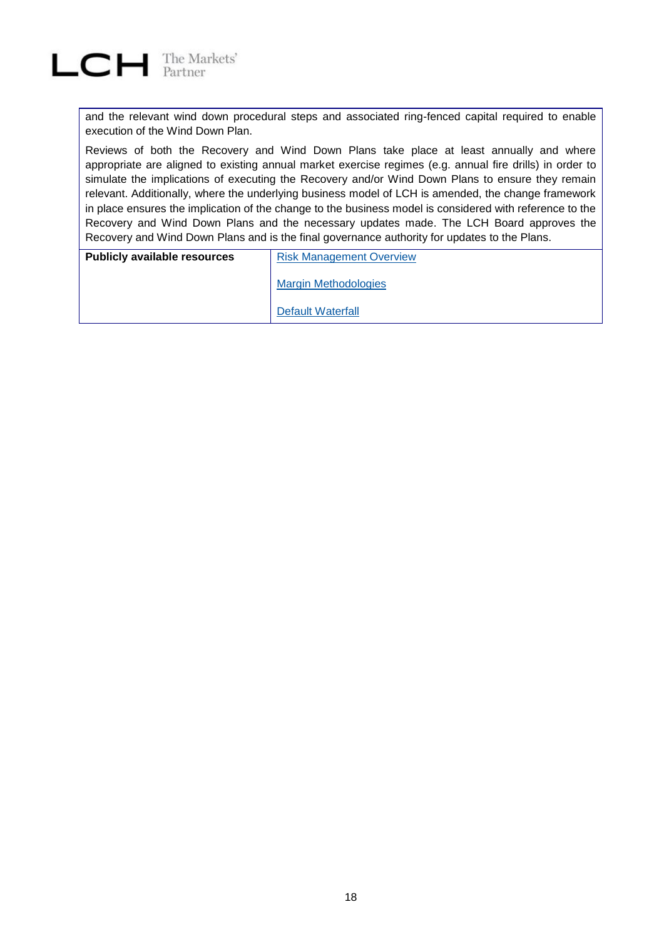

and the relevant wind down procedural steps and associated ring-fenced capital required to enable execution of the Wind Down Plan.

Reviews of both the Recovery and Wind Down Plans take place at least annually and where appropriate are aligned to existing annual market exercise regimes (e.g. annual fire drills) in order to simulate the implications of executing the Recovery and/or Wind Down Plans to ensure they remain relevant. Additionally, where the underlying business model of LCH is amended, the change framework in place ensures the implication of the change to the business model is considered with reference to the Recovery and Wind Down Plans and the necessary updates made. The LCH Board approves the Recovery and Wind Down Plans and is the final governance authority for updates to the Plans.

| <b>Publicly available resources</b> | <b>Risk Management Overview</b> |  |
|-------------------------------------|---------------------------------|--|
|                                     | <b>Margin Methodologies</b>     |  |
|                                     | Default Waterfall               |  |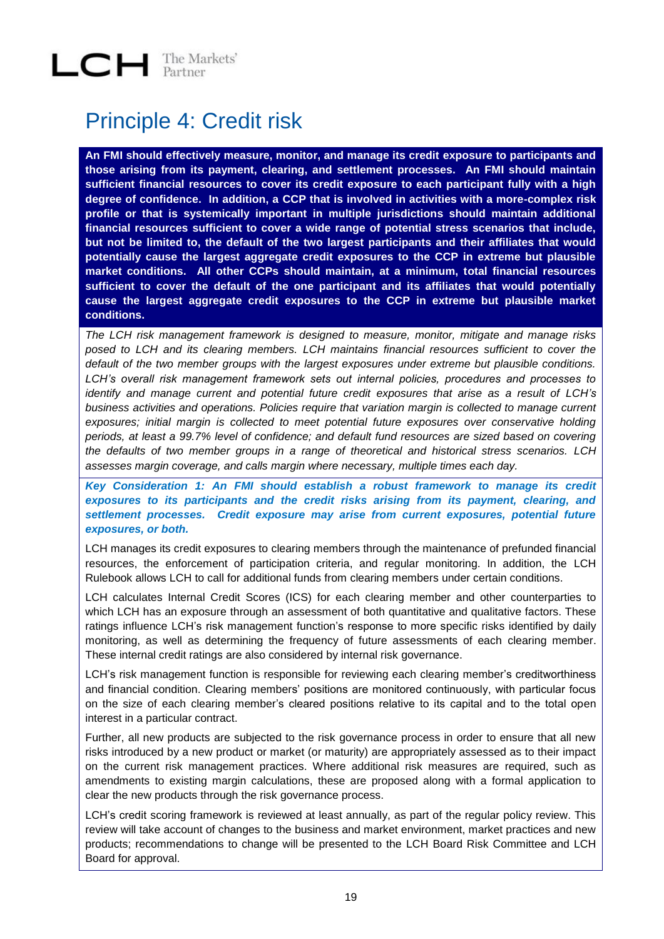#### <span id="page-18-0"></span>Principle 4: Credit risk

**An FMI should effectively measure, monitor, and manage its credit exposure to participants and those arising from its payment, clearing, and settlement processes. An FMI should maintain sufficient financial resources to cover its credit exposure to each participant fully with a high degree of confidence. In addition, a CCP that is involved in activities with a more-complex risk profile or that is systemically important in multiple jurisdictions should maintain additional financial resources sufficient to cover a wide range of potential stress scenarios that include, but not be limited to, the default of the two largest participants and their affiliates that would potentially cause the largest aggregate credit exposures to the CCP in extreme but plausible market conditions. All other CCPs should maintain, at a minimum, total financial resources sufficient to cover the default of the one participant and its affiliates that would potentially cause the largest aggregate credit exposures to the CCP in extreme but plausible market conditions.**

*The LCH risk management framework is designed to measure, monitor, mitigate and manage risks posed to LCH and its clearing members. LCH maintains financial resources sufficient to cover the default of the two member groups with the largest exposures under extreme but plausible conditions. LCH's overall risk management framework sets out internal policies, procedures and processes to identify and manage current and potential future credit exposures that arise as a result of LCH's business activities and operations. Policies require that variation margin is collected to manage current exposures; initial margin is collected to meet potential future exposures over conservative holding periods, at least a 99.7% level of confidence; and default fund resources are sized based on covering the defaults of two member groups in a range of theoretical and historical stress scenarios. LCH assesses margin coverage, and calls margin where necessary, multiple times each day.* 

*Key Consideration 1: An FMI should establish a robust framework to manage its credit exposures to its participants and the credit risks arising from its payment, clearing, and settlement processes. Credit exposure may arise from current exposures, potential future exposures, or both.*

LCH manages its credit exposures to clearing members through the maintenance of prefunded financial resources, the enforcement of participation criteria, and regular monitoring. In addition, the LCH Rulebook allows LCH to call for additional funds from clearing members under certain conditions.

LCH calculates Internal Credit Scores (ICS) for each clearing member and other counterparties to which LCH has an exposure through an assessment of both quantitative and qualitative factors. These ratings influence LCH's risk management function's response to more specific risks identified by daily monitoring, as well as determining the frequency of future assessments of each clearing member. These internal credit ratings are also considered by internal risk governance.

LCH's risk management function is responsible for reviewing each clearing member's creditworthiness and financial condition. Clearing members' positions are monitored continuously, with particular focus on the size of each clearing member's cleared positions relative to its capital and to the total open interest in a particular contract.

Further, all new products are subjected to the risk governance process in order to ensure that all new risks introduced by a new product or market (or maturity) are appropriately assessed as to their impact on the current risk management practices. Where additional risk measures are required, such as amendments to existing margin calculations, these are proposed along with a formal application to clear the new products through the risk governance process.

LCH's credit scoring framework is reviewed at least annually, as part of the regular policy review. This review will take account of changes to the business and market environment, market practices and new products; recommendations to change will be presented to the LCH Board Risk Committee and LCH Board for approval.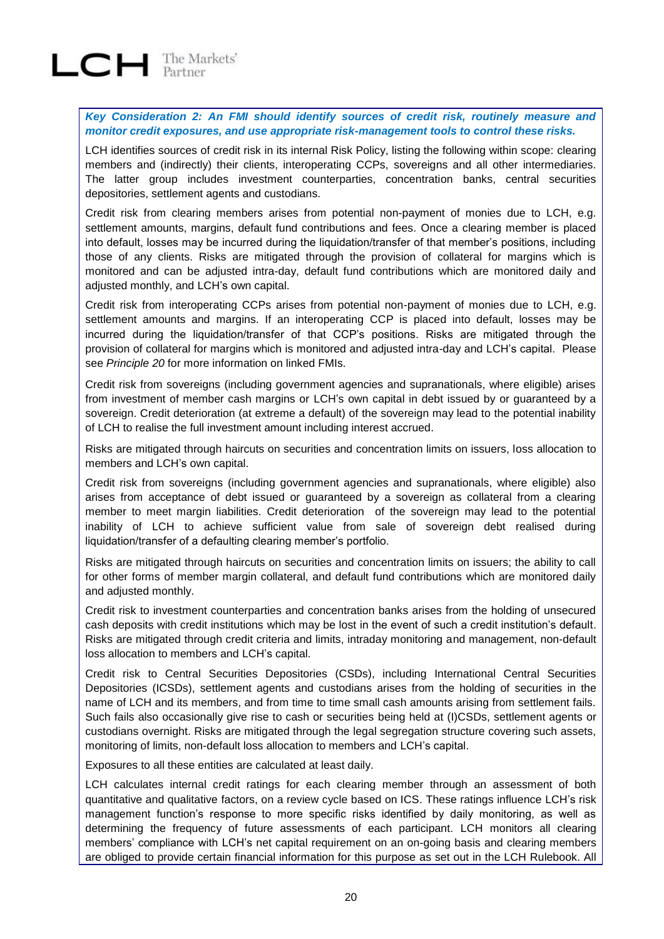

*Key Consideration 2: An FMI should identify sources of credit risk, routinely measure and monitor credit exposures, and use appropriate risk-management tools to control these risks.*

LCH identifies sources of credit risk in its internal Risk Policy, listing the following within scope: clearing members and (indirectly) their clients, interoperating CCPs, sovereigns and all other intermediaries. The latter group includes investment counterparties, concentration banks, central securities depositories, settlement agents and custodians.

Credit risk from clearing members arises from potential non-payment of monies due to LCH, e.g. settlement amounts, margins, default fund contributions and fees. Once a clearing member is placed into default, losses may be incurred during the liquidation/transfer of that member's positions, including those of any clients. Risks are mitigated through the provision of collateral for margins which is monitored and can be adjusted intra-day, default fund contributions which are monitored daily and adjusted monthly, and LCH's own capital.

Credit risk from interoperating CCPs arises from potential non-payment of monies due to LCH, e.g. settlement amounts and margins. If an interoperating CCP is placed into default, losses may be incurred during the liquidation/transfer of that CCP's positions. Risks are mitigated through the provision of collateral for margins which is monitored and adjusted intra-day and LCH's capital. Please see *Principle 20* for more information on linked FMIs.

Credit risk from sovereigns (including government agencies and supranationals, where eligible) arises from investment of member cash margins or LCH's own capital in debt issued by or guaranteed by a sovereign. Credit deterioration (at extreme a default) of the sovereign may lead to the potential inability of LCH to realise the full investment amount including interest accrued.

Risks are mitigated through haircuts on securities and concentration limits on issuers, loss allocation to members and LCH's own capital.

Credit risk from sovereigns (including government agencies and supranationals, where eligible) also arises from acceptance of debt issued or guaranteed by a sovereign as collateral from a clearing member to meet margin liabilities. Credit deterioration of the sovereign may lead to the potential inability of LCH to achieve sufficient value from sale of sovereign debt realised during liquidation/transfer of a defaulting clearing member's portfolio.

Risks are mitigated through haircuts on securities and concentration limits on issuers; the ability to call for other forms of member margin collateral, and default fund contributions which are monitored daily and adjusted monthly.

Credit risk to investment counterparties and concentration banks arises from the holding of unsecured cash deposits with credit institutions which may be lost in the event of such a credit institution's default. Risks are mitigated through credit criteria and limits, intraday monitoring and management, non-default loss allocation to members and LCH's capital.

Credit risk to Central Securities Depositories (CSDs), including International Central Securities Depositories (ICSDs), settlement agents and custodians arises from the holding of securities in the name of LCH and its members, and from time to time small cash amounts arising from settlement fails. Such fails also occasionally give rise to cash or securities being held at (I)CSDs, settlement agents or custodians overnight. Risks are mitigated through the legal segregation structure covering such assets, monitoring of limits, non-default loss allocation to members and LCH's capital.

Exposures to all these entities are calculated at least daily.

LCH calculates internal credit ratings for each clearing member through an assessment of both quantitative and qualitative factors, on a review cycle based on ICS. These ratings influence LCH's risk management function's response to more specific risks identified by daily monitoring, as well as determining the frequency of future assessments of each participant. LCH monitors all clearing members' compliance with LCH's net capital requirement on an on-going basis and clearing members are obliged to provide certain financial information for this purpose as set out in the LCH Rulebook. All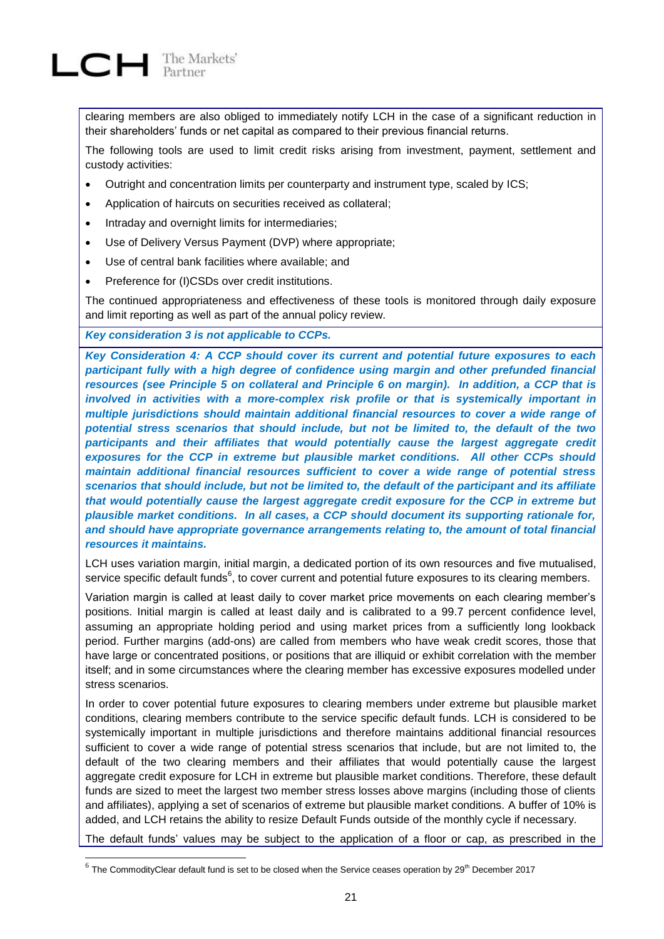

l

clearing members are also obliged to immediately notify LCH in the case of a significant reduction in their shareholders' funds or net capital as compared to their previous financial returns.

The following tools are used to limit credit risks arising from investment, payment, settlement and custody activities:

- Outright and concentration limits per counterparty and instrument type, scaled by ICS;
- Application of haircuts on securities received as collateral;
- Intraday and overnight limits for intermediaries;
- Use of Delivery Versus Payment (DVP) where appropriate;
- Use of central bank facilities where available; and
- Preference for (I)CSDs over credit institutions.

The continued appropriateness and effectiveness of these tools is monitored through daily exposure and limit reporting as well as part of the annual policy review.

*Key consideration 3 is not applicable to CCPs.*

*Key Consideration 4: A CCP should cover its current and potential future exposures to each participant fully with a high degree of confidence using margin and other prefunded financial resources (see Principle 5 on collateral and Principle 6 on margin). In addition, a CCP that is involved in activities with a more-complex risk profile or that is systemically important in multiple jurisdictions should maintain additional financial resources to cover a wide range of potential stress scenarios that should include, but not be limited to, the default of the two participants and their affiliates that would potentially cause the largest aggregate credit exposures for the CCP in extreme but plausible market conditions. All other CCPs should maintain additional financial resources sufficient to cover a wide range of potential stress scenarios that should include, but not be limited to, the default of the participant and its affiliate that would potentially cause the largest aggregate credit exposure for the CCP in extreme but plausible market conditions. In all cases, a CCP should document its supporting rationale for, and should have appropriate governance arrangements relating to, the amount of total financial resources it maintains.*

LCH uses variation margin, initial margin, a dedicated portion of its own resources and five mutualised, service specific default funds $^6$ , to cover current and potential future exposures to its clearing members.

Variation margin is called at least daily to cover market price movements on each clearing member's positions. Initial margin is called at least daily and is calibrated to a 99.7 percent confidence level, assuming an appropriate holding period and using market prices from a sufficiently long lookback period. Further margins (add-ons) are called from members who have weak credit scores, those that have large or concentrated positions, or positions that are illiquid or exhibit correlation with the member itself; and in some circumstances where the clearing member has excessive exposures modelled under stress scenarios.

In order to cover potential future exposures to clearing members under extreme but plausible market conditions, clearing members contribute to the service specific default funds. LCH is considered to be systemically important in multiple jurisdictions and therefore maintains additional financial resources sufficient to cover a wide range of potential stress scenarios that include, but are not limited to, the default of the two clearing members and their affiliates that would potentially cause the largest aggregate credit exposure for LCH in extreme but plausible market conditions. Therefore, these default funds are sized to meet the largest two member stress losses above margins (including those of clients and affiliates), applying a set of scenarios of extreme but plausible market conditions. A buffer of 10% is added, and LCH retains the ability to resize Default Funds outside of the monthly cycle if necessary.

The default funds' values may be subject to the application of a floor or cap, as prescribed in the

 $^6$  The CommodityClear default fund is set to be closed when the Service ceases operation by 29<sup>th</sup> December 2017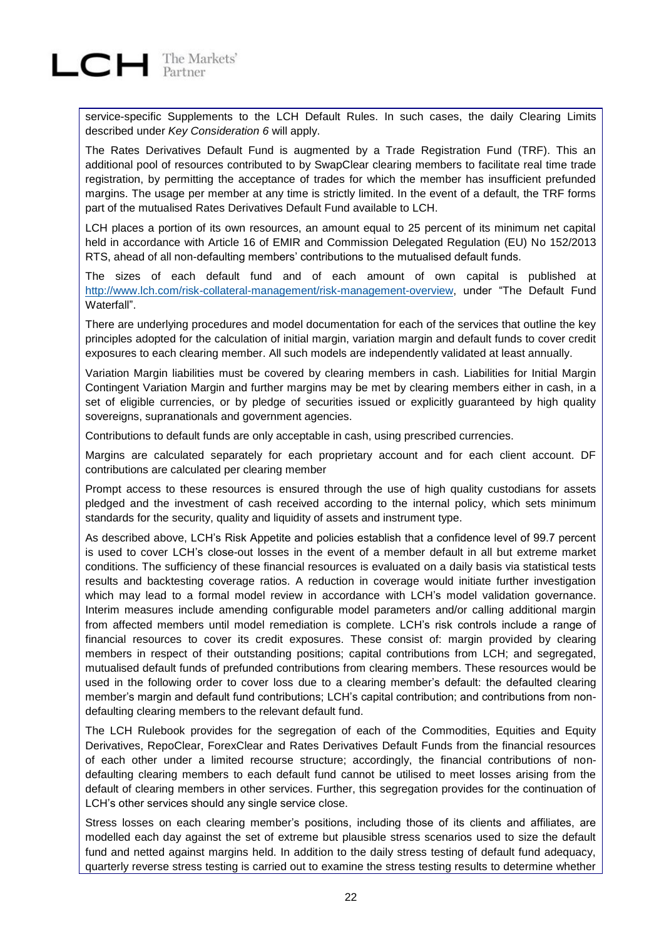service-specific Supplements to the LCH Default Rules. In such cases, the daily Clearing Limits described under *Key Consideration 6* will apply.

The Rates Derivatives Default Fund is augmented by a Trade Registration Fund (TRF). This an additional pool of resources contributed to by SwapClear clearing members to facilitate real time trade registration, by permitting the acceptance of trades for which the member has insufficient prefunded margins. The usage per member at any time is strictly limited. In the event of a default, the TRF forms part of the mutualised Rates Derivatives Default Fund available to LCH.

LCH places a portion of its own resources, an amount equal to 25 percent of its minimum net capital held in accordance with Article 16 of EMIR and Commission Delegated Regulation (EU) No 152/2013 RTS, ahead of all non-defaulting members' contributions to the mutualised default funds.

The sizes of each default fund and of each amount of own capital is published at [http://www.lch.com/risk-collateral-management/risk-management-overview,](http://www.lch.com/risk-collateral-management/risk-management-overview) under "The Default Fund Waterfall"

There are underlying procedures and model documentation for each of the services that outline the key principles adopted for the calculation of initial margin, variation margin and default funds to cover credit exposures to each clearing member. All such models are independently validated at least annually.

Variation Margin liabilities must be covered by clearing members in cash. Liabilities for Initial Margin Contingent Variation Margin and further margins may be met by clearing members either in cash, in a set of eligible currencies, or by pledge of securities issued or explicitly guaranteed by high quality sovereigns, supranationals and government agencies.

Contributions to default funds are only acceptable in cash, using prescribed currencies.

Margins are calculated separately for each proprietary account and for each client account. DF contributions are calculated per clearing member

Prompt access to these resources is ensured through the use of high quality custodians for assets pledged and the investment of cash received according to the internal policy, which sets minimum standards for the security, quality and liquidity of assets and instrument type.

As described above, LCH's Risk Appetite and policies establish that a confidence level of 99.7 percent is used to cover LCH's close-out losses in the event of a member default in all but extreme market conditions. The sufficiency of these financial resources is evaluated on a daily basis via statistical tests results and backtesting coverage ratios. A reduction in coverage would initiate further investigation which may lead to a formal model review in accordance with LCH's model validation governance. Interim measures include amending configurable model parameters and/or calling additional margin from affected members until model remediation is complete. LCH's risk controls include a range of financial resources to cover its credit exposures. These consist of: margin provided by clearing members in respect of their outstanding positions; capital contributions from LCH; and segregated, mutualised default funds of prefunded contributions from clearing members. These resources would be used in the following order to cover loss due to a clearing member's default: the defaulted clearing member's margin and default fund contributions; LCH's capital contribution; and contributions from nondefaulting clearing members to the relevant default fund.

The LCH Rulebook provides for the segregation of each of the Commodities, Equities and Equity Derivatives, RepoClear, ForexClear and Rates Derivatives Default Funds from the financial resources of each other under a limited recourse structure; accordingly, the financial contributions of nondefaulting clearing members to each default fund cannot be utilised to meet losses arising from the default of clearing members in other services. Further, this segregation provides for the continuation of LCH's other services should any single service close.

Stress losses on each clearing member's positions, including those of its clients and affiliates, are modelled each day against the set of extreme but plausible stress scenarios used to size the default fund and netted against margins held. In addition to the daily stress testing of default fund adequacy, quarterly reverse stress testing is carried out to examine the stress testing results to determine whether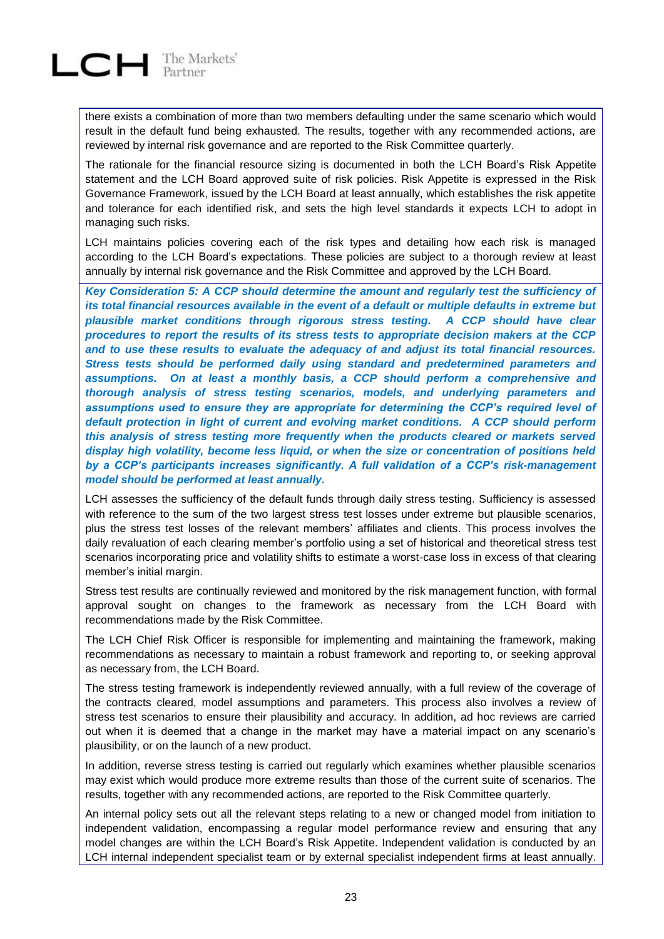

there exists a combination of more than two members defaulting under the same scenario which would result in the default fund being exhausted. The results, together with any recommended actions, are reviewed by internal risk governance and are reported to the Risk Committee quarterly.

The rationale for the financial resource sizing is documented in both the LCH Board's Risk Appetite statement and the LCH Board approved suite of risk policies. Risk Appetite is expressed in the Risk Governance Framework, issued by the LCH Board at least annually, which establishes the risk appetite and tolerance for each identified risk, and sets the high level standards it expects LCH to adopt in managing such risks.

LCH maintains policies covering each of the risk types and detailing how each risk is managed according to the LCH Board's expectations. These policies are subject to a thorough review at least annually by internal risk governance and the Risk Committee and approved by the LCH Board.

*Key Consideration 5: A CCP should determine the amount and regularly test the sufficiency of its total financial resources available in the event of a default or multiple defaults in extreme but plausible market conditions through rigorous stress testing. A CCP should have clear procedures to report the results of its stress tests to appropriate decision makers at the CCP and to use these results to evaluate the adequacy of and adjust its total financial resources. Stress tests should be performed daily using standard and predetermined parameters and assumptions. On at least a monthly basis, a CCP should perform a comprehensive and thorough analysis of stress testing scenarios, models, and underlying parameters and assumptions used to ensure they are appropriate for determining the CCP's required level of default protection in light of current and evolving market conditions. A CCP should perform this analysis of stress testing more frequently when the products cleared or markets served display high volatility, become less liquid, or when the size or concentration of positions held by a CCP's participants increases significantly. A full validation of a CCP's risk-management model should be performed at least annually.*

LCH assesses the sufficiency of the default funds through daily stress testing. Sufficiency is assessed with reference to the sum of the two largest stress test losses under extreme but plausible scenarios, plus the stress test losses of the relevant members' affiliates and clients. This process involves the daily revaluation of each clearing member's portfolio using a set of historical and theoretical stress test scenarios incorporating price and volatility shifts to estimate a worst-case loss in excess of that clearing member's initial margin.

Stress test results are continually reviewed and monitored by the risk management function, with formal approval sought on changes to the framework as necessary from the LCH Board with recommendations made by the Risk Committee.

The LCH Chief Risk Officer is responsible for implementing and maintaining the framework, making recommendations as necessary to maintain a robust framework and reporting to, or seeking approval as necessary from, the LCH Board.

The stress testing framework is independently reviewed annually, with a full review of the coverage of the contracts cleared, model assumptions and parameters. This process also involves a review of stress test scenarios to ensure their plausibility and accuracy. In addition, ad hoc reviews are carried out when it is deemed that a change in the market may have a material impact on any scenario's plausibility, or on the launch of a new product.

In addition, reverse stress testing is carried out regularly which examines whether plausible scenarios may exist which would produce more extreme results than those of the current suite of scenarios. The results, together with any recommended actions, are reported to the Risk Committee quarterly.

An internal policy sets out all the relevant steps relating to a new or changed model from initiation to independent validation, encompassing a regular model performance review and ensuring that any model changes are within the LCH Board's Risk Appetite. Independent validation is conducted by an LCH internal independent specialist team or by external specialist independent firms at least annually.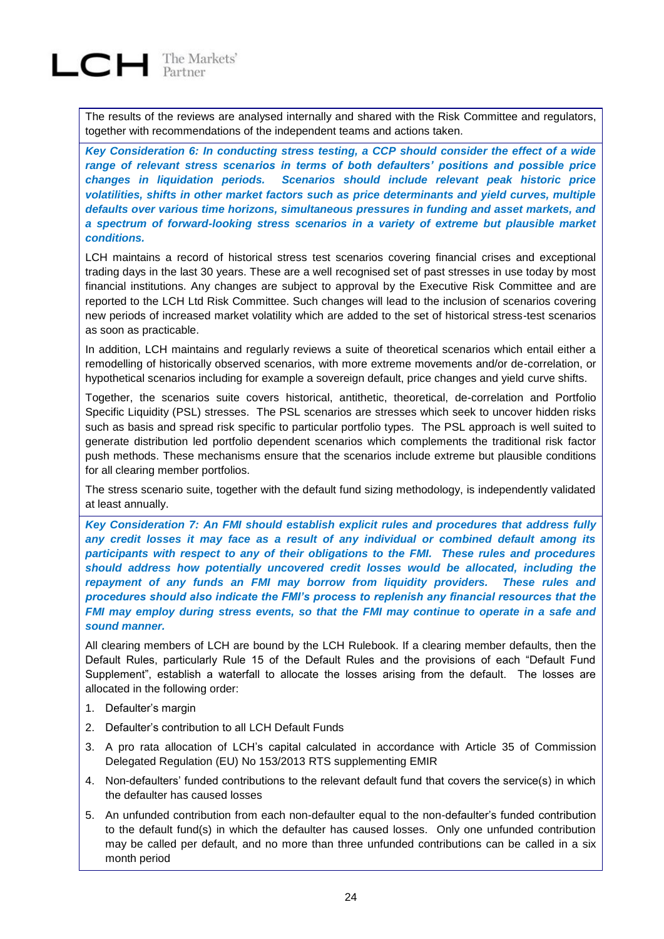The results of the reviews are analysed internally and shared with the Risk Committee and regulators, together with recommendations of the independent teams and actions taken.

*Key Consideration 6: In conducting stress testing, a CCP should consider the effect of a wide range of relevant stress scenarios in terms of both defaulters' positions and possible price changes in liquidation periods. Scenarios should include relevant peak historic price volatilities, shifts in other market factors such as price determinants and yield curves, multiple defaults over various time horizons, simultaneous pressures in funding and asset markets, and a spectrum of forward-looking stress scenarios in a variety of extreme but plausible market conditions.*

LCH maintains a record of historical stress test scenarios covering financial crises and exceptional trading days in the last 30 years. These are a well recognised set of past stresses in use today by most financial institutions. Any changes are subject to approval by the Executive Risk Committee and are reported to the LCH Ltd Risk Committee. Such changes will lead to the inclusion of scenarios covering new periods of increased market volatility which are added to the set of historical stress-test scenarios as soon as practicable.

In addition, LCH maintains and regularly reviews a suite of theoretical scenarios which entail either a remodelling of historically observed scenarios, with more extreme movements and/or de-correlation, or hypothetical scenarios including for example a sovereign default, price changes and yield curve shifts.

Together, the scenarios suite covers historical, antithetic, theoretical, de-correlation and Portfolio Specific Liquidity (PSL) stresses. The PSL scenarios are stresses which seek to uncover hidden risks such as basis and spread risk specific to particular portfolio types. The PSL approach is well suited to generate distribution led portfolio dependent scenarios which complements the traditional risk factor push methods. These mechanisms ensure that the scenarios include extreme but plausible conditions for all clearing member portfolios.

The stress scenario suite, together with the default fund sizing methodology, is independently validated at least annually.

*Key Consideration 7: An FMI should establish explicit rules and procedures that address fully any credit losses it may face as a result of any individual or combined default among its participants with respect to any of their obligations to the FMI. These rules and procedures should address how potentially uncovered credit losses would be allocated, including the repayment of any funds an FMI may borrow from liquidity providers. These rules and procedures should also indicate the FMI's process to replenish any financial resources that the FMI may employ during stress events, so that the FMI may continue to operate in a safe and sound manner.*

All clearing members of LCH are bound by the LCH Rulebook. If a clearing member defaults, then the Default Rules, particularly Rule 15 of the Default Rules and the provisions of each "Default Fund Supplement", establish a waterfall to allocate the losses arising from the default. The losses are allocated in the following order:

- 1. Defaulter's margin
- 2. Defaulter's contribution to all LCH Default Funds
- 3. A pro rata allocation of LCH's capital calculated in accordance with Article 35 of Commission Delegated Regulation (EU) No 153/2013 RTS supplementing EMIR
- 4. Non-defaulters' funded contributions to the relevant default fund that covers the service(s) in which the defaulter has caused losses
- 5. An unfunded contribution from each non-defaulter equal to the non-defaulter's funded contribution to the default fund(s) in which the defaulter has caused losses. Only one unfunded contribution may be called per default, and no more than three unfunded contributions can be called in a six month period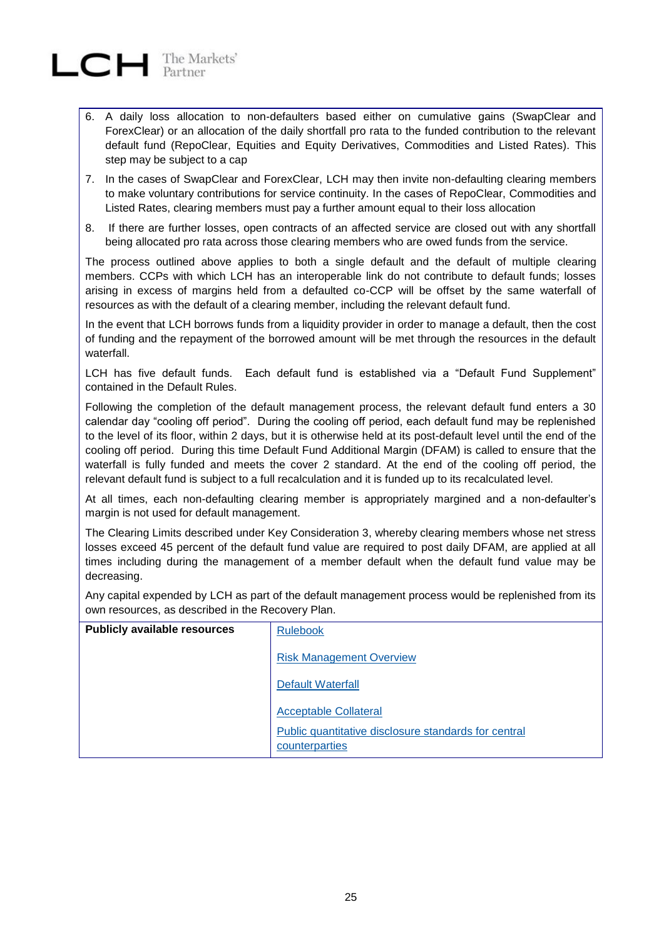

- 6. A daily loss allocation to non-defaulters based either on cumulative gains (SwapClear and ForexClear) or an allocation of the daily shortfall pro rata to the funded contribution to the relevant default fund (RepoClear, Equities and Equity Derivatives, Commodities and Listed Rates). This step may be subject to a cap
- 7. In the cases of SwapClear and ForexClear, LCH may then invite non-defaulting clearing members to make voluntary contributions for service continuity. In the cases of RepoClear, Commodities and Listed Rates, clearing members must pay a further amount equal to their loss allocation
- 8. If there are further losses, open contracts of an affected service are closed out with any shortfall being allocated pro rata across those clearing members who are owed funds from the service.

The process outlined above applies to both a single default and the default of multiple clearing members. CCPs with which LCH has an interoperable link do not contribute to default funds; losses arising in excess of margins held from a defaulted co-CCP will be offset by the same waterfall of resources as with the default of a clearing member, including the relevant default fund.

In the event that LCH borrows funds from a liquidity provider in order to manage a default, then the cost of funding and the repayment of the borrowed amount will be met through the resources in the default waterfall.

LCH has five default funds. Each default fund is established via a "Default Fund Supplement" contained in the Default Rules.

Following the completion of the default management process, the relevant default fund enters a 30 calendar day "cooling off period". During the cooling off period, each default fund may be replenished to the level of its floor, within 2 days, but it is otherwise held at its post-default level until the end of the cooling off period. During this time Default Fund Additional Margin (DFAM) is called to ensure that the waterfall is fully funded and meets the cover 2 standard. At the end of the cooling off period, the relevant default fund is subject to a full recalculation and it is funded up to its recalculated level.

At all times, each non-defaulting clearing member is appropriately margined and a non-defaulter's margin is not used for default management.

The Clearing Limits described under Key Consideration 3, whereby clearing members whose net stress losses exceed 45 percent of the default fund value are required to post daily DFAM, are applied at all times including during the management of a member default when the default fund value may be decreasing.

Any capital expended by LCH as part of the default management process would be replenished from its own resources, as described in the Recovery Plan.

| <b>Publicly available resources</b> | <b>Rulebook</b>                                                        |
|-------------------------------------|------------------------------------------------------------------------|
|                                     | <b>Risk Management Overview</b>                                        |
|                                     | <b>Default Waterfall</b>                                               |
|                                     | <b>Acceptable Collateral</b>                                           |
|                                     | Public quantitative disclosure standards for central<br>counterparties |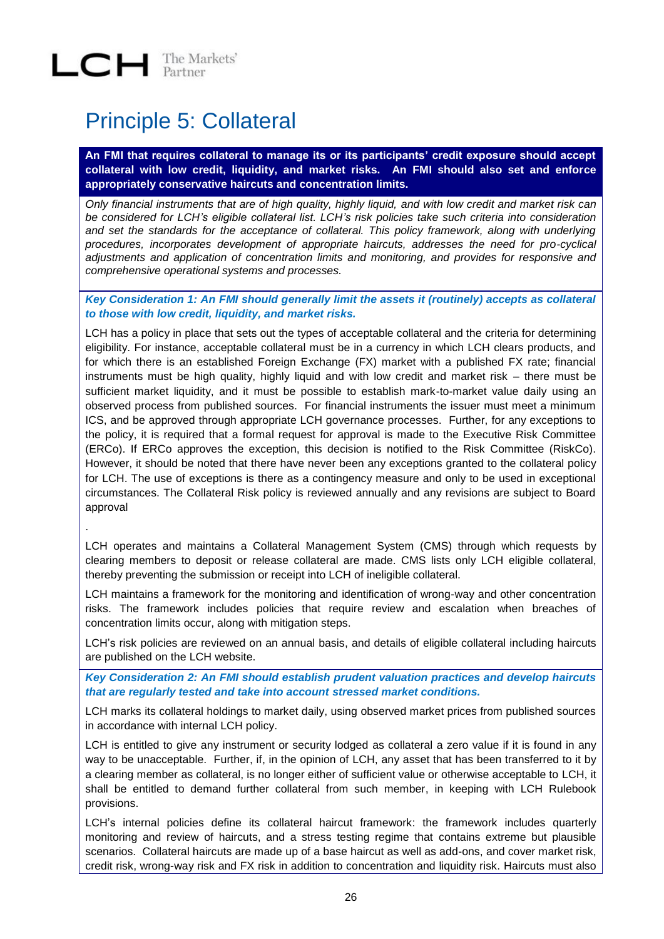### <span id="page-25-0"></span>Principle 5: Collateral

**An FMI that requires collateral to manage its or its participants' credit exposure should accept collateral with low credit, liquidity, and market risks. An FMI should also set and enforce appropriately conservative haircuts and concentration limits.**

*Only financial instruments that are of high quality, highly liquid, and with low credit and market risk can be considered for LCH's eligible collateral list. LCH's risk policies take such criteria into consideration and set the standards for the acceptance of collateral. This policy framework, along with underlying procedures, incorporates development of appropriate haircuts, addresses the need for pro-cyclical adjustments and application of concentration limits and monitoring, and provides for responsive and comprehensive operational systems and processes.*

*Key Consideration 1: An FMI should generally limit the assets it (routinely) accepts as collateral to those with low credit, liquidity, and market risks.*

LCH has a policy in place that sets out the types of acceptable collateral and the criteria for determining eligibility. For instance, acceptable collateral must be in a currency in which LCH clears products, and for which there is an established Foreign Exchange (FX) market with a published FX rate; financial instruments must be high quality, highly liquid and with low credit and market risk – there must be sufficient market liquidity, and it must be possible to establish mark-to-market value daily using an observed process from published sources. For financial instruments the issuer must meet a minimum ICS, and be approved through appropriate LCH governance processes. Further, for any exceptions to the policy, it is required that a formal request for approval is made to the Executive Risk Committee (ERCo). If ERCo approves the exception, this decision is notified to the Risk Committee (RiskCo). However, it should be noted that there have never been any exceptions granted to the collateral policy for LCH. The use of exceptions is there as a contingency measure and only to be used in exceptional circumstances. The Collateral Risk policy is reviewed annually and any revisions are subject to Board approval

.

LCH operates and maintains a Collateral Management System (CMS) through which requests by clearing members to deposit or release collateral are made. CMS lists only LCH eligible collateral, thereby preventing the submission or receipt into LCH of ineligible collateral.

LCH maintains a framework for the monitoring and identification of wrong-way and other concentration risks. The framework includes policies that require review and escalation when breaches of concentration limits occur, along with mitigation steps.

LCH's risk policies are reviewed on an annual basis, and details of eligible collateral including haircuts are published on the LCH website.

*Key Consideration 2: An FMI should establish prudent valuation practices and develop haircuts that are regularly tested and take into account stressed market conditions.*

LCH marks its collateral holdings to market daily, using observed market prices from published sources in accordance with internal LCH policy.

LCH is entitled to give any instrument or security lodged as collateral a zero value if it is found in any way to be unacceptable. Further, if, in the opinion of LCH, any asset that has been transferred to it by a clearing member as collateral, is no longer either of sufficient value or otherwise acceptable to LCH, it shall be entitled to demand further collateral from such member, in keeping with LCH Rulebook provisions.

LCH's internal policies define its collateral haircut framework: the framework includes quarterly monitoring and review of haircuts, and a stress testing regime that contains extreme but plausible scenarios. Collateral haircuts are made up of a base haircut as well as add-ons, and cover market risk, credit risk, wrong-way risk and FX risk in addition to concentration and liquidity risk. Haircuts must also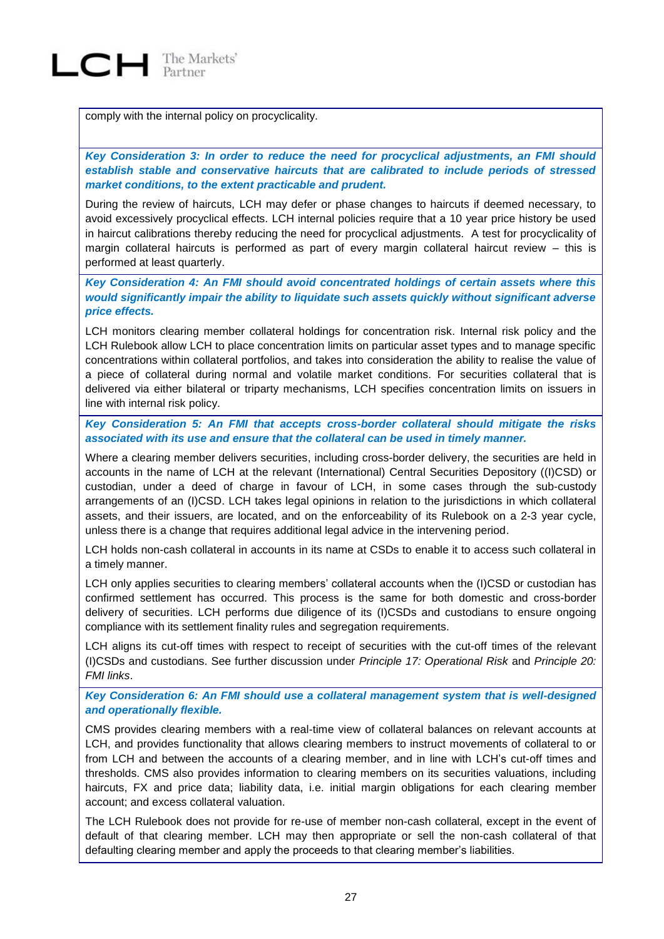

comply with the internal policy on procyclicality.

*Key Consideration 3: In order to reduce the need for procyclical adjustments, an FMI should establish stable and conservative haircuts that are calibrated to include periods of stressed market conditions, to the extent practicable and prudent.* 

During the review of haircuts, LCH may defer or phase changes to haircuts if deemed necessary, to avoid excessively procyclical effects. LCH internal policies require that a 10 year price history be used in haircut calibrations thereby reducing the need for procyclical adjustments. A test for procyclicality of margin collateral haircuts is performed as part of every margin collateral haircut review – this is performed at least quarterly.

*Key Consideration 4: An FMI should avoid concentrated holdings of certain assets where this would significantly impair the ability to liquidate such assets quickly without significant adverse price effects.*

LCH monitors clearing member collateral holdings for concentration risk. Internal risk policy and the LCH Rulebook allow LCH to place concentration limits on particular asset types and to manage specific concentrations within collateral portfolios, and takes into consideration the ability to realise the value of a piece of collateral during normal and volatile market conditions. For securities collateral that is delivered via either bilateral or triparty mechanisms, LCH specifies concentration limits on issuers in line with internal risk policy.

*Key Consideration 5: An FMI that accepts cross-border collateral should mitigate the risks associated with its use and ensure that the collateral can be used in timely manner.* 

Where a clearing member delivers securities, including cross-border delivery, the securities are held in accounts in the name of LCH at the relevant (International) Central Securities Depository ((I)CSD) or custodian, under a deed of charge in favour of LCH, in some cases through the sub-custody arrangements of an (I)CSD. LCH takes legal opinions in relation to the jurisdictions in which collateral assets, and their issuers, are located, and on the enforceability of its Rulebook on a 2-3 year cycle, unless there is a change that requires additional legal advice in the intervening period.

LCH holds non-cash collateral in accounts in its name at CSDs to enable it to access such collateral in a timely manner.

LCH only applies securities to clearing members' collateral accounts when the (I)CSD or custodian has confirmed settlement has occurred. This process is the same for both domestic and cross-border delivery of securities. LCH performs due diligence of its (I)CSDs and custodians to ensure ongoing compliance with its settlement finality rules and segregation requirements.

LCH aligns its cut-off times with respect to receipt of securities with the cut-off times of the relevant (I)CSDs and custodians. See further discussion under *Principle 17: Operational Risk* and *Principle 20: FMI links*.

*Key Consideration 6: An FMI should use a collateral management system that is well-designed and operationally flexible.*

CMS provides clearing members with a real-time view of collateral balances on relevant accounts at LCH, and provides functionality that allows clearing members to instruct movements of collateral to or from LCH and between the accounts of a clearing member, and in line with LCH's cut-off times and thresholds. CMS also provides information to clearing members on its securities valuations, including haircuts, FX and price data; liability data, i.e. initial margin obligations for each clearing member account; and excess collateral valuation.

The LCH Rulebook does not provide for re-use of member non-cash collateral, except in the event of default of that clearing member. LCH may then appropriate or sell the non-cash collateral of that defaulting clearing member and apply the proceeds to that clearing member's liabilities.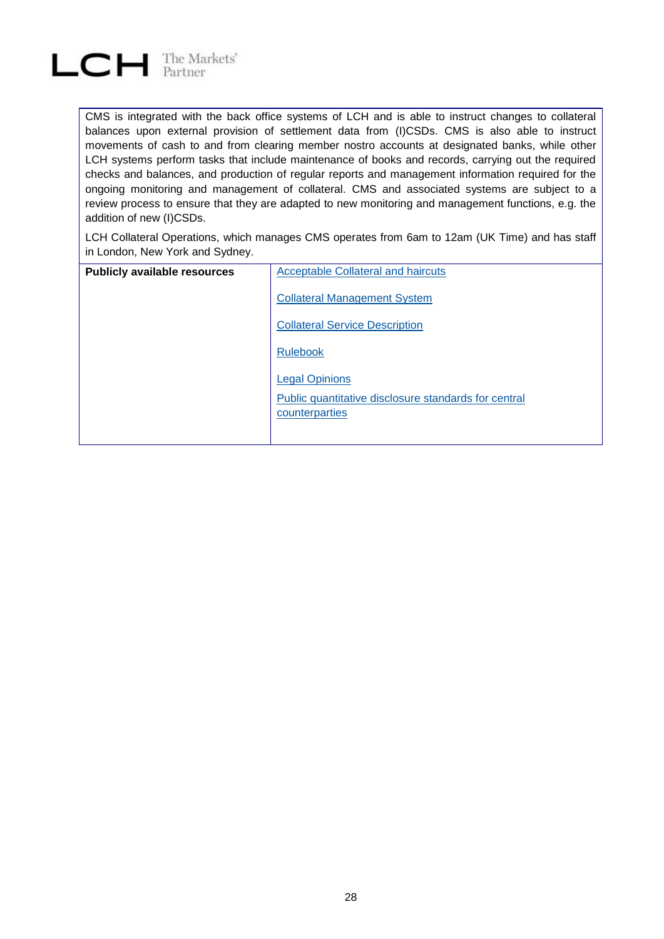

CMS is integrated with the back office systems of LCH and is able to instruct changes to collateral balances upon external provision of settlement data from (I)CSDs. CMS is also able to instruct movements of cash to and from clearing member nostro accounts at designated banks, while other LCH systems perform tasks that include maintenance of books and records, carrying out the required checks and balances, and production of regular reports and management information required for the ongoing monitoring and management of collateral. CMS and associated systems are subject to a review process to ensure that they are adapted to new monitoring and management functions, e.g. the addition of new (I)CSDs.

LCH Collateral Operations, which manages CMS operates from 6am to 12am (UK Time) and has staff in London, New York and Sydney.

| <b>Publicly available resources</b> | <b>Acceptable Collateral and haircuts</b>            |
|-------------------------------------|------------------------------------------------------|
|                                     | <b>Collateral Management System</b>                  |
|                                     | <b>Collateral Service Description</b>                |
|                                     | <b>Rulebook</b>                                      |
|                                     | <b>Legal Opinions</b>                                |
|                                     | Public quantitative disclosure standards for central |
|                                     | counterparties                                       |
|                                     |                                                      |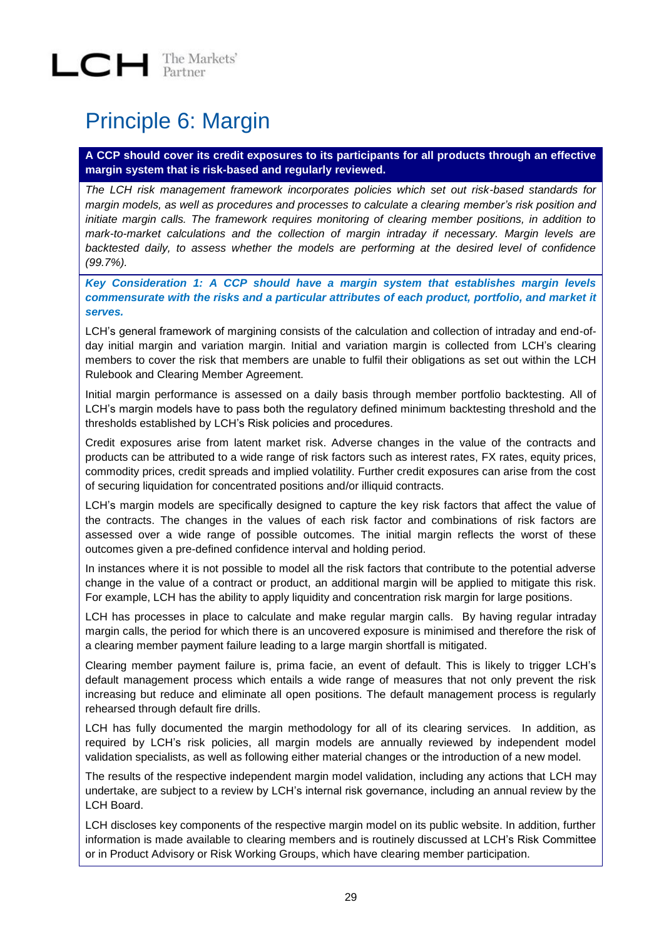### <span id="page-28-0"></span>Principle 6: Margin

**A CCP should cover its credit exposures to its participants for all products through an effective margin system that is risk-based and regularly reviewed.**

*The LCH risk management framework incorporates policies which set out risk-based standards for margin models, as well as procedures and processes to calculate a clearing member's risk position and initiate margin calls. The framework requires monitoring of clearing member positions, in addition to mark-to-market calculations and the collection of margin intraday if necessary. Margin levels are backtested daily, to assess whether the models are performing at the desired level of confidence (99.7%).* 

*Key Consideration 1: A CCP should have a margin system that establishes margin levels commensurate with the risks and a particular attributes of each product, portfolio, and market it serves.*

LCH's general framework of margining consists of the calculation and collection of intraday and end-ofday initial margin and variation margin. Initial and variation margin is collected from LCH's clearing members to cover the risk that members are unable to fulfil their obligations as set out within the LCH Rulebook and Clearing Member Agreement.

Initial margin performance is assessed on a daily basis through member portfolio backtesting. All of LCH's margin models have to pass both the regulatory defined minimum backtesting threshold and the thresholds established by LCH's Risk policies and procedures.

Credit exposures arise from latent market risk. Adverse changes in the value of the contracts and products can be attributed to a wide range of risk factors such as interest rates, FX rates, equity prices, commodity prices, credit spreads and implied volatility. Further credit exposures can arise from the cost of securing liquidation for concentrated positions and/or illiquid contracts.

LCH's margin models are specifically designed to capture the key risk factors that affect the value of the contracts. The changes in the values of each risk factor and combinations of risk factors are assessed over a wide range of possible outcomes. The initial margin reflects the worst of these outcomes given a pre-defined confidence interval and holding period.

In instances where it is not possible to model all the risk factors that contribute to the potential adverse change in the value of a contract or product, an additional margin will be applied to mitigate this risk. For example, LCH has the ability to apply liquidity and concentration risk margin for large positions.

LCH has processes in place to calculate and make regular margin calls. By having regular intraday margin calls, the period for which there is an uncovered exposure is minimised and therefore the risk of a clearing member payment failure leading to a large margin shortfall is mitigated.

Clearing member payment failure is, prima facie, an event of default. This is likely to trigger LCH's default management process which entails a wide range of measures that not only prevent the risk increasing but reduce and eliminate all open positions. The default management process is regularly rehearsed through default fire drills.

LCH has fully documented the margin methodology for all of its clearing services. In addition, as required by LCH's risk policies, all margin models are annually reviewed by independent model validation specialists, as well as following either material changes or the introduction of a new model.

The results of the respective independent margin model validation, including any actions that LCH may undertake, are subject to a review by LCH's internal risk governance, including an annual review by the LCH Board.

LCH discloses key components of the respective margin model on its public website. In addition, further information is made available to clearing members and is routinely discussed at LCH's Risk Committee or in Product Advisory or Risk Working Groups, which have clearing member participation.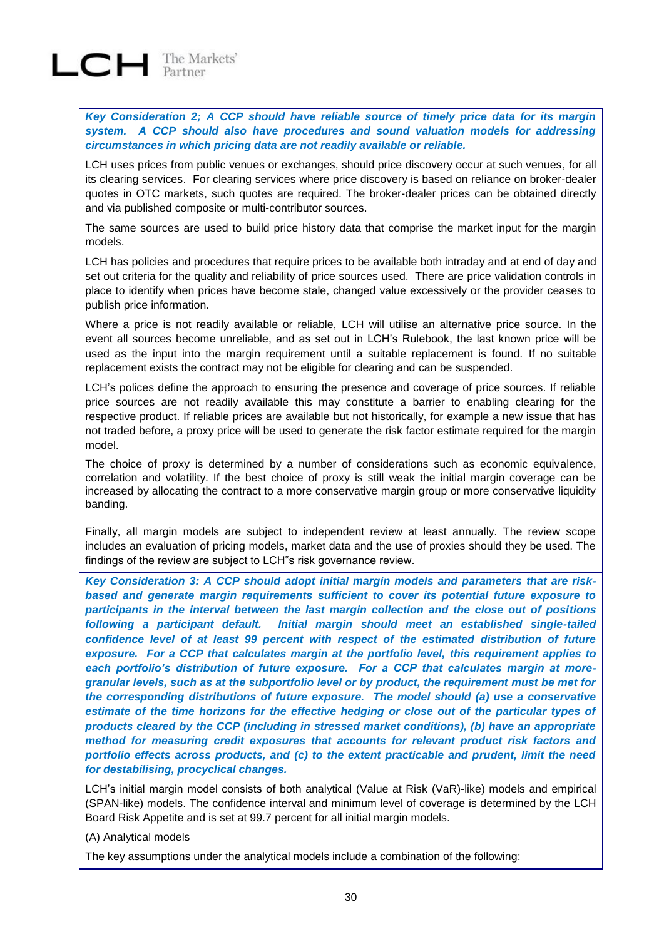

*Key Consideration 2; A CCP should have reliable source of timely price data for its margin system. A CCP should also have procedures and sound valuation models for addressing circumstances in which pricing data are not readily available or reliable.*

LCH uses prices from public venues or exchanges, should price discovery occur at such venues, for all its clearing services. For clearing services where price discovery is based on reliance on broker-dealer quotes in OTC markets, such quotes are required. The broker-dealer prices can be obtained directly and via published composite or multi-contributor sources.

The same sources are used to build price history data that comprise the market input for the margin models.

LCH has policies and procedures that require prices to be available both intraday and at end of day and set out criteria for the quality and reliability of price sources used. There are price validation controls in place to identify when prices have become stale, changed value excessively or the provider ceases to publish price information.

Where a price is not readily available or reliable, LCH will utilise an alternative price source. In the event all sources become unreliable, and as set out in LCH's Rulebook, the last known price will be used as the input into the margin requirement until a suitable replacement is found. If no suitable replacement exists the contract may not be eligible for clearing and can be suspended.

LCH's polices define the approach to ensuring the presence and coverage of price sources. If reliable price sources are not readily available this may constitute a barrier to enabling clearing for the respective product. If reliable prices are available but not historically, for example a new issue that has not traded before, a proxy price will be used to generate the risk factor estimate required for the margin model.

The choice of proxy is determined by a number of considerations such as economic equivalence, correlation and volatility. If the best choice of proxy is still weak the initial margin coverage can be increased by allocating the contract to a more conservative margin group or more conservative liquidity banding.

Finally, all margin models are subject to independent review at least annually. The review scope includes an evaluation of pricing models, market data and the use of proxies should they be used. The findings of the review are subject to LCH"s risk governance review.

*Key Consideration 3: A CCP should adopt initial margin models and parameters that are riskbased and generate margin requirements sufficient to cover its potential future exposure to participants in the interval between the last margin collection and the close out of positions following a participant default. Initial margin should meet an established single-tailed confidence level of at least 99 percent with respect of the estimated distribution of future exposure. For a CCP that calculates margin at the portfolio level, this requirement applies to each portfolio's distribution of future exposure. For a CCP that calculates margin at moregranular levels, such as at the subportfolio level or by product, the requirement must be met for the corresponding distributions of future exposure. The model should (a) use a conservative estimate of the time horizons for the effective hedging or close out of the particular types of products cleared by the CCP (including in stressed market conditions), (b) have an appropriate method for measuring credit exposures that accounts for relevant product risk factors and portfolio effects across products, and (c) to the extent practicable and prudent, limit the need for destabilising, procyclical changes.* 

LCH's initial margin model consists of both analytical (Value at Risk (VaR)-like) models and empirical (SPAN-like) models. The confidence interval and minimum level of coverage is determined by the LCH Board Risk Appetite and is set at 99.7 percent for all initial margin models.

(A) Analytical models

The key assumptions under the analytical models include a combination of the following: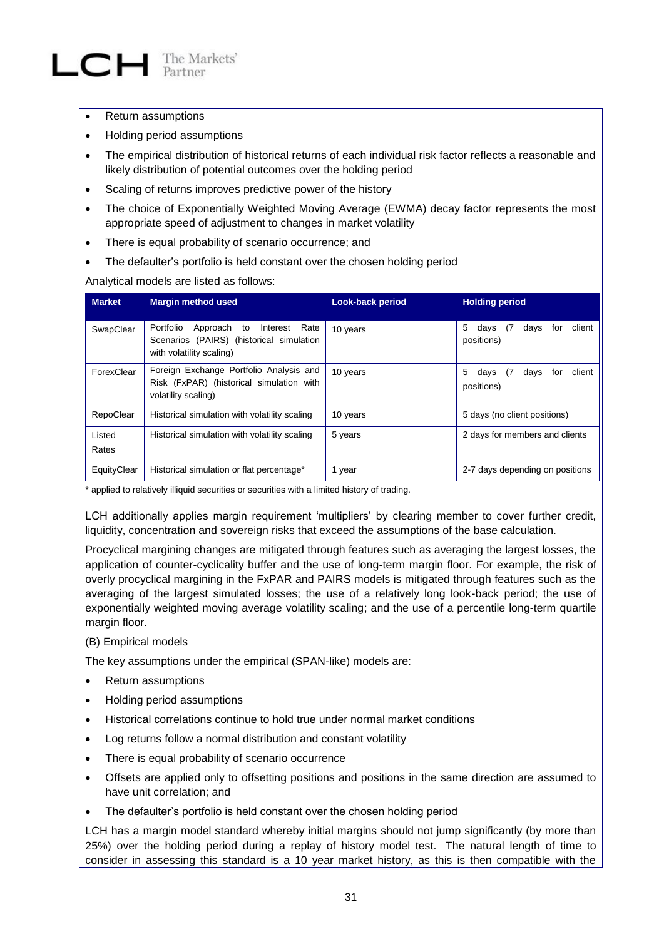- Return assumptions
- Holding period assumptions
- The empirical distribution of historical returns of each individual risk factor reflects a reasonable and likely distribution of potential outcomes over the holding period
- Scaling of returns improves predictive power of the history
- The choice of Exponentially Weighted Moving Average (EWMA) decay factor represents the most appropriate speed of adjustment to changes in market volatility
- There is equal probability of scenario occurrence; and
- The defaulter's portfolio is held constant over the chosen holding period

Analytical models are listed as follows:

| <b>Market</b>   | <b>Margin method used</b>                                                                                               | <b>Look-back period</b> | <b>Holding period</b>                                    |
|-----------------|-------------------------------------------------------------------------------------------------------------------------|-------------------------|----------------------------------------------------------|
| SwapClear       | Portfolio<br>Approach<br>Interest<br>to<br>Rate<br>Scenarios (PAIRS) (historical simulation<br>with volatility scaling) | 10 years                | 5<br>days<br>client<br>(7<br>davs<br>for<br>positions)   |
| ForexClear      | Foreign Exchange Portfolio Analysis and<br>Risk (FxPAR) (historical simulation with<br>volatility scaling)              | 10 years                | 5<br>client<br>days<br>davs<br>- 17<br>for<br>positions) |
| RepoClear       | Historical simulation with volatility scaling                                                                           | 10 years                | 5 days (no client positions)                             |
| Listed<br>Rates | Historical simulation with volatility scaling                                                                           | 5 years                 | 2 days for members and clients                           |
| EquityClear     | Historical simulation or flat percentage*                                                                               | 1 year                  | 2-7 days depending on positions                          |

\* applied to relatively illiquid securities or securities with a limited history of trading.

LCH additionally applies margin requirement 'multipliers' by clearing member to cover further credit, liquidity, concentration and sovereign risks that exceed the assumptions of the base calculation.

Procyclical margining changes are mitigated through features such as averaging the largest losses, the application of counter-cyclicality buffer and the use of long-term margin floor. For example, the risk of overly procyclical margining in the FxPAR and PAIRS models is mitigated through features such as the averaging of the largest simulated losses; the use of a relatively long look-back period; the use of exponentially weighted moving average volatility scaling; and the use of a percentile long-term quartile margin floor.

(B) Empirical models

The key assumptions under the empirical (SPAN-like) models are:

- Return assumptions
- Holding period assumptions
- Historical correlations continue to hold true under normal market conditions
- Log returns follow a normal distribution and constant volatility
- There is equal probability of scenario occurrence
- Offsets are applied only to offsetting positions and positions in the same direction are assumed to have unit correlation; and
- The defaulter's portfolio is held constant over the chosen holding period

LCH has a margin model standard whereby initial margins should not jump significantly (by more than 25%) over the holding period during a replay of history model test. The natural length of time to consider in assessing this standard is a 10 year market history, as this is then compatible with the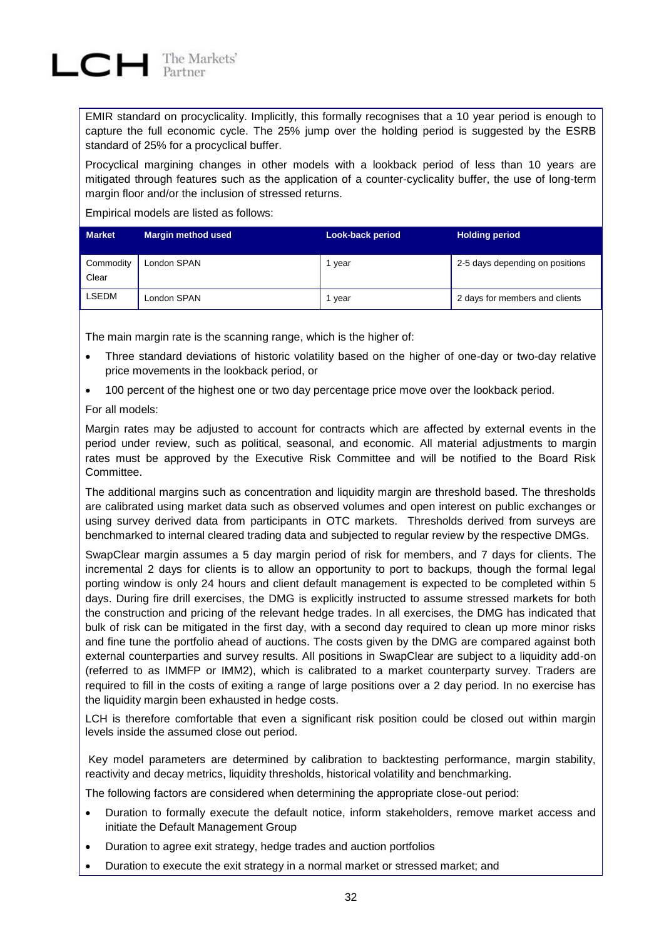EMIR standard on procyclicality. Implicitly, this formally recognises that a 10 year period is enough to capture the full economic cycle. The 25% jump over the holding period is suggested by the ESRB standard of 25% for a procyclical buffer.

Procyclical margining changes in other models with a lookback period of less than 10 years are mitigated through features such as the application of a counter-cyclicality buffer, the use of long-term margin floor and/or the inclusion of stressed returns.

Empirical models are listed as follows:

| <b>Market</b>      | <b>Margin method used</b> | <b>Look-back period</b> | <b>Holding period</b>           |
|--------------------|---------------------------|-------------------------|---------------------------------|
| Commodity<br>Clear | London SPAN               | year                    | 2-5 days depending on positions |
| <b>LSEDM</b>       | London SPAN               | vear                    | 2 days for members and clients  |

The main margin rate is the scanning range, which is the higher of:

- Three standard deviations of historic volatility based on the higher of one-day or two-day relative price movements in the lookback period, or
- 100 percent of the highest one or two day percentage price move over the lookback period.

For all models:

Margin rates may be adjusted to account for contracts which are affected by external events in the period under review, such as political, seasonal, and economic. All material adjustments to margin rates must be approved by the Executive Risk Committee and will be notified to the Board Risk Committee.

The additional margins such as concentration and liquidity margin are threshold based. The thresholds are calibrated using market data such as observed volumes and open interest on public exchanges or using survey derived data from participants in OTC markets. Thresholds derived from surveys are benchmarked to internal cleared trading data and subjected to regular review by the respective DMGs.

SwapClear margin assumes a 5 day margin period of risk for members, and 7 days for clients. The incremental 2 days for clients is to allow an opportunity to port to backups, though the formal legal porting window is only 24 hours and client default management is expected to be completed within 5 days. During fire drill exercises, the DMG is explicitly instructed to assume stressed markets for both the construction and pricing of the relevant hedge trades. In all exercises, the DMG has indicated that bulk of risk can be mitigated in the first day, with a second day required to clean up more minor risks and fine tune the portfolio ahead of auctions. The costs given by the DMG are compared against both external counterparties and survey results. All positions in SwapClear are subject to a liquidity add-on (referred to as IMMFP or IMM2), which is calibrated to a market counterparty survey. Traders are required to fill in the costs of exiting a range of large positions over a 2 day period. In no exercise has the liquidity margin been exhausted in hedge costs.

LCH is therefore comfortable that even a significant risk position could be closed out within margin levels inside the assumed close out period.

Key model parameters are determined by calibration to backtesting performance, margin stability, reactivity and decay metrics, liquidity thresholds, historical volatility and benchmarking.

The following factors are considered when determining the appropriate close-out period:

- Duration to formally execute the default notice, inform stakeholders, remove market access and initiate the Default Management Group
- Duration to agree exit strategy, hedge trades and auction portfolios
- Duration to execute the exit strategy in a normal market or stressed market; and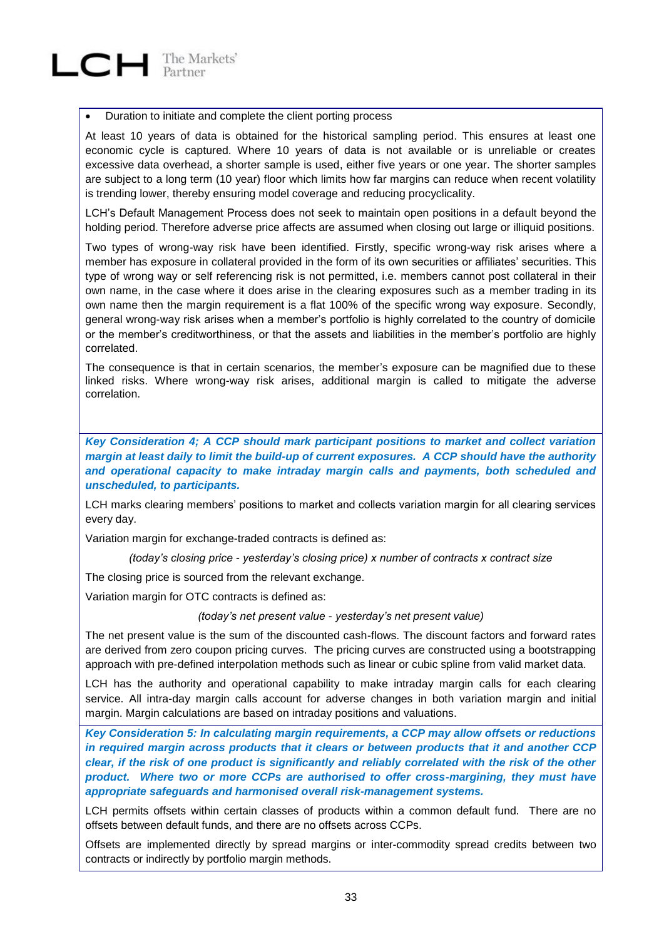#### Duration to initiate and complete the client porting process

At least 10 years of data is obtained for the historical sampling period. This ensures at least one economic cycle is captured. Where 10 years of data is not available or is unreliable or creates excessive data overhead, a shorter sample is used, either five years or one year. The shorter samples are subject to a long term (10 year) floor which limits how far margins can reduce when recent volatility is trending lower, thereby ensuring model coverage and reducing procyclicality.

LCH's Default Management Process does not seek to maintain open positions in a default beyond the holding period. Therefore adverse price affects are assumed when closing out large or illiquid positions.

Two types of wrong-way risk have been identified. Firstly, specific wrong-way risk arises where a member has exposure in collateral provided in the form of its own securities or affiliates' securities. This type of wrong way or self referencing risk is not permitted, i.e. members cannot post collateral in their own name, in the case where it does arise in the clearing exposures such as a member trading in its own name then the margin requirement is a flat 100% of the specific wrong way exposure. Secondly, general wrong-way risk arises when a member's portfolio is highly correlated to the country of domicile or the member's creditworthiness, or that the assets and liabilities in the member's portfolio are highly correlated.

The consequence is that in certain scenarios, the member's exposure can be magnified due to these linked risks. Where wrong-way risk arises, additional margin is called to mitigate the adverse correlation.

*Key Consideration 4; A CCP should mark participant positions to market and collect variation margin at least daily to limit the build-up of current exposures. A CCP should have the authority and operational capacity to make intraday margin calls and payments, both scheduled and unscheduled, to participants.* 

LCH marks clearing members' positions to market and collects variation margin for all clearing services every day.

Variation margin for exchange-traded contracts is defined as:

*(today's closing price - yesterday's closing price) x number of contracts x contract size*

The closing price is sourced from the relevant exchange.

Variation margin for OTC contracts is defined as:

*(today's net present value - yesterday's net present value)*

The net present value is the sum of the discounted cash-flows. The discount factors and forward rates are derived from zero coupon pricing curves. The pricing curves are constructed using a bootstrapping approach with pre-defined interpolation methods such as linear or cubic spline from valid market data.

LCH has the authority and operational capability to make intraday margin calls for each clearing service. All intra-day margin calls account for adverse changes in both variation margin and initial margin. Margin calculations are based on intraday positions and valuations.

*Key Consideration 5: In calculating margin requirements, a CCP may allow offsets or reductions in required margin across products that it clears or between products that it and another CCP clear, if the risk of one product is significantly and reliably correlated with the risk of the other product. Where two or more CCPs are authorised to offer cross-margining, they must have appropriate safeguards and harmonised overall risk-management systems.*

LCH permits offsets within certain classes of products within a common default fund. There are no offsets between default funds, and there are no offsets across CCPs.

Offsets are implemented directly by spread margins or inter-commodity spread credits between two contracts or indirectly by portfolio margin methods.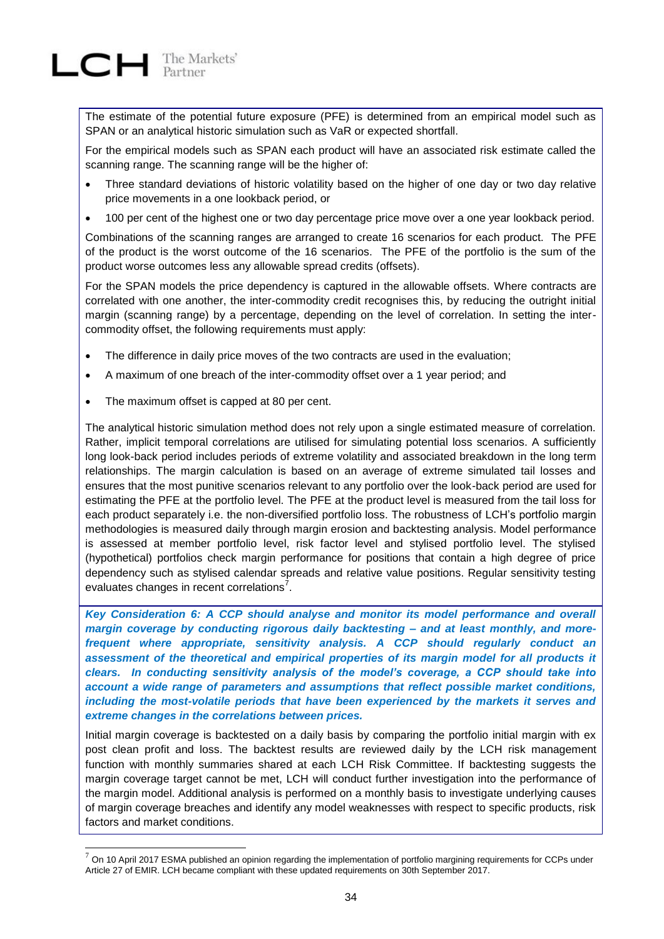The estimate of the potential future exposure (PFE) is determined from an empirical model such as SPAN or an analytical historic simulation such as VaR or expected shortfall.

For the empirical models such as SPAN each product will have an associated risk estimate called the scanning range. The scanning range will be the higher of:

- Three standard deviations of historic volatility based on the higher of one day or two day relative price movements in a one lookback period, or
- 100 per cent of the highest one or two day percentage price move over a one year lookback period.

Combinations of the scanning ranges are arranged to create 16 scenarios for each product. The PFE of the product is the worst outcome of the 16 scenarios. The PFE of the portfolio is the sum of the product worse outcomes less any allowable spread credits (offsets).

For the SPAN models the price dependency is captured in the allowable offsets. Where contracts are correlated with one another, the inter-commodity credit recognises this, by reducing the outright initial margin (scanning range) by a percentage, depending on the level of correlation. In setting the intercommodity offset, the following requirements must apply:

- The difference in daily price moves of the two contracts are used in the evaluation;
- A maximum of one breach of the inter-commodity offset over a 1 year period; and
- The maximum offset is capped at 80 per cent.

l

The analytical historic simulation method does not rely upon a single estimated measure of correlation. Rather, implicit temporal correlations are utilised for simulating potential loss scenarios. A sufficiently long look-back period includes periods of extreme volatility and associated breakdown in the long term relationships. The margin calculation is based on an average of extreme simulated tail losses and ensures that the most punitive scenarios relevant to any portfolio over the look-back period are used for estimating the PFE at the portfolio level. The PFE at the product level is measured from the tail loss for each product separately i.e. the non-diversified portfolio loss. The robustness of LCH's portfolio margin methodologies is measured daily through margin erosion and backtesting analysis. Model performance is assessed at member portfolio level, risk factor level and stylised portfolio level. The stylised (hypothetical) portfolios check margin performance for positions that contain a high degree of price dependency such as stylised calendar spreads and relative value positions. Regular sensitivity testing evaluates changes in recent correlations<sup>7</sup>.

*Key Consideration 6: A CCP should analyse and monitor its model performance and overall margin coverage by conducting rigorous daily backtesting – and at least monthly, and morefrequent where appropriate, sensitivity analysis. A CCP should regularly conduct an assessment of the theoretical and empirical properties of its margin model for all products it clears. In conducting sensitivity analysis of the model's coverage, a CCP should take into account a wide range of parameters and assumptions that reflect possible market conditions, including the most-volatile periods that have been experienced by the markets it serves and extreme changes in the correlations between prices.*

Initial margin coverage is backtested on a daily basis by comparing the portfolio initial margin with ex post clean profit and loss. The backtest results are reviewed daily by the LCH risk management function with monthly summaries shared at each LCH Risk Committee. If backtesting suggests the margin coverage target cannot be met, LCH will conduct further investigation into the performance of the margin model. Additional analysis is performed on a monthly basis to investigate underlying causes of margin coverage breaches and identify any model weaknesses with respect to specific products, risk factors and market conditions.

<sup>7</sup> On 10 April 2017 ESMA published an opinion regarding the implementation of portfolio margining requirements for CCPs under Article 27 of EMIR. LCH became compliant with these updated requirements on 30th September 2017.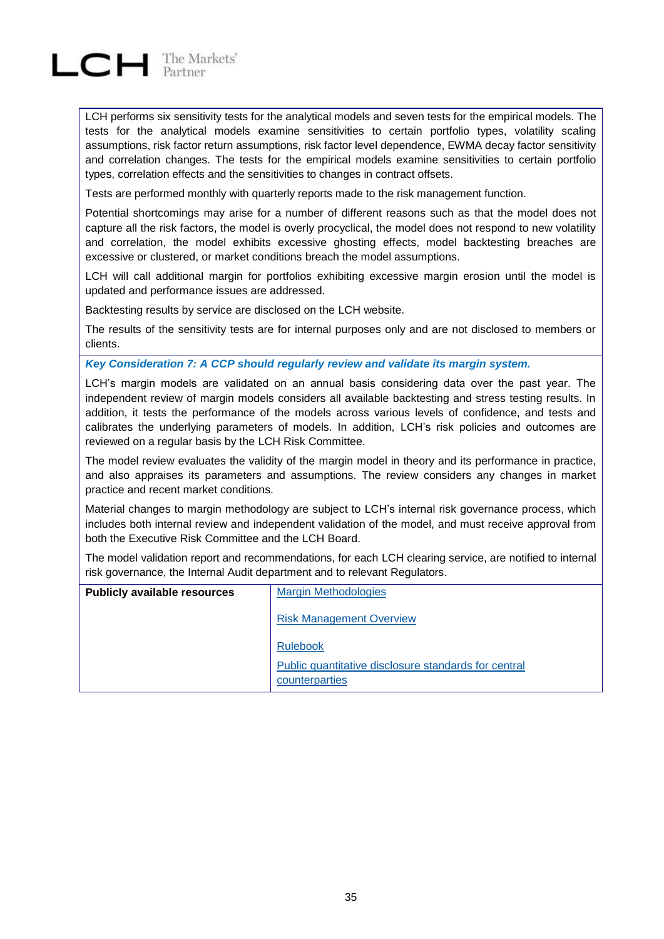

LCH performs six sensitivity tests for the analytical models and seven tests for the empirical models. The tests for the analytical models examine sensitivities to certain portfolio types, volatility scaling assumptions, risk factor return assumptions, risk factor level dependence, EWMA decay factor sensitivity and correlation changes. The tests for the empirical models examine sensitivities to certain portfolio types, correlation effects and the sensitivities to changes in contract offsets.

Tests are performed monthly with quarterly reports made to the risk management function.

Potential shortcomings may arise for a number of different reasons such as that the model does not capture all the risk factors, the model is overly procyclical, the model does not respond to new volatility and correlation, the model exhibits excessive ghosting effects, model backtesting breaches are excessive or clustered, or market conditions breach the model assumptions.

LCH will call additional margin for portfolios exhibiting excessive margin erosion until the model is updated and performance issues are addressed.

Backtesting results by service are disclosed on the LCH website.

The results of the sensitivity tests are for internal purposes only and are not disclosed to members or clients.

*Key Consideration 7: A CCP should regularly review and validate its margin system.*

LCH's margin models are validated on an annual basis considering data over the past year. The independent review of margin models considers all available backtesting and stress testing results. In addition, it tests the performance of the models across various levels of confidence, and tests and calibrates the underlying parameters of models. In addition, LCH's risk policies and outcomes are reviewed on a regular basis by the LCH Risk Committee.

The model review evaluates the validity of the margin model in theory and its performance in practice, and also appraises its parameters and assumptions. The review considers any changes in market practice and recent market conditions.

Material changes to margin methodology are subject to LCH's internal risk governance process, which includes both internal review and independent validation of the model, and must receive approval from both the Executive Risk Committee and the LCH Board.

The model validation report and recommendations, for each LCH clearing service, are notified to internal risk governance, the Internal Audit department and to relevant Regulators.

| <b>Publicly available resources</b> | <b>Margin Methodologies</b>                                            |  |
|-------------------------------------|------------------------------------------------------------------------|--|
|                                     | <b>Risk Management Overview</b>                                        |  |
|                                     | <b>Rulebook</b>                                                        |  |
|                                     | Public quantitative disclosure standards for central<br>counterparties |  |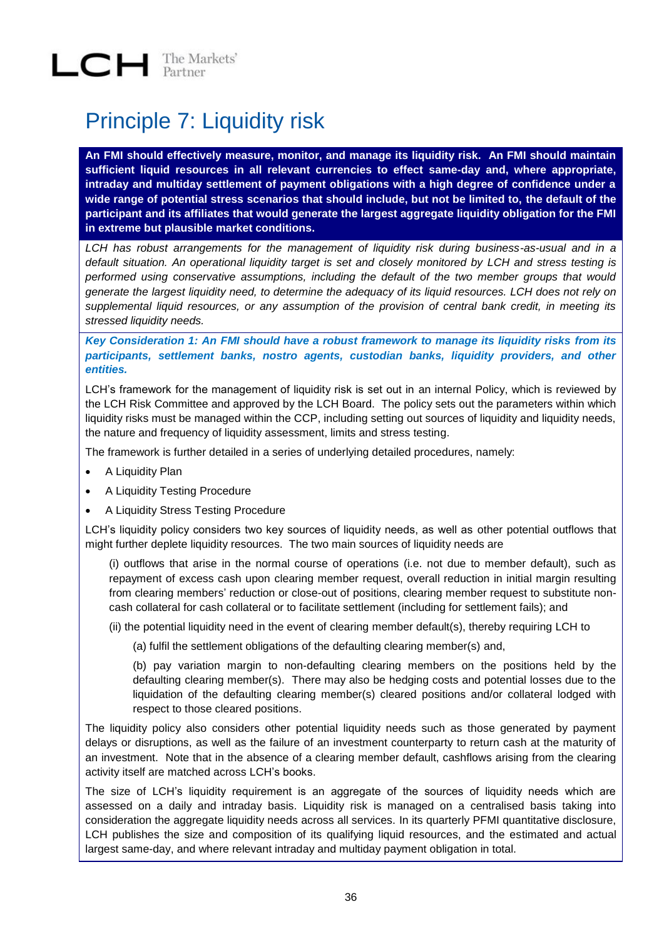## <span id="page-35-0"></span>Principle 7: Liquidity risk

**An FMI should effectively measure, monitor, and manage its liquidity risk. An FMI should maintain sufficient liquid resources in all relevant currencies to effect same-day and, where appropriate, intraday and multiday settlement of payment obligations with a high degree of confidence under a wide range of potential stress scenarios that should include, but not be limited to, the default of the participant and its affiliates that would generate the largest aggregate liquidity obligation for the FMI in extreme but plausible market conditions.**

*LCH has robust arrangements for the management of liquidity risk during business-as-usual and in a default situation. An operational liquidity target is set and closely monitored by LCH and stress testing is performed using conservative assumptions, including the default of the two member groups that would generate the largest liquidity need, to determine the adequacy of its liquid resources. LCH does not rely on supplemental liquid resources, or any assumption of the provision of central bank credit, in meeting its stressed liquidity needs.* 

*Key Consideration 1: An FMI should have a robust framework to manage its liquidity risks from its participants, settlement banks, nostro agents, custodian banks, liquidity providers, and other entities.*

LCH's framework for the management of liquidity risk is set out in an internal Policy, which is reviewed by the LCH Risk Committee and approved by the LCH Board. The policy sets out the parameters within which liquidity risks must be managed within the CCP, including setting out sources of liquidity and liquidity needs, the nature and frequency of liquidity assessment, limits and stress testing.

The framework is further detailed in a series of underlying detailed procedures, namely:

- A Liquidity Plan
- A Liquidity Testing Procedure
- A Liquidity Stress Testing Procedure

LCH's liquidity policy considers two key sources of liquidity needs, as well as other potential outflows that might further deplete liquidity resources. The two main sources of liquidity needs are

(i) outflows that arise in the normal course of operations (i.e. not due to member default), such as repayment of excess cash upon clearing member request, overall reduction in initial margin resulting from clearing members' reduction or close-out of positions, clearing member request to substitute noncash collateral for cash collateral or to facilitate settlement (including for settlement fails); and

(ii) the potential liquidity need in the event of clearing member default(s), thereby requiring LCH to

(a) fulfil the settlement obligations of the defaulting clearing member(s) and,

(b) pay variation margin to non-defaulting clearing members on the positions held by the defaulting clearing member(s). There may also be hedging costs and potential losses due to the liquidation of the defaulting clearing member(s) cleared positions and/or collateral lodged with respect to those cleared positions.

The liquidity policy also considers other potential liquidity needs such as those generated by payment delays or disruptions, as well as the failure of an investment counterparty to return cash at the maturity of an investment. Note that in the absence of a clearing member default, cashflows arising from the clearing activity itself are matched across LCH's books.

The size of LCH's liquidity requirement is an aggregate of the sources of liquidity needs which are assessed on a daily and intraday basis. Liquidity risk is managed on a centralised basis taking into consideration the aggregate liquidity needs across all services. In its quarterly PFMI quantitative disclosure, LCH publishes the size and composition of its qualifying liquid resources, and the estimated and actual largest same-day, and where relevant intraday and multiday payment obligation in total.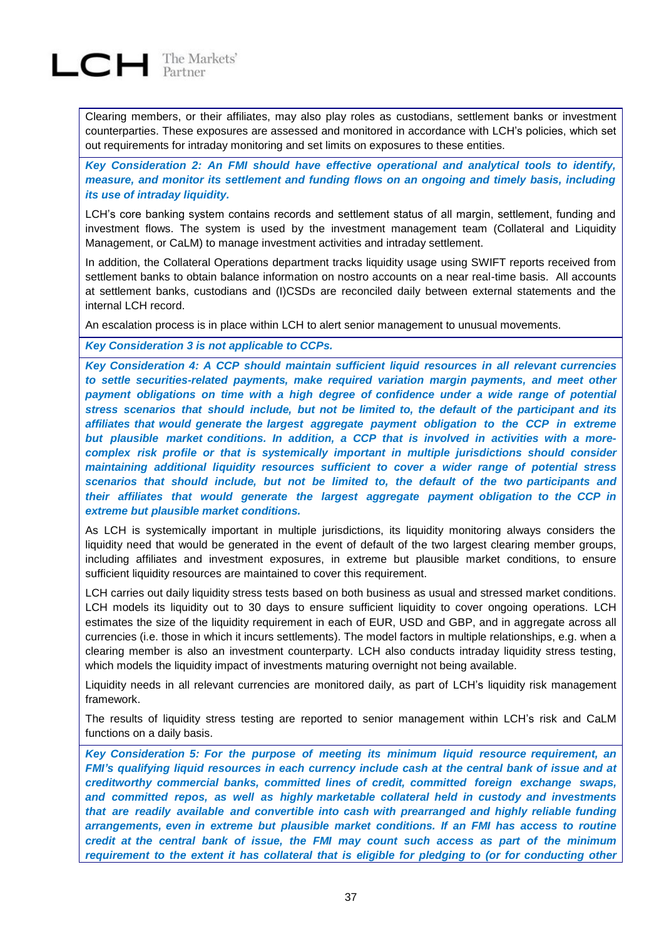# $LCH$  The Markets'

Clearing members, or their affiliates, may also play roles as custodians, settlement banks or investment counterparties. These exposures are assessed and monitored in accordance with LCH's policies, which set out requirements for intraday monitoring and set limits on exposures to these entities.

*Key Consideration 2: An FMI should have effective operational and analytical tools to identify, measure, and monitor its settlement and funding flows on an ongoing and timely basis, including its use of intraday liquidity.*

LCH's core banking system contains records and settlement status of all margin, settlement, funding and investment flows. The system is used by the investment management team (Collateral and Liquidity Management, or CaLM) to manage investment activities and intraday settlement.

In addition, the Collateral Operations department tracks liquidity usage using SWIFT reports received from settlement banks to obtain balance information on nostro accounts on a near real-time basis. All accounts at settlement banks, custodians and (I)CSDs are reconciled daily between external statements and the internal LCH record.

An escalation process is in place within LCH to alert senior management to unusual movements.

*Key Consideration 3 is not applicable to CCPs.*

*Key Consideration 4: A CCP should maintain sufficient liquid resources in all relevant currencies to settle securities-related payments, make required variation margin payments, and meet other payment obligations on time with a high degree of confidence under a wide range of potential stress scenarios that should include, but not be limited to, the default of the participant and its affiliates that would generate the largest aggregate payment obligation to the CCP in extreme but plausible market conditions. In addition, a CCP that is involved in activities with a morecomplex risk profile or that is systemically important in multiple jurisdictions should consider maintaining additional liquidity resources sufficient to cover a wider range of potential stress scenarios that should include, but not be limited to, the default of the two participants and their affiliates that would generate the largest aggregate payment obligation to the CCP in extreme but plausible market conditions.*

As LCH is systemically important in multiple jurisdictions, its liquidity monitoring always considers the liquidity need that would be generated in the event of default of the two largest clearing member groups, including affiliates and investment exposures, in extreme but plausible market conditions, to ensure sufficient liquidity resources are maintained to cover this requirement.

LCH carries out daily liquidity stress tests based on both business as usual and stressed market conditions. LCH models its liquidity out to 30 days to ensure sufficient liquidity to cover ongoing operations. LCH estimates the size of the liquidity requirement in each of EUR, USD and GBP, and in aggregate across all currencies (i.e. those in which it incurs settlements). The model factors in multiple relationships, e.g. when a clearing member is also an investment counterparty. LCH also conducts intraday liquidity stress testing, which models the liquidity impact of investments maturing overnight not being available.

Liquidity needs in all relevant currencies are monitored daily, as part of LCH's liquidity risk management framework.

The results of liquidity stress testing are reported to senior management within LCH's risk and CaLM functions on a daily basis.

*Key Consideration 5: For the purpose of meeting its minimum liquid resource requirement, an FMI's qualifying liquid resources in each currency include cash at the central bank of issue and at creditworthy commercial banks, committed lines of credit, committed foreign exchange swaps, and committed repos, as well as highly marketable collateral held in custody and investments that are readily available and convertible into cash with prearranged and highly reliable funding arrangements, even in extreme but plausible market conditions. If an FMI has access to routine credit at the central bank of issue, the FMI may count such access as part of the minimum requirement to the extent it has collateral that is eligible for pledging to (or for conducting other*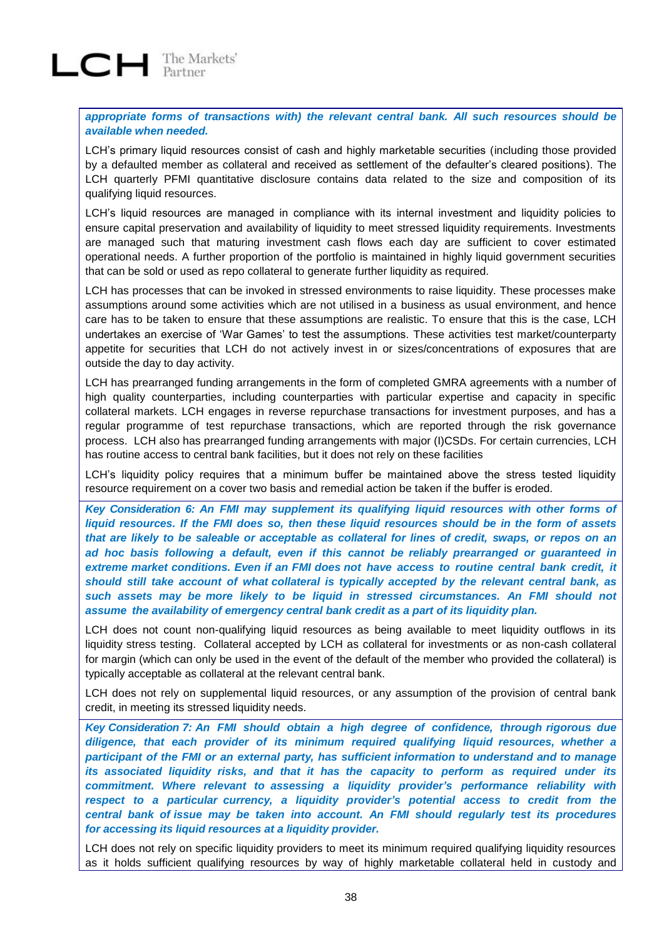$LCH$  The Markets'

*appropriate forms of transactions with) the relevant central bank. All such resources should be available when needed.*

LCH's primary liquid resources consist of cash and highly marketable securities (including those provided by a defaulted member as collateral and received as settlement of the defaulter's cleared positions). The LCH quarterly PFMI quantitative disclosure contains data related to the size and composition of its qualifying liquid resources.

LCH's liquid resources are managed in compliance with its internal investment and liquidity policies to ensure capital preservation and availability of liquidity to meet stressed liquidity requirements. Investments are managed such that maturing investment cash flows each day are sufficient to cover estimated operational needs. A further proportion of the portfolio is maintained in highly liquid government securities that can be sold or used as repo collateral to generate further liquidity as required.

LCH has processes that can be invoked in stressed environments to raise liquidity. These processes make assumptions around some activities which are not utilised in a business as usual environment, and hence care has to be taken to ensure that these assumptions are realistic. To ensure that this is the case, LCH undertakes an exercise of 'War Games' to test the assumptions. These activities test market/counterparty appetite for securities that LCH do not actively invest in or sizes/concentrations of exposures that are outside the day to day activity.

LCH has prearranged funding arrangements in the form of completed GMRA agreements with a number of high quality counterparties, including counterparties with particular expertise and capacity in specific collateral markets. LCH engages in reverse repurchase transactions for investment purposes, and has a regular programme of test repurchase transactions, which are reported through the risk governance process. LCH also has prearranged funding arrangements with major (I)CSDs. For certain currencies, LCH has routine access to central bank facilities, but it does not rely on these facilities

LCH's liquidity policy requires that a minimum buffer be maintained above the stress tested liquidity resource requirement on a cover two basis and remedial action be taken if the buffer is eroded.

*Key Consideration 6: An FMI may supplement its qualifying liquid resources with other forms of liquid resources. If the FMI does so, then these liquid resources should be in the form of assets* that are likely to be saleable or acceptable as collateral for lines of credit, swaps, or repos on an *ad hoc basis following a default, even if this cannot be reliably prearranged or guaranteed in extreme market conditions. Even if an FMI does not have access to routine central bank credit, it should still take account of what collateral is typically accepted by the relevant central bank, as such assets may be more likely to be liquid in stressed circumstances. An FMI should not assume the availability of emergency central bank credit as a part of its liquidity plan.*

LCH does not count non-qualifying liquid resources as being available to meet liquidity outflows in its liquidity stress testing. Collateral accepted by LCH as collateral for investments or as non-cash collateral for margin (which can only be used in the event of the default of the member who provided the collateral) is typically acceptable as collateral at the relevant central bank.

LCH does not rely on supplemental liquid resources, or any assumption of the provision of central bank credit, in meeting its stressed liquidity needs.

*Key Consideration 7: An FMI should obtain a high degree of confidence, through rigorous due diligence, that each provider of its minimum required qualifying liquid resources, whether a participant of the FMI or an external party, has sufficient information to understand and to manage its associated liquidity risks, and that it has the capacity to perform as required under its commitment. Where relevant to assessing a liquidity provider's performance reliability with respect to a particular currency, a liquidity provider's potential access to credit from the central bank of issue may be taken into account. An FMI should regularly test its procedures for accessing its liquid resources at a liquidity provider.*

LCH does not rely on specific liquidity providers to meet its minimum required qualifying liquidity resources as it holds sufficient qualifying resources by way of highly marketable collateral held in custody and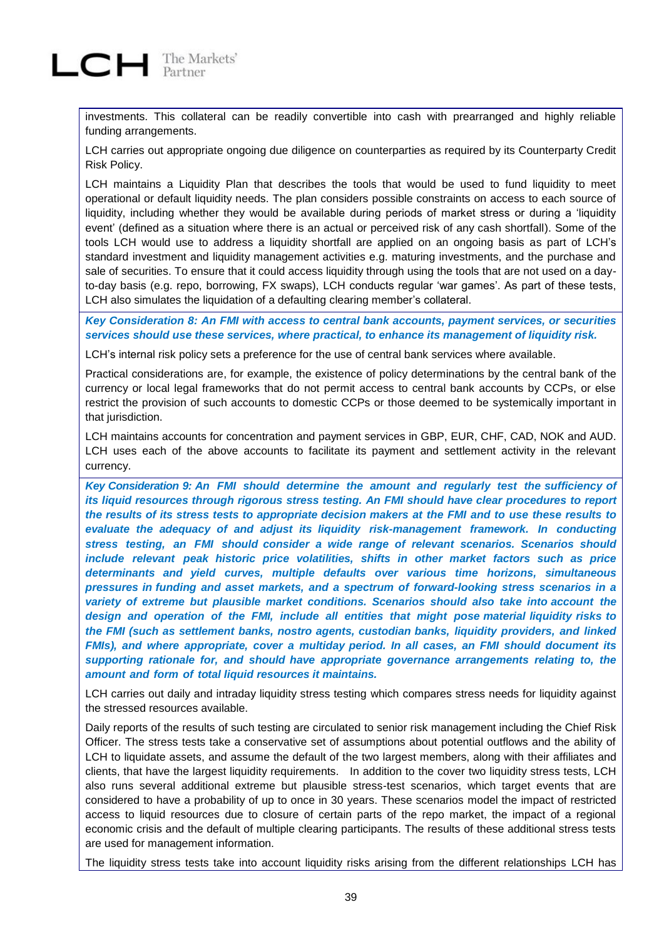

investments. This collateral can be readily convertible into cash with prearranged and highly reliable funding arrangements.

LCH carries out appropriate ongoing due diligence on counterparties as required by its Counterparty Credit Risk Policy.

LCH maintains a Liquidity Plan that describes the tools that would be used to fund liquidity to meet operational or default liquidity needs. The plan considers possible constraints on access to each source of liquidity, including whether they would be available during periods of market stress or during a 'liquidity event' (defined as a situation where there is an actual or perceived risk of any cash shortfall). Some of the tools LCH would use to address a liquidity shortfall are applied on an ongoing basis as part of LCH's standard investment and liquidity management activities e.g. maturing investments, and the purchase and sale of securities. To ensure that it could access liquidity through using the tools that are not used on a dayto-day basis (e.g. repo, borrowing, FX swaps), LCH conducts regular 'war games'. As part of these tests, LCH also simulates the liquidation of a defaulting clearing member's collateral.

*Key Consideration 8: An FMI with access to central bank accounts, payment services, or securities services should use these services, where practical, to enhance its management of liquidity risk.*

LCH's internal risk policy sets a preference for the use of central bank services where available.

Practical considerations are, for example, the existence of policy determinations by the central bank of the currency or local legal frameworks that do not permit access to central bank accounts by CCPs, or else restrict the provision of such accounts to domestic CCPs or those deemed to be systemically important in that jurisdiction.

LCH maintains accounts for concentration and payment services in GBP, EUR, CHF, CAD, NOK and AUD. LCH uses each of the above accounts to facilitate its payment and settlement activity in the relevant currency.

*Key Consideration 9: An FMI should determine the amount and regularly test the sufficiency of its liquid resources through rigorous stress testing. An FMI should have clear procedures to report the results of its stress tests to appropriate decision makers at the FMI and to use these results to evaluate the adequacy of and adjust its liquidity risk-management framework. In conducting stress testing, an FMI should consider a wide range of relevant scenarios. Scenarios should include relevant peak historic price volatilities, shifts in other market factors such as price determinants and yield curves, multiple defaults over various time horizons, simultaneous pressures in funding and asset markets, and a spectrum of forward-looking stress scenarios in a variety of extreme but plausible market conditions. Scenarios should also take into account the design and operation of the FMI, include all entities that might pose material liquidity risks to the FMI (such as settlement banks, nostro agents, custodian banks, liquidity providers, and linked FMIs), and where appropriate, cover a multiday period. In all cases, an FMI should document its supporting rationale for, and should have appropriate governance arrangements relating to, the amount and form of total liquid resources it maintains.*

LCH carries out daily and intraday liquidity stress testing which compares stress needs for liquidity against the stressed resources available.

Daily reports of the results of such testing are circulated to senior risk management including the Chief Risk Officer. The stress tests take a conservative set of assumptions about potential outflows and the ability of LCH to liquidate assets, and assume the default of the two largest members, along with their affiliates and clients, that have the largest liquidity requirements. In addition to the cover two liquidity stress tests, LCH also runs several additional extreme but plausible stress-test scenarios, which target events that are considered to have a probability of up to once in 30 years. These scenarios model the impact of restricted access to liquid resources due to closure of certain parts of the repo market, the impact of a regional economic crisis and the default of multiple clearing participants. The results of these additional stress tests are used for management information.

The liquidity stress tests take into account liquidity risks arising from the different relationships LCH has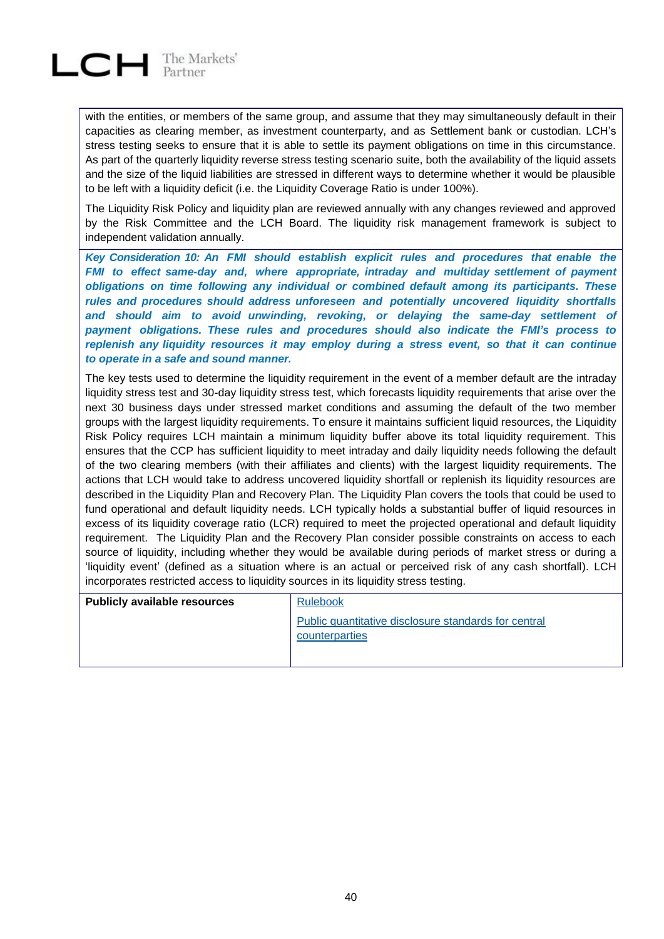

with the entities, or members of the same group, and assume that they may simultaneously default in their capacities as clearing member, as investment counterparty, and as Settlement bank or custodian. LCH's stress testing seeks to ensure that it is able to settle its payment obligations on time in this circumstance. As part of the quarterly liquidity reverse stress testing scenario suite, both the availability of the liquid assets and the size of the liquid liabilities are stressed in different ways to determine whether it would be plausible to be left with a liquidity deficit (i.e. the Liquidity Coverage Ratio is under 100%).

The Liquidity Risk Policy and liquidity plan are reviewed annually with any changes reviewed and approved by the Risk Committee and the LCH Board. The liquidity risk management framework is subject to independent validation annually.

*Key Consideration 10: An FMI should establish explicit rules and procedures that enable the FMI to effect same-day and, where appropriate, intraday and multiday settlement of payment obligations on time following any individual or combined default among its participants. These rules and procedures should address unforeseen and potentially uncovered liquidity shortfalls and should aim to avoid unwinding, revoking, or delaying the same-day settlement of payment obligations. These rules and procedures should also indicate the FMI's process to replenish any liquidity resources it may employ during a stress event, so that it can continue to operate in a safe and sound manner.*

The key tests used to determine the liquidity requirement in the event of a member default are the intraday liquidity stress test and 30-day liquidity stress test, which forecasts liquidity requirements that arise over the next 30 business days under stressed market conditions and assuming the default of the two member groups with the largest liquidity requirements. To ensure it maintains sufficient liquid resources, the Liquidity Risk Policy requires LCH maintain a minimum liquidity buffer above its total liquidity requirement. This ensures that the CCP has sufficient liquidity to meet intraday and daily liquidity needs following the default of the two clearing members (with their affiliates and clients) with the largest liquidity requirements. The actions that LCH would take to address uncovered liquidity shortfall or replenish its liquidity resources are described in the Liquidity Plan and Recovery Plan. The Liquidity Plan covers the tools that could be used to fund operational and default liquidity needs. LCH typically holds a substantial buffer of liquid resources in excess of its liquidity coverage ratio (LCR) required to meet the projected operational and default liquidity requirement. The Liquidity Plan and the Recovery Plan consider possible constraints on access to each source of liquidity, including whether they would be available during periods of market stress or during a 'liquidity event' (defined as a situation where is an actual or perceived risk of any cash shortfall). LCH incorporates restricted access to liquidity sources in its liquidity stress testing.

| <b>Publicly available resources</b> | <b>Rulebook</b>                                                        |
|-------------------------------------|------------------------------------------------------------------------|
|                                     | Public quantitative disclosure standards for central<br>counterparties |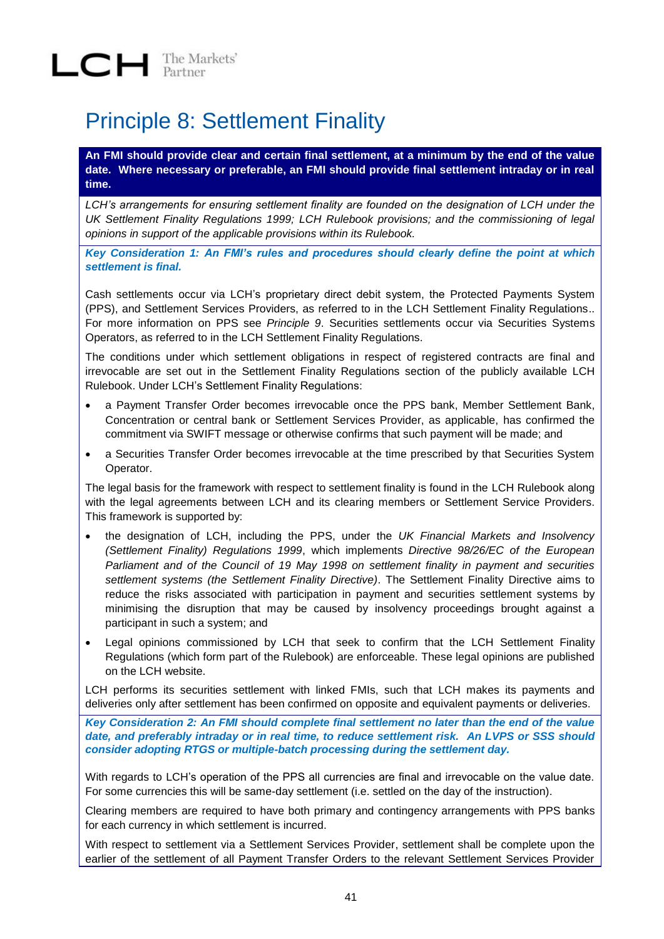## Principle 8: Settlement Finality

**An FMI should provide clear and certain final settlement, at a minimum by the end of the value date. Where necessary or preferable, an FMI should provide final settlement intraday or in real time.**

*LCH's arrangements for ensuring settlement finality are founded on the designation of LCH under the UK Settlement Finality Regulations 1999; LCH Rulebook provisions; and the commissioning of legal opinions in support of the applicable provisions within its Rulebook.* 

*Key Consideration 1: An FMI's rules and procedures should clearly define the point at which settlement is final.*

Cash settlements occur via LCH's proprietary direct debit system, the Protected Payments System (PPS), and Settlement Services Providers, as referred to in the LCH Settlement Finality Regulations.. For more information on PPS see *Principle 9*. Securities settlements occur via Securities Systems Operators, as referred to in the LCH Settlement Finality Regulations.

The conditions under which settlement obligations in respect of registered contracts are final and irrevocable are set out in the Settlement Finality Regulations section of the publicly available LCH Rulebook. Under LCH's Settlement Finality Regulations:

- a Payment Transfer Order becomes irrevocable once the PPS bank, Member Settlement Bank, Concentration or central bank or Settlement Services Provider, as applicable, has confirmed the commitment via SWIFT message or otherwise confirms that such payment will be made; and
- a Securities Transfer Order becomes irrevocable at the time prescribed by that Securities System Operator.

The legal basis for the framework with respect to settlement finality is found in the LCH Rulebook along with the legal agreements between LCH and its clearing members or Settlement Service Providers. This framework is supported by:

- the designation of LCH, including the PPS, under the *UK Financial Markets and Insolvency (Settlement Finality) Regulations 1999*, which implements *Directive 98/26/EC of the European Parliament and of the Council of 19 May 1998 on settlement finality in payment and securities settlement systems (the Settlement Finality Directive)*. The Settlement Finality Directive aims to reduce the risks associated with participation in payment and securities settlement systems by minimising the disruption that may be caused by insolvency proceedings brought against a participant in such a system; and
- Legal opinions commissioned by LCH that seek to confirm that the LCH Settlement Finality Regulations (which form part of the Rulebook) are enforceable. These legal opinions are published on the LCH website.

LCH performs its securities settlement with linked FMIs, such that LCH makes its payments and deliveries only after settlement has been confirmed on opposite and equivalent payments or deliveries.

*Key Consideration 2: An FMI should complete final settlement no later than the end of the value date, and preferably intraday or in real time, to reduce settlement risk. An LVPS or SSS should consider adopting RTGS or multiple-batch processing during the settlement day.*

With regards to LCH's operation of the PPS all currencies are final and irrevocable on the value date. For some currencies this will be same-day settlement (i.e. settled on the day of the instruction).

Clearing members are required to have both primary and contingency arrangements with PPS banks for each currency in which settlement is incurred.

With respect to settlement via a Settlement Services Provider, settlement shall be complete upon the earlier of the settlement of all Payment Transfer Orders to the relevant Settlement Services Provider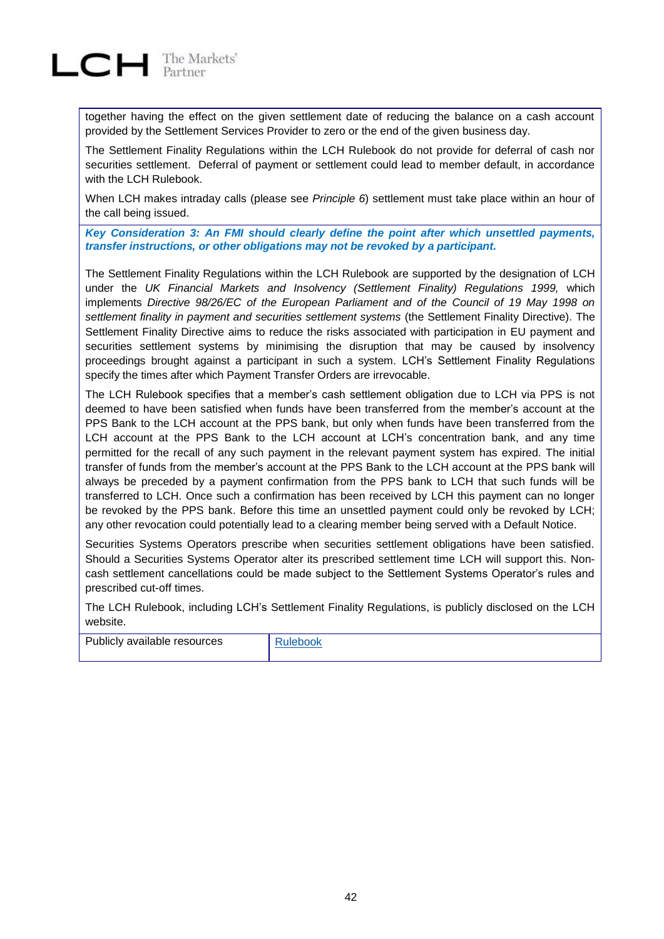

together having the effect on the given settlement date of reducing the balance on a cash account provided by the Settlement Services Provider to zero or the end of the given business day.

The Settlement Finality Regulations within the LCH Rulebook do not provide for deferral of cash nor securities settlement. Deferral of payment or settlement could lead to member default, in accordance with the LCH Rulebook.

When LCH makes intraday calls (please see *Principle 6*) settlement must take place within an hour of the call being issued.

*Key Consideration 3: An FMI should clearly define the point after which unsettled payments, transfer instructions, or other obligations may not be revoked by a participant.*

The Settlement Finality Regulations within the LCH Rulebook are supported by the designation of LCH under the *UK Financial Markets and Insolvency (Settlement Finality) Regulations 1999,* which implements *Directive 98/26/EC of the European Parliament and of the Council of 19 May 1998 on settlement finality in payment and securities settlement systems* (the Settlement Finality Directive). The Settlement Finality Directive aims to reduce the risks associated with participation in EU payment and securities settlement systems by minimising the disruption that may be caused by insolvency proceedings brought against a participant in such a system. LCH's Settlement Finality Regulations specify the times after which Payment Transfer Orders are irrevocable.

The LCH Rulebook specifies that a member's cash settlement obligation due to LCH via PPS is not deemed to have been satisfied when funds have been transferred from the member's account at the PPS Bank to the LCH account at the PPS bank, but only when funds have been transferred from the LCH account at the PPS Bank to the LCH account at LCH's concentration bank, and any time permitted for the recall of any such payment in the relevant payment system has expired. The initial transfer of funds from the member's account at the PPS Bank to the LCH account at the PPS bank will always be preceded by a payment confirmation from the PPS bank to LCH that such funds will be transferred to LCH. Once such a confirmation has been received by LCH this payment can no longer be revoked by the PPS bank. Before this time an unsettled payment could only be revoked by LCH; any other revocation could potentially lead to a clearing member being served with a Default Notice.

Securities Systems Operators prescribe when securities settlement obligations have been satisfied. Should a Securities Systems Operator alter its prescribed settlement time LCH will support this. Noncash settlement cancellations could be made subject to the Settlement Systems Operator's rules and prescribed cut-off times.

The LCH Rulebook, including LCH's Settlement Finality Regulations, is publicly disclosed on the LCH website.

| Publicly available resources |  |
|------------------------------|--|
|                              |  |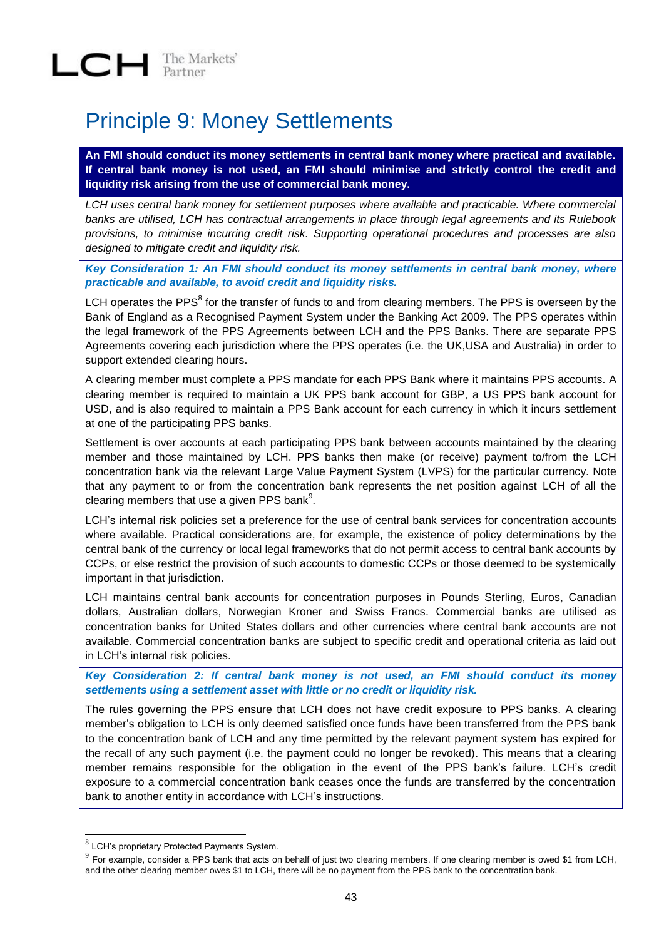## Principle 9: Money Settlements

**An FMI should conduct its money settlements in central bank money where practical and available. If central bank money is not used, an FMI should minimise and strictly control the credit and liquidity risk arising from the use of commercial bank money.**

*LCH uses central bank money for settlement purposes where available and practicable. Where commercial banks are utilised, LCH has contractual arrangements in place through legal agreements and its Rulebook provisions, to minimise incurring credit risk. Supporting operational procedures and processes are also designed to mitigate credit and liquidity risk.* 

*Key Consideration 1: An FMI should conduct its money settlements in central bank money, where practicable and available, to avoid credit and liquidity risks.*

LCH operates the PPS $^8$  for the transfer of funds to and from clearing members. The PPS is overseen by the Bank of England as a Recognised Payment System under the Banking Act 2009. The PPS operates within the legal framework of the PPS Agreements between LCH and the PPS Banks. There are separate PPS Agreements covering each jurisdiction where the PPS operates (i.e. the UK,USA and Australia) in order to support extended clearing hours.

A clearing member must complete a PPS mandate for each PPS Bank where it maintains PPS accounts. A clearing member is required to maintain a UK PPS bank account for GBP, a US PPS bank account for USD, and is also required to maintain a PPS Bank account for each currency in which it incurs settlement at one of the participating PPS banks.

Settlement is over accounts at each participating PPS bank between accounts maintained by the clearing member and those maintained by LCH. PPS banks then make (or receive) payment to/from the LCH concentration bank via the relevant Large Value Payment System (LVPS) for the particular currency. Note that any payment to or from the concentration bank represents the net position against LCH of all the clearing members that use a given PPS bank $^9$ .

LCH's internal risk policies set a preference for the use of central bank services for concentration accounts where available. Practical considerations are, for example, the existence of policy determinations by the central bank of the currency or local legal frameworks that do not permit access to central bank accounts by CCPs, or else restrict the provision of such accounts to domestic CCPs or those deemed to be systemically important in that jurisdiction.

LCH maintains central bank accounts for concentration purposes in Pounds Sterling, Euros, Canadian dollars, Australian dollars, Norwegian Kroner and Swiss Francs. Commercial banks are utilised as concentration banks for United States dollars and other currencies where central bank accounts are not available. Commercial concentration banks are subject to specific credit and operational criteria as laid out in LCH's internal risk policies.

*Key Consideration 2: If central bank money is not used, an FMI should conduct its money settlements using a settlement asset with little or no credit or liquidity risk.*

The rules governing the PPS ensure that LCH does not have credit exposure to PPS banks. A clearing member's obligation to LCH is only deemed satisfied once funds have been transferred from the PPS bank to the concentration bank of LCH and any time permitted by the relevant payment system has expired for the recall of any such payment (i.e. the payment could no longer be revoked). This means that a clearing member remains responsible for the obligation in the event of the PPS bank's failure. LCH's credit exposure to a commercial concentration bank ceases once the funds are transferred by the concentration bank to another entity in accordance with LCH's instructions.

l

<sup>8</sup> LCH's proprietary Protected Payments System.

 $^9$  For example, consider a PPS bank that acts on behalf of just two clearing members. If one clearing member is owed \$1 from LCH, and the other clearing member owes \$1 to LCH, there will be no payment from the PPS bank to the concentration bank.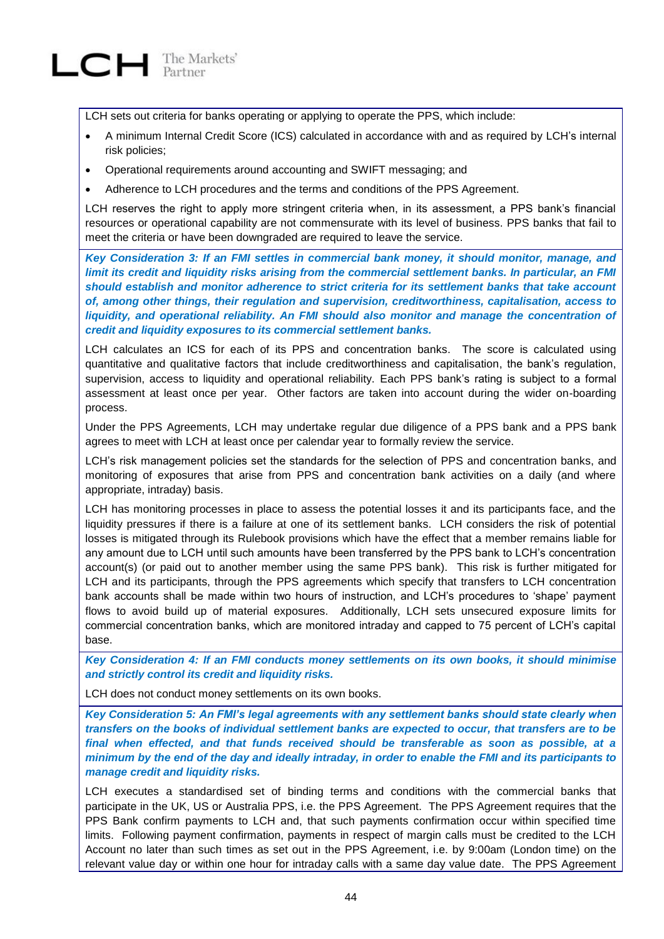

LCH sets out criteria for banks operating or applying to operate the PPS, which include:

- A minimum Internal Credit Score (ICS) calculated in accordance with and as required by LCH's internal risk policies;
- Operational requirements around accounting and SWIFT messaging; and
- Adherence to LCH procedures and the terms and conditions of the PPS Agreement.

LCH reserves the right to apply more stringent criteria when, in its assessment, a PPS bank's financial resources or operational capability are not commensurate with its level of business. PPS banks that fail to meet the criteria or have been downgraded are required to leave the service.

*Key Consideration 3: If an FMI settles in commercial bank money, it should monitor, manage, and limit its credit and liquidity risks arising from the commercial settlement banks. In particular, an FMI should establish and monitor adherence to strict criteria for its settlement banks that take account of, among other things, their regulation and supervision, creditworthiness, capitalisation, access to liquidity, and operational reliability. An FMI should also monitor and manage the concentration of credit and liquidity exposures to its commercial settlement banks.*

LCH calculates an ICS for each of its PPS and concentration banks. The score is calculated using quantitative and qualitative factors that include creditworthiness and capitalisation, the bank's regulation, supervision, access to liquidity and operational reliability. Each PPS bank's rating is subject to a formal assessment at least once per year. Other factors are taken into account during the wider on-boarding process.

Under the PPS Agreements, LCH may undertake regular due diligence of a PPS bank and a PPS bank agrees to meet with LCH at least once per calendar year to formally review the service.

LCH's risk management policies set the standards for the selection of PPS and concentration banks, and monitoring of exposures that arise from PPS and concentration bank activities on a daily (and where appropriate, intraday) basis.

LCH has monitoring processes in place to assess the potential losses it and its participants face, and the liquidity pressures if there is a failure at one of its settlement banks. LCH considers the risk of potential losses is mitigated through its Rulebook provisions which have the effect that a member remains liable for any amount due to LCH until such amounts have been transferred by the PPS bank to LCH's concentration account(s) (or paid out to another member using the same PPS bank). This risk is further mitigated for LCH and its participants, through the PPS agreements which specify that transfers to LCH concentration bank accounts shall be made within two hours of instruction, and LCH's procedures to 'shape' payment flows to avoid build up of material exposures. Additionally, LCH sets unsecured exposure limits for commercial concentration banks, which are monitored intraday and capped to 75 percent of LCH's capital base.

*Key Consideration 4: If an FMI conducts money settlements on its own books, it should minimise and strictly control its credit and liquidity risks.*

LCH does not conduct money settlements on its own books.

*Key Consideration 5: An FMI's legal agreements with any settlement banks should state clearly when transfers on the books of individual settlement banks are expected to occur, that transfers are to be final when effected, and that funds received should be transferable as soon as possible, at a minimum by the end of the day and ideally intraday, in order to enable the FMI and its participants to manage credit and liquidity risks.*

LCH executes a standardised set of binding terms and conditions with the commercial banks that participate in the UK, US or Australia PPS, i.e. the PPS Agreement. The PPS Agreement requires that the PPS Bank confirm payments to LCH and, that such payments confirmation occur within specified time limits. Following payment confirmation, payments in respect of margin calls must be credited to the LCH Account no later than such times as set out in the PPS Agreement, i.e. by 9:00am (London time) on the relevant value day or within one hour for intraday calls with a same day value date. The PPS Agreement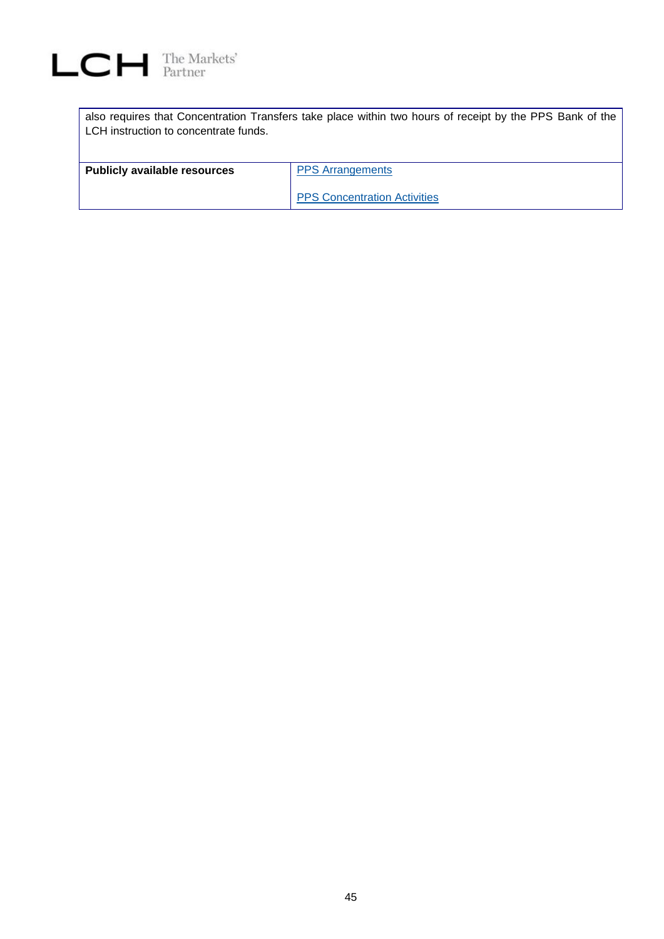

| also requires that Concentration Transfers take place within two hours of receipt by the PPS Bank of the<br>LCH instruction to concentrate funds. |                                     |  |  |
|---------------------------------------------------------------------------------------------------------------------------------------------------|-------------------------------------|--|--|
| <b>Publicly available resources</b>                                                                                                               | <b>PPS</b> Arrangements             |  |  |
|                                                                                                                                                   | <b>PPS Concentration Activities</b> |  |  |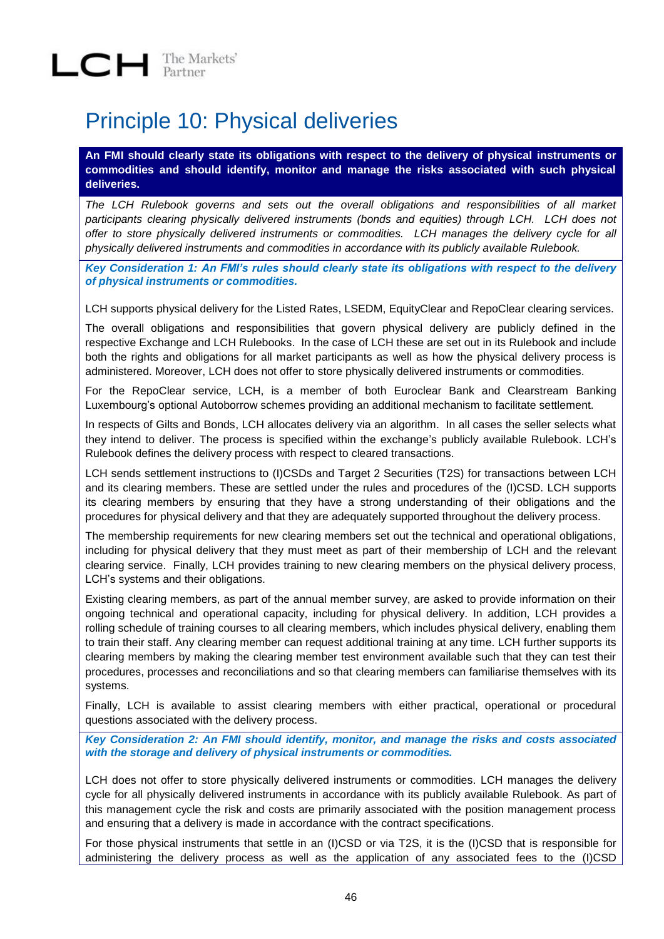## Principle 10: Physical deliveries

**An FMI should clearly state its obligations with respect to the delivery of physical instruments or commodities and should identify, monitor and manage the risks associated with such physical deliveries.**

*The LCH Rulebook governs and sets out the overall obligations and responsibilities of all market participants clearing physically delivered instruments (bonds and equities) through LCH. LCH does not offer to store physically delivered instruments or commodities. LCH manages the delivery cycle for all physically delivered instruments and commodities in accordance with its publicly available Rulebook.* 

*Key Consideration 1: An FMI's rules should clearly state its obligations with respect to the delivery of physical instruments or commodities.*

LCH supports physical delivery for the Listed Rates, LSEDM, EquityClear and RepoClear clearing services.

The overall obligations and responsibilities that govern physical delivery are publicly defined in the respective Exchange and LCH Rulebooks. In the case of LCH these are set out in its Rulebook and include both the rights and obligations for all market participants as well as how the physical delivery process is administered. Moreover, LCH does not offer to store physically delivered instruments or commodities.

For the RepoClear service, LCH, is a member of both Euroclear Bank and Clearstream Banking Luxembourg's optional Autoborrow schemes providing an additional mechanism to facilitate settlement.

In respects of Gilts and Bonds, LCH allocates delivery via an algorithm. In all cases the seller selects what they intend to deliver. The process is specified within the exchange's publicly available Rulebook. LCH's Rulebook defines the delivery process with respect to cleared transactions.

LCH sends settlement instructions to (I)CSDs and Target 2 Securities (T2S) for transactions between LCH and its clearing members. These are settled under the rules and procedures of the (I)CSD. LCH supports its clearing members by ensuring that they have a strong understanding of their obligations and the procedures for physical delivery and that they are adequately supported throughout the delivery process.

The membership requirements for new clearing members set out the technical and operational obligations, including for physical delivery that they must meet as part of their membership of LCH and the relevant clearing service. Finally, LCH provides training to new clearing members on the physical delivery process, LCH's systems and their obligations.

Existing clearing members, as part of the annual member survey, are asked to provide information on their ongoing technical and operational capacity, including for physical delivery. In addition, LCH provides a rolling schedule of training courses to all clearing members, which includes physical delivery, enabling them to train their staff. Any clearing member can request additional training at any time. LCH further supports its clearing members by making the clearing member test environment available such that they can test their procedures, processes and reconciliations and so that clearing members can familiarise themselves with its systems.

Finally, LCH is available to assist clearing members with either practical, operational or procedural questions associated with the delivery process.

*Key Consideration 2: An FMI should identify, monitor, and manage the risks and costs associated with the storage and delivery of physical instruments or commodities.*

LCH does not offer to store physically delivered instruments or commodities. LCH manages the delivery cycle for all physically delivered instruments in accordance with its publicly available Rulebook. As part of this management cycle the risk and costs are primarily associated with the position management process and ensuring that a delivery is made in accordance with the contract specifications.

For those physical instruments that settle in an (I)CSD or via T2S, it is the (I)CSD that is responsible for administering the delivery process as well as the application of any associated fees to the (I)CSD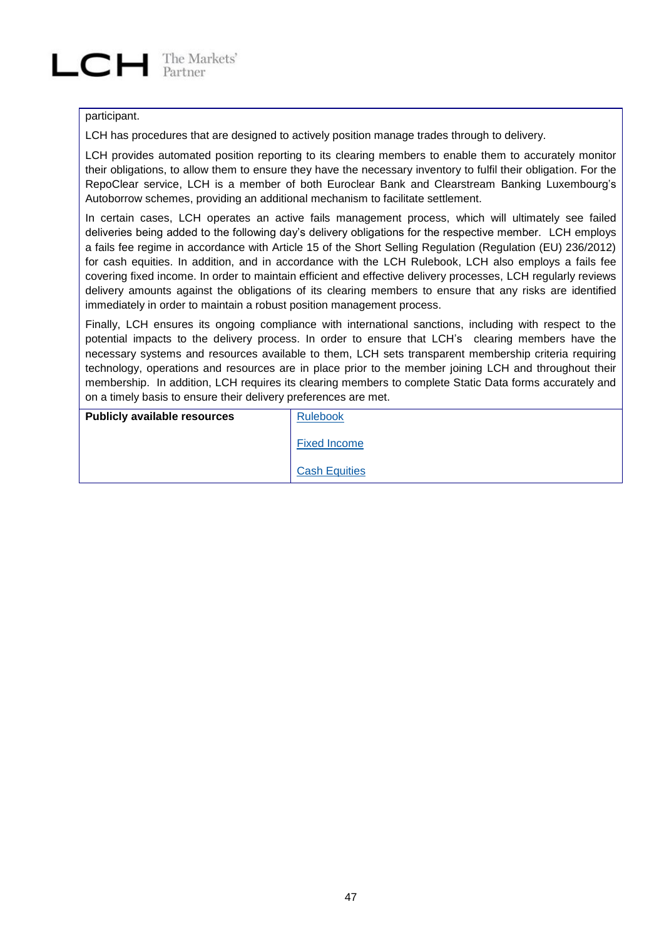#### participant.

LCH has procedures that are designed to actively position manage trades through to delivery.

LCH provides automated position reporting to its clearing members to enable them to accurately monitor their obligations, to allow them to ensure they have the necessary inventory to fulfil their obligation. For the RepoClear service, LCH is a member of both Euroclear Bank and Clearstream Banking Luxembourg's Autoborrow schemes, providing an additional mechanism to facilitate settlement.

In certain cases, LCH operates an active fails management process, which will ultimately see failed deliveries being added to the following day's delivery obligations for the respective member. LCH employs a fails fee regime in accordance with Article 15 of the Short Selling Regulation (Regulation (EU) 236/2012) for cash equities. In addition, and in accordance with the LCH Rulebook, LCH also employs a fails fee covering fixed income. In order to maintain efficient and effective delivery processes, LCH regularly reviews delivery amounts against the obligations of its clearing members to ensure that any risks are identified immediately in order to maintain a robust position management process.

Finally, LCH ensures its ongoing compliance with international sanctions, including with respect to the potential impacts to the delivery process. In order to ensure that LCH's clearing members have the necessary systems and resources available to them, LCH sets transparent membership criteria requiring technology, operations and resources are in place prior to the member joining LCH and throughout their membership. In addition, LCH requires its clearing members to complete Static Data forms accurately and on a timely basis to ensure their delivery preferences are met.

| <b>Publicly available resources</b> | <b>Rulebook</b>      |
|-------------------------------------|----------------------|
|                                     | <b>Fixed Income</b>  |
|                                     | <b>Cash Equities</b> |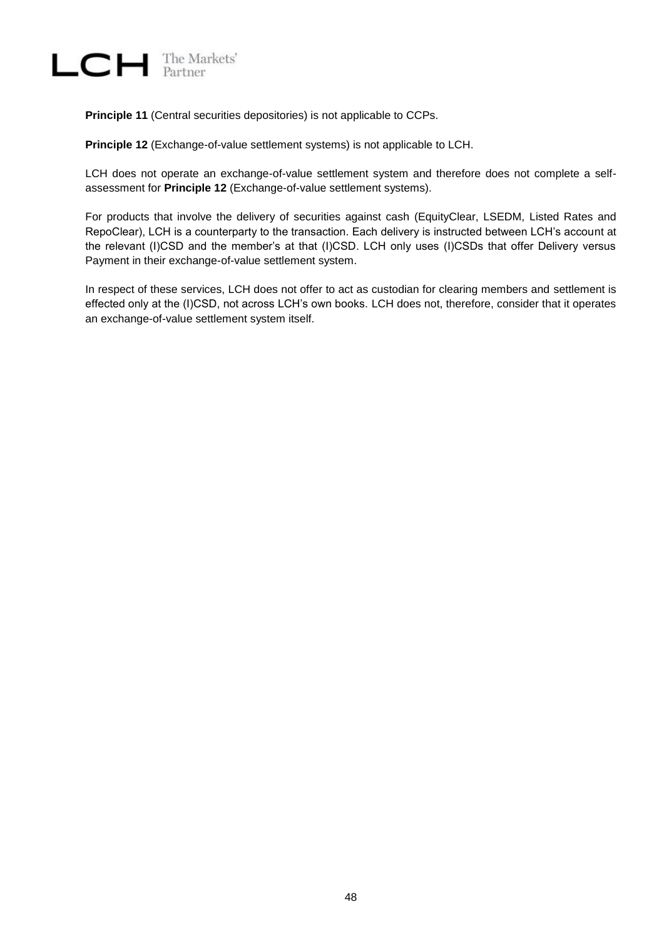

**Principle 11** (Central securities depositories) is not applicable to CCPs.

**Principle 12** (Exchange-of-value settlement systems) is not applicable to LCH.

LCH does not operate an exchange-of-value settlement system and therefore does not complete a selfassessment for **Principle 12** (Exchange-of-value settlement systems).

For products that involve the delivery of securities against cash (EquityClear, LSEDM, Listed Rates and RepoClear), LCH is a counterparty to the transaction. Each delivery is instructed between LCH's account at the relevant (I)CSD and the member's at that (I)CSD. LCH only uses (I)CSDs that offer Delivery versus Payment in their exchange-of-value settlement system.

In respect of these services, LCH does not offer to act as custodian for clearing members and settlement is effected only at the (I)CSD, not across LCH's own books. LCH does not, therefore, consider that it operates an exchange-of-value settlement system itself.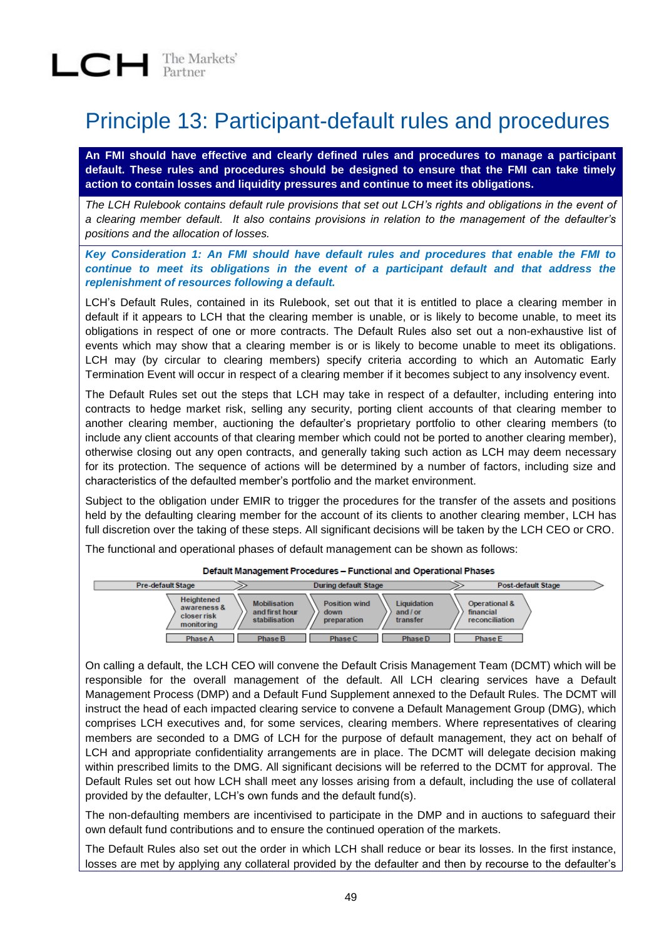## Principle 13: Participant-default rules and procedures

**An FMI should have effective and clearly defined rules and procedures to manage a participant default. These rules and procedures should be designed to ensure that the FMI can take timely action to contain losses and liquidity pressures and continue to meet its obligations.**

*The LCH Rulebook contains default rule provisions that set out LCH's rights and obligations in the event of a clearing member default. It also contains provisions in relation to the management of the defaulter's positions and the allocation of losses.*

*Key Consideration 1: An FMI should have default rules and procedures that enable the FMI to continue to meet its obligations in the event of a participant default and that address the replenishment of resources following a default.*

LCH's Default Rules, contained in its Rulebook, set out that it is entitled to place a clearing member in default if it appears to LCH that the clearing member is unable, or is likely to become unable, to meet its obligations in respect of one or more contracts. The Default Rules also set out a non-exhaustive list of events which may show that a clearing member is or is likely to become unable to meet its obligations. LCH may (by circular to clearing members) specify criteria according to which an Automatic Early Termination Event will occur in respect of a clearing member if it becomes subject to any insolvency event.

The Default Rules set out the steps that LCH may take in respect of a defaulter, including entering into contracts to hedge market risk, selling any security, porting client accounts of that clearing member to another clearing member, auctioning the defaulter's proprietary portfolio to other clearing members (to include any client accounts of that clearing member which could not be ported to another clearing member), otherwise closing out any open contracts, and generally taking such action as LCH may deem necessary for its protection. The sequence of actions will be determined by a number of factors, including size and characteristics of the defaulted member's portfolio and the market environment.

Subject to the obligation under EMIR to trigger the procedures for the transfer of the assets and positions held by the defaulting clearing member for the account of its clients to another clearing member, LCH has full discretion over the taking of these steps. All significant decisions will be taken by the LCH CEO or CRO.

The functional and operational phases of default management can be shown as follows:

| <b>Pre-default Stage</b>                               |                                                        | <b>During default Stage</b>                                                        | <b>Post-default Stage</b>                               |
|--------------------------------------------------------|--------------------------------------------------------|------------------------------------------------------------------------------------|---------------------------------------------------------|
| Heightened<br>awareness &<br>closer risk<br>monitoring | <b>Mobilisation</b><br>and first hour<br>stabilisation | Liquidation<br><b>Position wind</b><br>and / or<br>down<br>preparation<br>transfer | <b>Operational &amp;</b><br>financial<br>reconciliation |
| Phase A                                                | Phase B                                                | Phase C<br>Phase D                                                                 | <b>Phase E</b>                                          |

Default Management Procedures - Functional and Operational Phases

On calling a default, the LCH CEO will convene the Default Crisis Management Team (DCMT) which will be responsible for the overall management of the default. All LCH clearing services have a Default Management Process (DMP) and a Default Fund Supplement annexed to the Default Rules. The DCMT will instruct the head of each impacted clearing service to convene a Default Management Group (DMG), which comprises LCH executives and, for some services, clearing members. Where representatives of clearing members are seconded to a DMG of LCH for the purpose of default management, they act on behalf of LCH and appropriate confidentiality arrangements are in place. The DCMT will delegate decision making within prescribed limits to the DMG. All significant decisions will be referred to the DCMT for approval. The Default Rules set out how LCH shall meet any losses arising from a default, including the use of collateral provided by the defaulter, LCH's own funds and the default fund(s).

The non-defaulting members are incentivised to participate in the DMP and in auctions to safeguard their own default fund contributions and to ensure the continued operation of the markets.

The Default Rules also set out the order in which LCH shall reduce or bear its losses. In the first instance, losses are met by applying any collateral provided by the defaulter and then by recourse to the defaulter's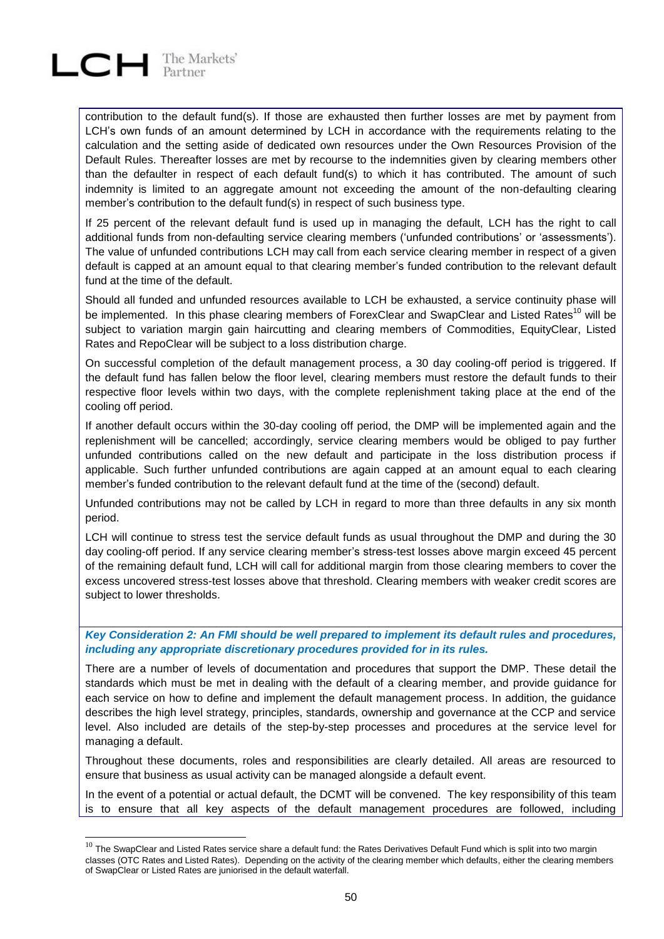# $LCH$  The Markets'

l

contribution to the default fund(s). If those are exhausted then further losses are met by payment from LCH's own funds of an amount determined by LCH in accordance with the requirements relating to the calculation and the setting aside of dedicated own resources under the Own Resources Provision of the Default Rules. Thereafter losses are met by recourse to the indemnities given by clearing members other than the defaulter in respect of each default fund(s) to which it has contributed. The amount of such indemnity is limited to an aggregate amount not exceeding the amount of the non-defaulting clearing member's contribution to the default fund(s) in respect of such business type.

If 25 percent of the relevant default fund is used up in managing the default, LCH has the right to call additional funds from non-defaulting service clearing members ('unfunded contributions' or 'assessments'). The value of unfunded contributions LCH may call from each service clearing member in respect of a given default is capped at an amount equal to that clearing member's funded contribution to the relevant default fund at the time of the default.

Should all funded and unfunded resources available to LCH be exhausted, a service continuity phase will be implemented. In this phase clearing members of ForexClear and SwapClear and Listed Rates<sup>10</sup> will be subject to variation margin gain haircutting and clearing members of Commodities, EquityClear, Listed Rates and RepoClear will be subject to a loss distribution charge.

On successful completion of the default management process, a 30 day cooling-off period is triggered. If the default fund has fallen below the floor level, clearing members must restore the default funds to their respective floor levels within two days, with the complete replenishment taking place at the end of the cooling off period.

If another default occurs within the 30-day cooling off period, the DMP will be implemented again and the replenishment will be cancelled; accordingly, service clearing members would be obliged to pay further unfunded contributions called on the new default and participate in the loss distribution process if applicable. Such further unfunded contributions are again capped at an amount equal to each clearing member's funded contribution to the relevant default fund at the time of the (second) default.

Unfunded contributions may not be called by LCH in regard to more than three defaults in any six month period.

LCH will continue to stress test the service default funds as usual throughout the DMP and during the 30 day cooling-off period. If any service clearing member's stress-test losses above margin exceed 45 percent of the remaining default fund, LCH will call for additional margin from those clearing members to cover the excess uncovered stress-test losses above that threshold. Clearing members with weaker credit scores are subject to lower thresholds.

*Key Consideration 2: An FMI should be well prepared to implement its default rules and procedures, including any appropriate discretionary procedures provided for in its rules.*

There are a number of levels of documentation and procedures that support the DMP. These detail the standards which must be met in dealing with the default of a clearing member, and provide guidance for each service on how to define and implement the default management process. In addition, the guidance describes the high level strategy, principles, standards, ownership and governance at the CCP and service level. Also included are details of the step-by-step processes and procedures at the service level for managing a default.

Throughout these documents, roles and responsibilities are clearly detailed. All areas are resourced to ensure that business as usual activity can be managed alongside a default event.

In the event of a potential or actual default, the DCMT will be convened. The key responsibility of this team is to ensure that all key aspects of the default management procedures are followed, including

 $10$  The SwapClear and Listed Rates service share a default fund: the Rates Derivatives Default Fund which is split into two margin classes (OTC Rates and Listed Rates). Depending on the activity of the clearing member which defaults, either the clearing members of SwapClear or Listed Rates are juniorised in the default waterfall.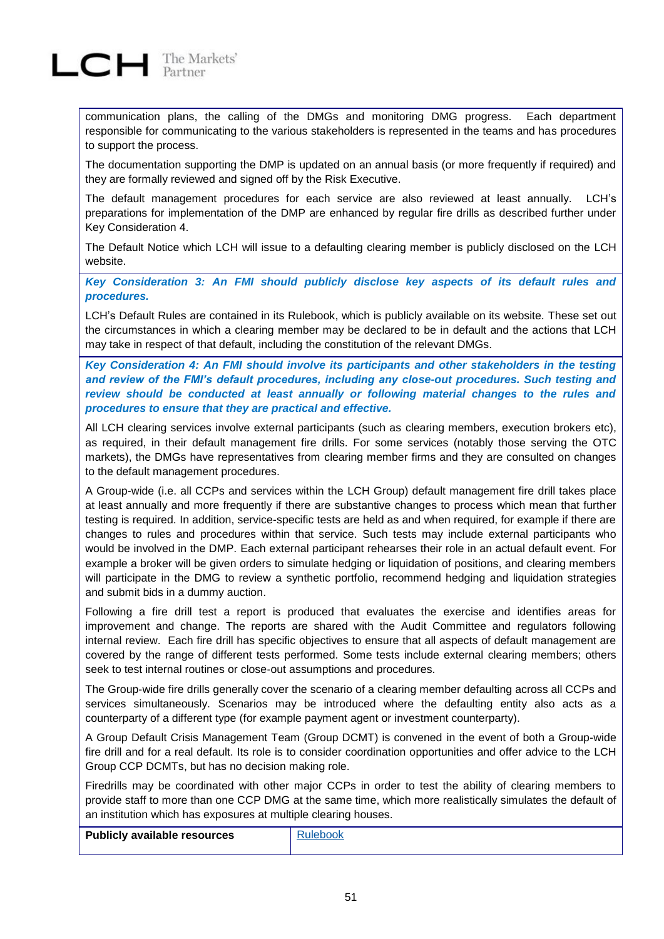

communication plans, the calling of the DMGs and monitoring DMG progress. Each department responsible for communicating to the various stakeholders is represented in the teams and has procedures to support the process.

The documentation supporting the DMP is updated on an annual basis (or more frequently if required) and they are formally reviewed and signed off by the Risk Executive.

The default management procedures for each service are also reviewed at least annually. LCH's preparations for implementation of the DMP are enhanced by regular fire drills as described further under Key Consideration 4.

The Default Notice which LCH will issue to a defaulting clearing member is publicly disclosed on the LCH website.

*Key Consideration 3: An FMI should publicly disclose key aspects of its default rules and procedures.*

LCH's Default Rules are contained in its Rulebook, which is publicly available on its website. These set out the circumstances in which a clearing member may be declared to be in default and the actions that LCH may take in respect of that default, including the constitution of the relevant DMGs.

*Key Consideration 4: An FMI should involve its participants and other stakeholders in the testing and review of the FMI's default procedures, including any close-out procedures. Such testing and review should be conducted at least annually or following material changes to the rules and procedures to ensure that they are practical and effective.*

All LCH clearing services involve external participants (such as clearing members, execution brokers etc), as required, in their default management fire drills. For some services (notably those serving the OTC markets), the DMGs have representatives from clearing member firms and they are consulted on changes to the default management procedures.

A Group-wide (i.e. all CCPs and services within the LCH Group) default management fire drill takes place at least annually and more frequently if there are substantive changes to process which mean that further testing is required. In addition, service-specific tests are held as and when required, for example if there are changes to rules and procedures within that service. Such tests may include external participants who would be involved in the DMP. Each external participant rehearses their role in an actual default event. For example a broker will be given orders to simulate hedging or liquidation of positions, and clearing members will participate in the DMG to review a synthetic portfolio, recommend hedging and liquidation strategies and submit bids in a dummy auction.

Following a fire drill test a report is produced that evaluates the exercise and identifies areas for improvement and change. The reports are shared with the Audit Committee and regulators following internal review. Each fire drill has specific objectives to ensure that all aspects of default management are covered by the range of different tests performed. Some tests include external clearing members; others seek to test internal routines or close-out assumptions and procedures.

The Group-wide fire drills generally cover the scenario of a clearing member defaulting across all CCPs and services simultaneously. Scenarios may be introduced where the defaulting entity also acts as a counterparty of a different type (for example payment agent or investment counterparty).

A Group Default Crisis Management Team (Group DCMT) is convened in the event of both a Group-wide fire drill and for a real default. Its role is to consider coordination opportunities and offer advice to the LCH Group CCP DCMTs, but has no decision making role.

Firedrills may be coordinated with other major CCPs in order to test the ability of clearing members to provide staff to more than one CCP DMG at the same time, which more realistically simulates the default of an institution which has exposures at multiple clearing houses.

| Publicly available resources |  |
|------------------------------|--|
|------------------------------|--|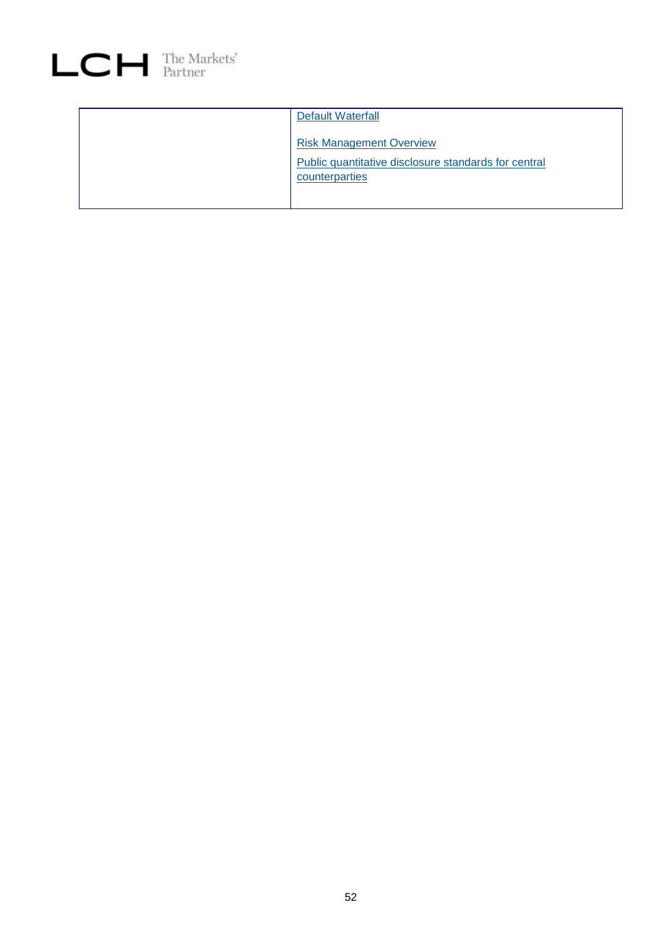

| Default Waterfall                                    |
|------------------------------------------------------|
|                                                      |
| <b>Risk Management Overview</b>                      |
| Public quantitative disclosure standards for central |
| counterparties                                       |
|                                                      |
|                                                      |
|                                                      |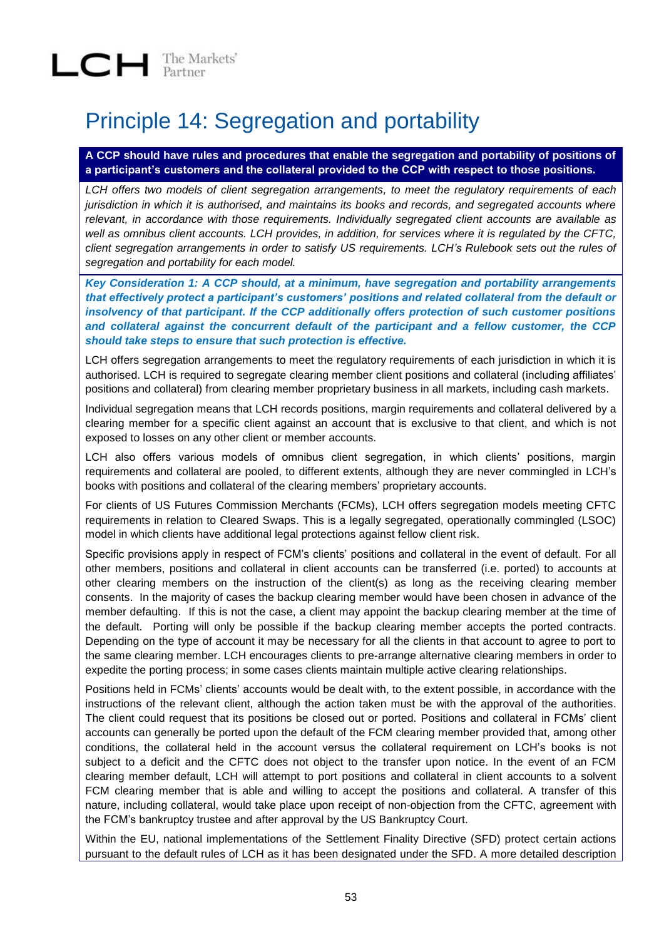## Principle 14: Segregation and portability

**A CCP should have rules and procedures that enable the segregation and portability of positions of a participant's customers and the collateral provided to the CCP with respect to those positions.**

*LCH offers two models of client segregation arrangements, to meet the regulatory requirements of each jurisdiction in which it is authorised, and maintains its books and records, and segregated accounts where relevant, in accordance with those requirements. Individually segregated client accounts are available as well as omnibus client accounts. LCH provides, in addition, for services where it is regulated by the CFTC, client segregation arrangements in order to satisfy US requirements. LCH's Rulebook sets out the rules of segregation and portability for each model.* 

*Key Consideration 1: A CCP should, at a minimum, have segregation and portability arrangements that effectively protect a participant's customers' positions and related collateral from the default or insolvency of that participant. If the CCP additionally offers protection of such customer positions and collateral against the concurrent default of the participant and a fellow customer, the CCP should take steps to ensure that such protection is effective.*

LCH offers segregation arrangements to meet the regulatory requirements of each jurisdiction in which it is authorised. LCH is required to segregate clearing member client positions and collateral (including affiliates' positions and collateral) from clearing member proprietary business in all markets, including cash markets.

Individual segregation means that LCH records positions, margin requirements and collateral delivered by a clearing member for a specific client against an account that is exclusive to that client, and which is not exposed to losses on any other client or member accounts.

LCH also offers various models of omnibus client segregation, in which clients' positions, margin requirements and collateral are pooled, to different extents, although they are never commingled in LCH's books with positions and collateral of the clearing members' proprietary accounts.

For clients of US Futures Commission Merchants (FCMs), LCH offers segregation models meeting CFTC requirements in relation to Cleared Swaps. This is a legally segregated, operationally commingled (LSOC) model in which clients have additional legal protections against fellow client risk.

Specific provisions apply in respect of FCM's clients' positions and collateral in the event of default. For all other members, positions and collateral in client accounts can be transferred (i.e. ported) to accounts at other clearing members on the instruction of the client(s) as long as the receiving clearing member consents. In the majority of cases the backup clearing member would have been chosen in advance of the member defaulting. If this is not the case, a client may appoint the backup clearing member at the time of the default. Porting will only be possible if the backup clearing member accepts the ported contracts. Depending on the type of account it may be necessary for all the clients in that account to agree to port to the same clearing member. LCH encourages clients to pre-arrange alternative clearing members in order to expedite the porting process; in some cases clients maintain multiple active clearing relationships.

Positions held in FCMs' clients' accounts would be dealt with, to the extent possible, in accordance with the instructions of the relevant client, although the action taken must be with the approval of the authorities. The client could request that its positions be closed out or ported. Positions and collateral in FCMs' client accounts can generally be ported upon the default of the FCM clearing member provided that, among other conditions, the collateral held in the account versus the collateral requirement on LCH's books is not subject to a deficit and the CFTC does not object to the transfer upon notice. In the event of an FCM clearing member default, LCH will attempt to port positions and collateral in client accounts to a solvent FCM clearing member that is able and willing to accept the positions and collateral. A transfer of this nature, including collateral, would take place upon receipt of non-objection from the CFTC, agreement with the FCM's bankruptcy trustee and after approval by the US Bankruptcy Court.

Within the EU, national implementations of the Settlement Finality Directive (SFD) protect certain actions pursuant to the default rules of LCH as it has been designated under the SFD. A more detailed description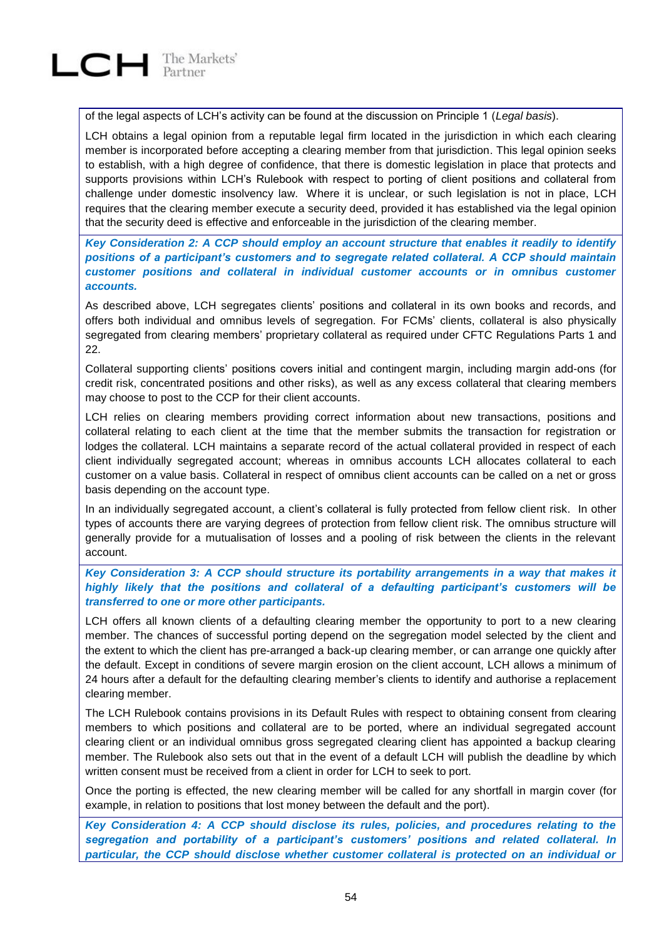of the legal aspects of LCH's activity can be found at the discussion on Principle 1 (*Legal basis*).

LCH obtains a legal opinion from a reputable legal firm located in the jurisdiction in which each clearing member is incorporated before accepting a clearing member from that jurisdiction. This legal opinion seeks to establish, with a high degree of confidence, that there is domestic legislation in place that protects and supports provisions within LCH's Rulebook with respect to porting of client positions and collateral from challenge under domestic insolvency law. Where it is unclear, or such legislation is not in place, LCH requires that the clearing member execute a security deed, provided it has established via the legal opinion that the security deed is effective and enforceable in the jurisdiction of the clearing member.

*Key Consideration 2: A CCP should employ an account structure that enables it readily to identify positions of a participant's customers and to segregate related collateral. A CCP should maintain customer positions and collateral in individual customer accounts or in omnibus customer accounts.*

As described above, LCH segregates clients' positions and collateral in its own books and records, and offers both individual and omnibus levels of segregation. For FCMs' clients, collateral is also physically segregated from clearing members' proprietary collateral as required under CFTC Regulations Parts 1 and 22.

Collateral supporting clients' positions covers initial and contingent margin, including margin add-ons (for credit risk, concentrated positions and other risks), as well as any excess collateral that clearing members may choose to post to the CCP for their client accounts.

LCH relies on clearing members providing correct information about new transactions, positions and collateral relating to each client at the time that the member submits the transaction for registration or lodges the collateral. LCH maintains a separate record of the actual collateral provided in respect of each client individually segregated account; whereas in omnibus accounts LCH allocates collateral to each customer on a value basis. Collateral in respect of omnibus client accounts can be called on a net or gross basis depending on the account type.

In an individually segregated account, a client's collateral is fully protected from fellow client risk. In other types of accounts there are varying degrees of protection from fellow client risk. The omnibus structure will generally provide for a mutualisation of losses and a pooling of risk between the clients in the relevant account.

### *Key Consideration 3: A CCP should structure its portability arrangements in a way that makes it highly likely that the positions and collateral of a defaulting participant's customers will be transferred to one or more other participants.*

LCH offers all known clients of a defaulting clearing member the opportunity to port to a new clearing member. The chances of successful porting depend on the segregation model selected by the client and the extent to which the client has pre-arranged a back-up clearing member, or can arrange one quickly after the default. Except in conditions of severe margin erosion on the client account, LCH allows a minimum of 24 hours after a default for the defaulting clearing member's clients to identify and authorise a replacement clearing member.

The LCH Rulebook contains provisions in its Default Rules with respect to obtaining consent from clearing members to which positions and collateral are to be ported, where an individual segregated account clearing client or an individual omnibus gross segregated clearing client has appointed a backup clearing member. The Rulebook also sets out that in the event of a default LCH will publish the deadline by which written consent must be received from a client in order for LCH to seek to port.

Once the porting is effected, the new clearing member will be called for any shortfall in margin cover (for example, in relation to positions that lost money between the default and the port).

*Key Consideration 4: A CCP should disclose its rules, policies, and procedures relating to the segregation and portability of a participant's customers' positions and related collateral. In particular, the CCP should disclose whether customer collateral is protected on an individual or*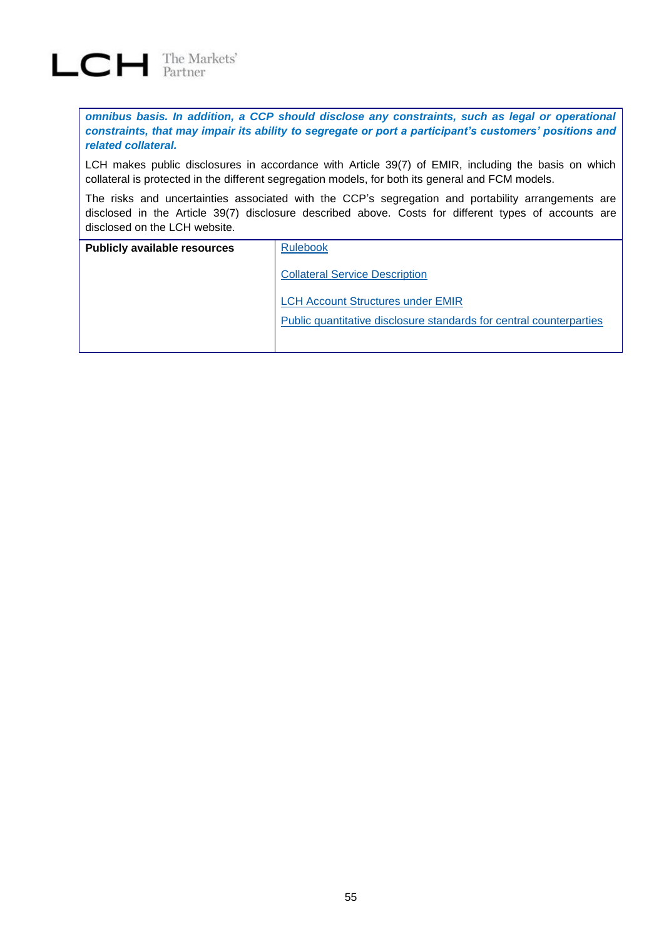

*omnibus basis. In addition, a CCP should disclose any constraints, such as legal or operational constraints, that may impair its ability to segregate or port a participant's customers' positions and related collateral.*

LCH makes public disclosures in accordance with Article 39(7) of EMIR, including the basis on which collateral is protected in the different segregation models, for both its general and FCM models.

The risks and uncertainties associated with the CCP's segregation and portability arrangements are disclosed in the Article 39(7) disclosure described above. Costs for different types of accounts are disclosed on the LCH website.

| <b>Publicly available resources</b> | <b>Rulebook</b>                                                            |  |  |
|-------------------------------------|----------------------------------------------------------------------------|--|--|
|                                     | <b>Collateral Service Description</b>                                      |  |  |
|                                     | <b>LCH Account Structures under EMIR</b>                                   |  |  |
|                                     | <b>Public quantitative disclosure standards for central counterparties</b> |  |  |
|                                     |                                                                            |  |  |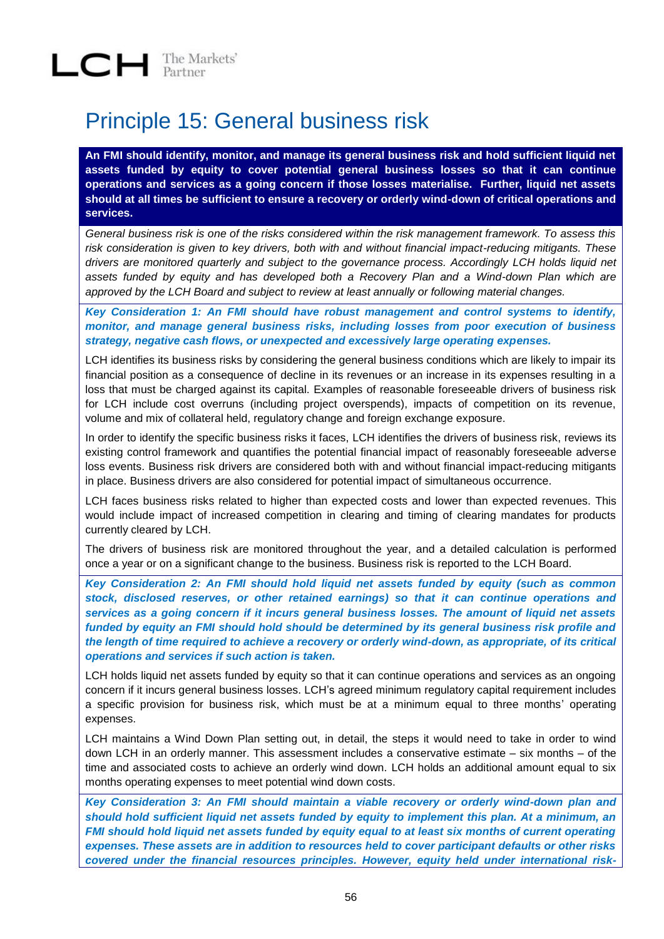## Principle 15: General business risk

**An FMI should identify, monitor, and manage its general business risk and hold sufficient liquid net assets funded by equity to cover potential general business losses so that it can continue operations and services as a going concern if those losses materialise. Further, liquid net assets should at all times be sufficient to ensure a recovery or orderly wind-down of critical operations and services.**

*General business risk is one of the risks considered within the risk management framework. To assess this risk consideration is given to key drivers, both with and without financial impact-reducing mitigants. These drivers are monitored quarterly and subject to the governance process. Accordingly LCH holds liquid net assets funded by equity and has developed both a Recovery Plan and a Wind-down Plan which are approved by the LCH Board and subject to review at least annually or following material changes.* 

*Key Consideration 1: An FMI should have robust management and control systems to identify, monitor, and manage general business risks, including losses from poor execution of business strategy, negative cash flows, or unexpected and excessively large operating expenses.*

LCH identifies its business risks by considering the general business conditions which are likely to impair its financial position as a consequence of decline in its revenues or an increase in its expenses resulting in a loss that must be charged against its capital. Examples of reasonable foreseeable drivers of business risk for LCH include cost overruns (including project overspends), impacts of competition on its revenue, volume and mix of collateral held, regulatory change and foreign exchange exposure.

In order to identify the specific business risks it faces, LCH identifies the drivers of business risk, reviews its existing control framework and quantifies the potential financial impact of reasonably foreseeable adverse loss events. Business risk drivers are considered both with and without financial impact-reducing mitigants in place. Business drivers are also considered for potential impact of simultaneous occurrence.

LCH faces business risks related to higher than expected costs and lower than expected revenues. This would include impact of increased competition in clearing and timing of clearing mandates for products currently cleared by LCH.

The drivers of business risk are monitored throughout the year, and a detailed calculation is performed once a year or on a significant change to the business. Business risk is reported to the LCH Board.

*Key Consideration 2: An FMI should hold liquid net assets funded by equity (such as common stock, disclosed reserves, or other retained earnings) so that it can continue operations and services as a going concern if it incurs general business losses. The amount of liquid net assets funded by equity an FMI should hold should be determined by its general business risk profile and the length of time required to achieve a recovery or orderly wind-down, as appropriate, of its critical operations and services if such action is taken.*

LCH holds liquid net assets funded by equity so that it can continue operations and services as an ongoing concern if it incurs general business losses. LCH's agreed minimum regulatory capital requirement includes a specific provision for business risk, which must be at a minimum equal to three months' operating expenses.

LCH maintains a Wind Down Plan setting out, in detail, the steps it would need to take in order to wind down LCH in an orderly manner. This assessment includes a conservative estimate – six months – of the time and associated costs to achieve an orderly wind down. LCH holds an additional amount equal to six months operating expenses to meet potential wind down costs.

*Key Consideration 3: An FMI should maintain a viable recovery or orderly wind-down plan and should hold sufficient liquid net assets funded by equity to implement this plan. At a minimum, an FMI should hold liquid net assets funded by equity equal to at least six months of current operating expenses. These assets are in addition to resources held to cover participant defaults or other risks covered under the financial resources principles. However, equity held under international risk-*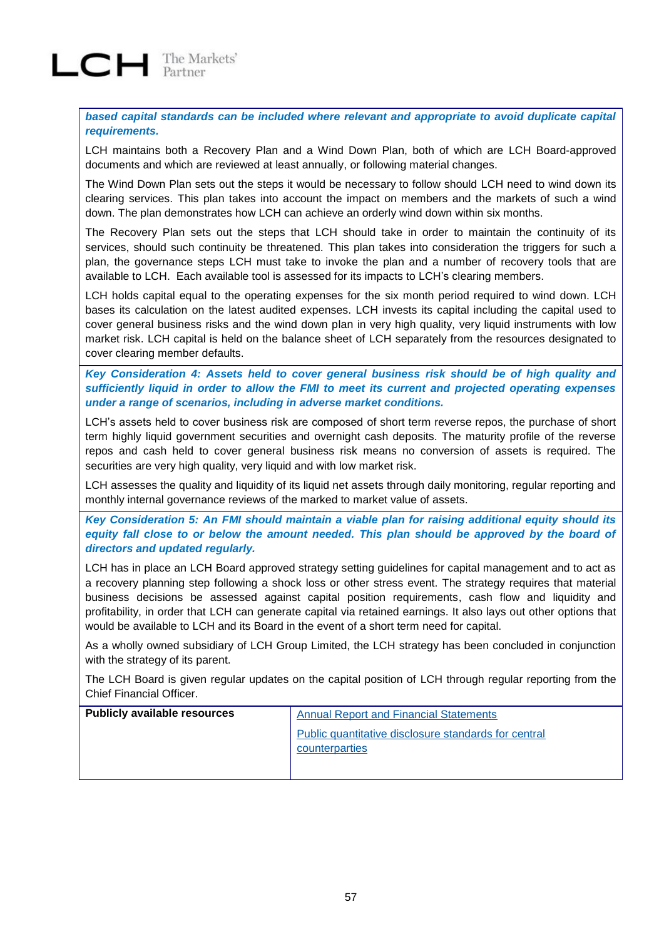*based capital standards can be included where relevant and appropriate to avoid duplicate capital requirements.*

LCH maintains both a Recovery Plan and a Wind Down Plan, both of which are LCH Board-approved documents and which are reviewed at least annually, or following material changes.

The Wind Down Plan sets out the steps it would be necessary to follow should LCH need to wind down its clearing services. This plan takes into account the impact on members and the markets of such a wind down. The plan demonstrates how LCH can achieve an orderly wind down within six months.

The Recovery Plan sets out the steps that LCH should take in order to maintain the continuity of its services, should such continuity be threatened. This plan takes into consideration the triggers for such a plan, the governance steps LCH must take to invoke the plan and a number of recovery tools that are available to LCH. Each available tool is assessed for its impacts to LCH's clearing members.

LCH holds capital equal to the operating expenses for the six month period required to wind down. LCH bases its calculation on the latest audited expenses. LCH invests its capital including the capital used to cover general business risks and the wind down plan in very high quality, very liquid instruments with low market risk. LCH capital is held on the balance sheet of LCH separately from the resources designated to cover clearing member defaults.

*Key Consideration 4: Assets held to cover general business risk should be of high quality and sufficiently liquid in order to allow the FMI to meet its current and projected operating expenses under a range of scenarios, including in adverse market conditions.*

LCH's assets held to cover business risk are composed of short term reverse repos, the purchase of short term highly liquid government securities and overnight cash deposits. The maturity profile of the reverse repos and cash held to cover general business risk means no conversion of assets is required. The securities are very high quality, very liquid and with low market risk.

LCH assesses the quality and liquidity of its liquid net assets through daily monitoring, regular reporting and monthly internal governance reviews of the marked to market value of assets.

*Key Consideration 5: An FMI should maintain a viable plan for raising additional equity should its*  equity fall close to or below the amount needed. This plan should be approved by the board of *directors and updated regularly.*

LCH has in place an LCH Board approved strategy setting guidelines for capital management and to act as a recovery planning step following a shock loss or other stress event. The strategy requires that material business decisions be assessed against capital position requirements, cash flow and liquidity and profitability, in order that LCH can generate capital via retained earnings. It also lays out other options that would be available to LCH and its Board in the event of a short term need for capital.

As a wholly owned subsidiary of LCH Group Limited, the LCH strategy has been concluded in conjunction with the strategy of its parent.

The LCH Board is given regular updates on the capital position of LCH through regular reporting from the Chief Financial Officer.

| <b>Publicly available resources</b> | <b>Annual Report and Financial Statements</b>                          |
|-------------------------------------|------------------------------------------------------------------------|
|                                     | Public quantitative disclosure standards for central<br>counterparties |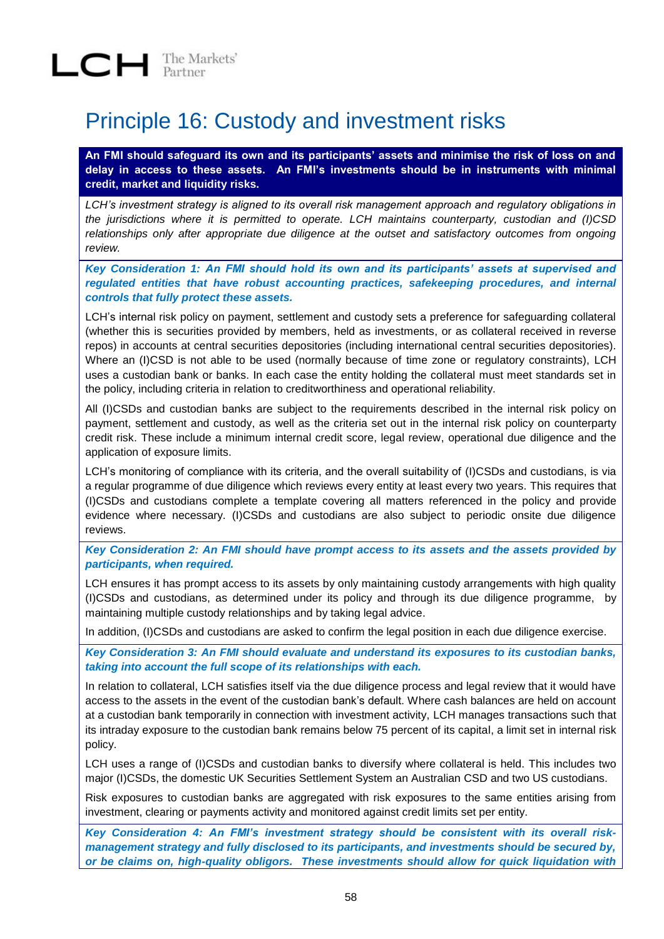## Principle 16: Custody and investment risks

**An FMI should safeguard its own and its participants' assets and minimise the risk of loss on and delay in access to these assets. An FMI's investments should be in instruments with minimal credit, market and liquidity risks.** 

*LCH's investment strategy is aligned to its overall risk management approach and regulatory obligations in the jurisdictions where it is permitted to operate. LCH maintains counterparty, custodian and (I)CSD*  relationships only after appropriate due diligence at the outset and satisfactory outcomes from ongoing *review.* 

*Key Consideration 1: An FMI should hold its own and its participants' assets at supervised and regulated entities that have robust accounting practices, safekeeping procedures, and internal controls that fully protect these assets.*

LCH's internal risk policy on payment, settlement and custody sets a preference for safeguarding collateral (whether this is securities provided by members, held as investments, or as collateral received in reverse repos) in accounts at central securities depositories (including international central securities depositories). Where an (I)CSD is not able to be used (normally because of time zone or regulatory constraints), LCH uses a custodian bank or banks. In each case the entity holding the collateral must meet standards set in the policy, including criteria in relation to creditworthiness and operational reliability.

All (I)CSDs and custodian banks are subject to the requirements described in the internal risk policy on payment, settlement and custody, as well as the criteria set out in the internal risk policy on counterparty credit risk. These include a minimum internal credit score, legal review, operational due diligence and the application of exposure limits.

LCH's monitoring of compliance with its criteria, and the overall suitability of (I)CSDs and custodians, is via a regular programme of due diligence which reviews every entity at least every two years. This requires that (I)CSDs and custodians complete a template covering all matters referenced in the policy and provide evidence where necessary. (I)CSDs and custodians are also subject to periodic onsite due diligence reviews.

*Key Consideration 2: An FMI should have prompt access to its assets and the assets provided by participants, when required.*

LCH ensures it has prompt access to its assets by only maintaining custody arrangements with high quality (I)CSDs and custodians, as determined under its policy and through its due diligence programme, by maintaining multiple custody relationships and by taking legal advice.

In addition, (I)CSDs and custodians are asked to confirm the legal position in each due diligence exercise.

*Key Consideration 3: An FMI should evaluate and understand its exposures to its custodian banks, taking into account the full scope of its relationships with each.*

In relation to collateral, LCH satisfies itself via the due diligence process and legal review that it would have access to the assets in the event of the custodian bank's default. Where cash balances are held on account at a custodian bank temporarily in connection with investment activity, LCH manages transactions such that its intraday exposure to the custodian bank remains below 75 percent of its capital, a limit set in internal risk policy.

LCH uses a range of (I)CSDs and custodian banks to diversify where collateral is held. This includes two major (I)CSDs, the domestic UK Securities Settlement System an Australian CSD and two US custodians.

Risk exposures to custodian banks are aggregated with risk exposures to the same entities arising from investment, clearing or payments activity and monitored against credit limits set per entity.

*Key Consideration 4: An FMI's investment strategy should be consistent with its overall riskmanagement strategy and fully disclosed to its participants, and investments should be secured by, or be claims on, high-quality obligors. These investments should allow for quick liquidation with*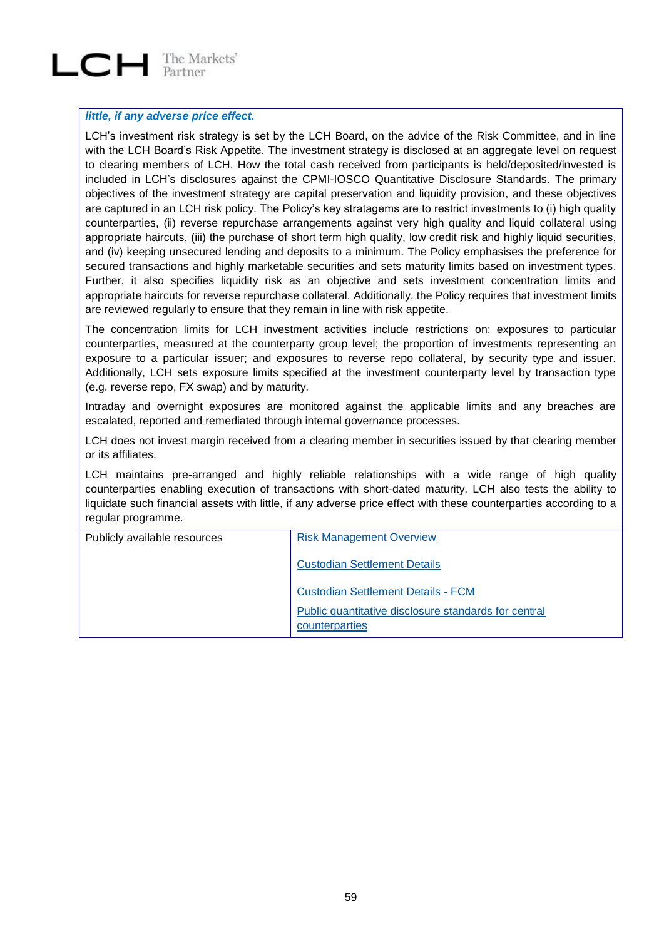# $LCH$  The Markets'

#### *little, if any adverse price effect.*

LCH's investment risk strategy is set by the LCH Board, on the advice of the Risk Committee, and in line with the LCH Board's Risk Appetite. The investment strategy is disclosed at an aggregate level on request to clearing members of LCH. How the total cash received from participants is held/deposited/invested is included in LCH's disclosures against the CPMI-IOSCO Quantitative Disclosure Standards. The primary objectives of the investment strategy are capital preservation and liquidity provision, and these objectives are captured in an LCH risk policy. The Policy's key stratagems are to restrict investments to (i) high quality counterparties, (ii) reverse repurchase arrangements against very high quality and liquid collateral using appropriate haircuts, (iii) the purchase of short term high quality, low credit risk and highly liquid securities, and (iv) keeping unsecured lending and deposits to a minimum. The Policy emphasises the preference for secured transactions and highly marketable securities and sets maturity limits based on investment types. Further, it also specifies liquidity risk as an objective and sets investment concentration limits and appropriate haircuts for reverse repurchase collateral. Additionally, the Policy requires that investment limits are reviewed regularly to ensure that they remain in line with risk appetite.

The concentration limits for LCH investment activities include restrictions on: exposures to particular counterparties, measured at the counterparty group level; the proportion of investments representing an exposure to a particular issuer; and exposures to reverse repo collateral, by security type and issuer. Additionally, LCH sets exposure limits specified at the investment counterparty level by transaction type (e.g. reverse repo, FX swap) and by maturity.

Intraday and overnight exposures are monitored against the applicable limits and any breaches are escalated, reported and remediated through internal governance processes.

LCH does not invest margin received from a clearing member in securities issued by that clearing member or its affiliates.

LCH maintains pre-arranged and highly reliable relationships with a wide range of high quality counterparties enabling execution of transactions with short-dated maturity. LCH also tests the ability to liquidate such financial assets with little, if any adverse price effect with these counterparties according to a regular programme.

| Publicly available resources | <b>Risk Management Overview</b>                                        |  |
|------------------------------|------------------------------------------------------------------------|--|
|                              | <b>Custodian Settlement Details</b>                                    |  |
|                              | <b>Custodian Settlement Details - FCM</b>                              |  |
|                              | Public quantitative disclosure standards for central<br>counterparties |  |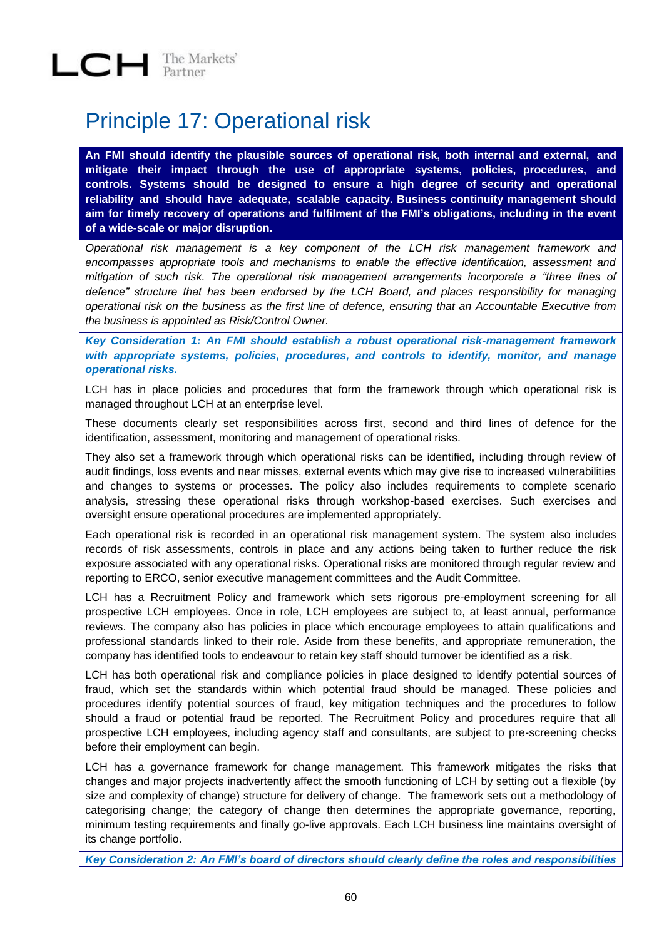## Principle 17: Operational risk

**An FMI should identify the plausible sources of operational risk, both internal and external, and mitigate their impact through the use of appropriate systems, policies, procedures, and controls. Systems should be designed to ensure a high degree of security and operational reliability and should have adequate, scalable capacity. Business continuity management should aim for timely recovery of operations and fulfilment of the FMI's obligations, including in the event of a wide-scale or major disruption.**

*Operational risk management is a key component of the LCH risk management framework and encompasses appropriate tools and mechanisms to enable the effective identification, assessment and mitigation of such risk. The operational risk management arrangements incorporate a "three lines of defence" structure that has been endorsed by the LCH Board, and places responsibility for managing operational risk on the business as the first line of defence, ensuring that an Accountable Executive from the business is appointed as Risk/Control Owner.* 

*Key Consideration 1: An FMI should establish a robust operational risk-management framework with appropriate systems, policies, procedures, and controls to identify, monitor, and manage operational risks.*

LCH has in place policies and procedures that form the framework through which operational risk is managed throughout LCH at an enterprise level.

These documents clearly set responsibilities across first, second and third lines of defence for the identification, assessment, monitoring and management of operational risks.

They also set a framework through which operational risks can be identified, including through review of audit findings, loss events and near misses, external events which may give rise to increased vulnerabilities and changes to systems or processes. The policy also includes requirements to complete scenario analysis, stressing these operational risks through workshop-based exercises. Such exercises and oversight ensure operational procedures are implemented appropriately.

Each operational risk is recorded in an operational risk management system. The system also includes records of risk assessments, controls in place and any actions being taken to further reduce the risk exposure associated with any operational risks. Operational risks are monitored through regular review and reporting to ERCO, senior executive management committees and the Audit Committee.

LCH has a Recruitment Policy and framework which sets rigorous pre-employment screening for all prospective LCH employees. Once in role, LCH employees are subject to, at least annual, performance reviews. The company also has policies in place which encourage employees to attain qualifications and professional standards linked to their role. Aside from these benefits, and appropriate remuneration, the company has identified tools to endeavour to retain key staff should turnover be identified as a risk.

LCH has both operational risk and compliance policies in place designed to identify potential sources of fraud, which set the standards within which potential fraud should be managed. These policies and procedures identify potential sources of fraud, key mitigation techniques and the procedures to follow should a fraud or potential fraud be reported. The Recruitment Policy and procedures require that all prospective LCH employees, including agency staff and consultants, are subject to pre-screening checks before their employment can begin.

LCH has a governance framework for change management. This framework mitigates the risks that changes and major projects inadvertently affect the smooth functioning of LCH by setting out a flexible (by size and complexity of change) structure for delivery of change. The framework sets out a methodology of categorising change; the category of change then determines the appropriate governance, reporting, minimum testing requirements and finally go-live approvals. Each LCH business line maintains oversight of its change portfolio.

*Key Consideration 2: An FMI's board of directors should clearly define the roles and responsibilities*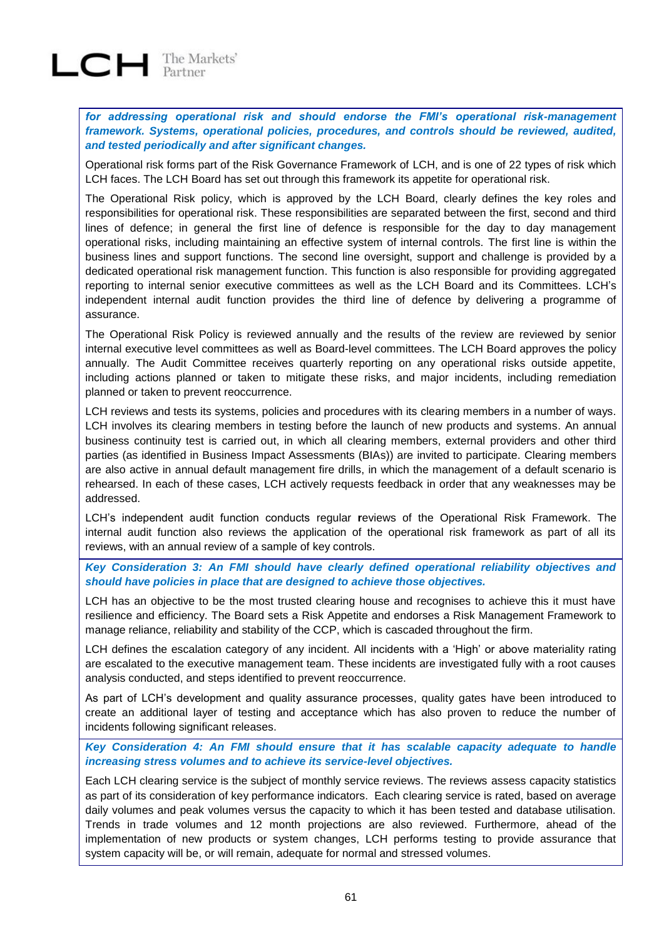# $LCH$  The Markets'

*for addressing operational risk and should endorse the FMI's operational risk-management framework. Systems, operational policies, procedures, and controls should be reviewed, audited, and tested periodically and after significant changes.*

Operational risk forms part of the Risk Governance Framework of LCH, and is one of 22 types of risk which LCH faces. The LCH Board has set out through this framework its appetite for operational risk.

The Operational Risk policy, which is approved by the LCH Board, clearly defines the key roles and responsibilities for operational risk. These responsibilities are separated between the first, second and third lines of defence; in general the first line of defence is responsible for the day to day management operational risks, including maintaining an effective system of internal controls. The first line is within the business lines and support functions. The second line oversight, support and challenge is provided by a dedicated operational risk management function. This function is also responsible for providing aggregated reporting to internal senior executive committees as well as the LCH Board and its Committees. LCH's independent internal audit function provides the third line of defence by delivering a programme of assurance.

The Operational Risk Policy is reviewed annually and the results of the review are reviewed by senior internal executive level committees as well as Board-level committees. The LCH Board approves the policy annually. The Audit Committee receives quarterly reporting on any operational risks outside appetite, including actions planned or taken to mitigate these risks, and major incidents, including remediation planned or taken to prevent reoccurrence.

LCH reviews and tests its systems, policies and procedures with its clearing members in a number of ways. LCH involves its clearing members in testing before the launch of new products and systems. An annual business continuity test is carried out, in which all clearing members, external providers and other third parties (as identified in Business Impact Assessments (BIAs)) are invited to participate. Clearing members are also active in annual default management fire drills, in which the management of a default scenario is rehearsed. In each of these cases, LCH actively requests feedback in order that any weaknesses may be addressed.

LCH's independent audit function conducts regular **r**eviews of the Operational Risk Framework. The internal audit function also reviews the application of the operational risk framework as part of all its reviews, with an annual review of a sample of key controls.

*Key Consideration 3: An FMI should have clearly defined operational reliability objectives and should have policies in place that are designed to achieve those objectives.*

LCH has an objective to be the most trusted clearing house and recognises to achieve this it must have resilience and efficiency. The Board sets a Risk Appetite and endorses a Risk Management Framework to manage reliance, reliability and stability of the CCP, which is cascaded throughout the firm.

LCH defines the escalation category of any incident. All incidents with a 'High' or above materiality rating are escalated to the executive management team. These incidents are investigated fully with a root causes analysis conducted, and steps identified to prevent reoccurrence.

As part of LCH's development and quality assurance processes, quality gates have been introduced to create an additional layer of testing and acceptance which has also proven to reduce the number of incidents following significant releases.

*Key Consideration 4: An FMI should ensure that it has scalable capacity adequate to handle increasing stress volumes and to achieve its service-level objectives.*

Each LCH clearing service is the subject of monthly service reviews. The reviews assess capacity statistics as part of its consideration of key performance indicators. Each clearing service is rated, based on average daily volumes and peak volumes versus the capacity to which it has been tested and database utilisation. Trends in trade volumes and 12 month projections are also reviewed. Furthermore, ahead of the implementation of new products or system changes, LCH performs testing to provide assurance that system capacity will be, or will remain, adequate for normal and stressed volumes.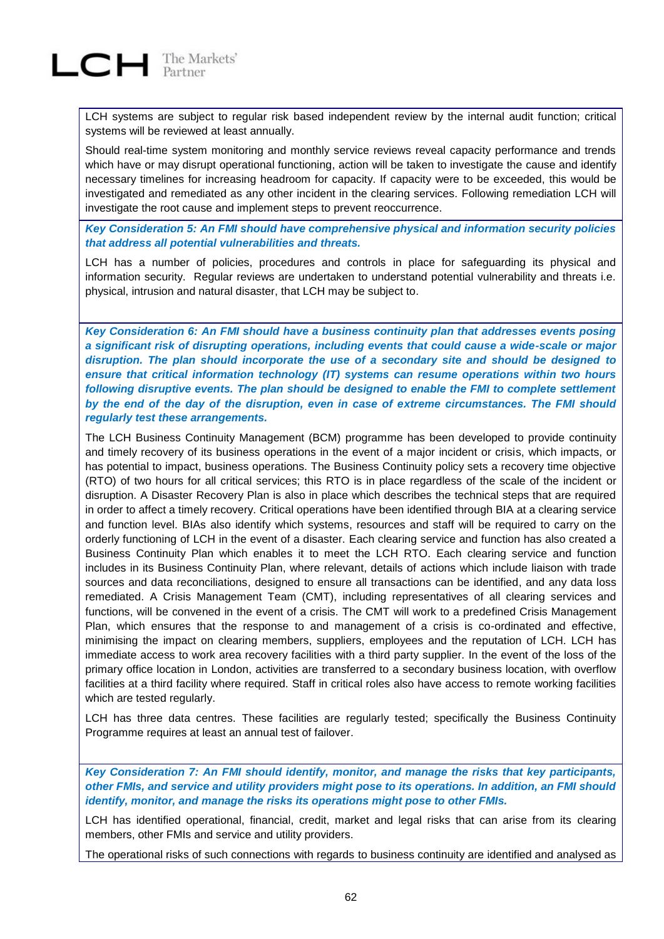LCH systems are subject to regular risk based independent review by the internal audit function; critical systems will be reviewed at least annually.

Should real-time system monitoring and monthly service reviews reveal capacity performance and trends which have or may disrupt operational functioning, action will be taken to investigate the cause and identify necessary timelines for increasing headroom for capacity. If capacity were to be exceeded, this would be investigated and remediated as any other incident in the clearing services. Following remediation LCH will investigate the root cause and implement steps to prevent reoccurrence.

*Key Consideration 5: An FMI should have comprehensive physical and information security policies that address all potential vulnerabilities and threats.*

LCH has a number of policies, procedures and controls in place for safeguarding its physical and information security. Regular reviews are undertaken to understand potential vulnerability and threats i.e. physical, intrusion and natural disaster, that LCH may be subject to.

*Key Consideration 6: An FMI should have a business continuity plan that addresses events posing a significant risk of disrupting operations, including events that could cause a wide-scale or major disruption. The plan should incorporate the use of a secondary site and should be designed to ensure that critical information technology (IT) systems can resume operations within two hours*  following disruptive events. The plan should be designed to enable the FMI to complete settlement *by the end of the day of the disruption, even in case of extreme circumstances. The FMI should regularly test these arrangements.*

The LCH Business Continuity Management (BCM) programme has been developed to provide continuity and timely recovery of its business operations in the event of a major incident or crisis, which impacts, or has potential to impact, business operations. The Business Continuity policy sets a recovery time objective (RTO) of two hours for all critical services; this RTO is in place regardless of the scale of the incident or disruption. A Disaster Recovery Plan is also in place which describes the technical steps that are required in order to affect a timely recovery. Critical operations have been identified through BIA at a clearing service and function level. BIAs also identify which systems, resources and staff will be required to carry on the orderly functioning of LCH in the event of a disaster. Each clearing service and function has also created a Business Continuity Plan which enables it to meet the LCH RTO. Each clearing service and function includes in its Business Continuity Plan, where relevant, details of actions which include liaison with trade sources and data reconciliations, designed to ensure all transactions can be identified, and any data loss remediated. A Crisis Management Team (CMT), including representatives of all clearing services and functions, will be convened in the event of a crisis. The CMT will work to a predefined Crisis Management Plan, which ensures that the response to and management of a crisis is co-ordinated and effective, minimising the impact on clearing members, suppliers, employees and the reputation of LCH. LCH has immediate access to work area recovery facilities with a third party supplier. In the event of the loss of the primary office location in London, activities are transferred to a secondary business location, with overflow facilities at a third facility where required. Staff in critical roles also have access to remote working facilities which are tested regularly.

LCH has three data centres. These facilities are regularly tested; specifically the Business Continuity Programme requires at least an annual test of failover.

*Key Consideration 7: An FMI should identify, monitor, and manage the risks that key participants, other FMIs, and service and utility providers might pose to its operations. In addition, an FMI should identify, monitor, and manage the risks its operations might pose to other FMIs.*

LCH has identified operational, financial, credit, market and legal risks that can arise from its clearing members, other FMIs and service and utility providers.

The operational risks of such connections with regards to business continuity are identified and analysed as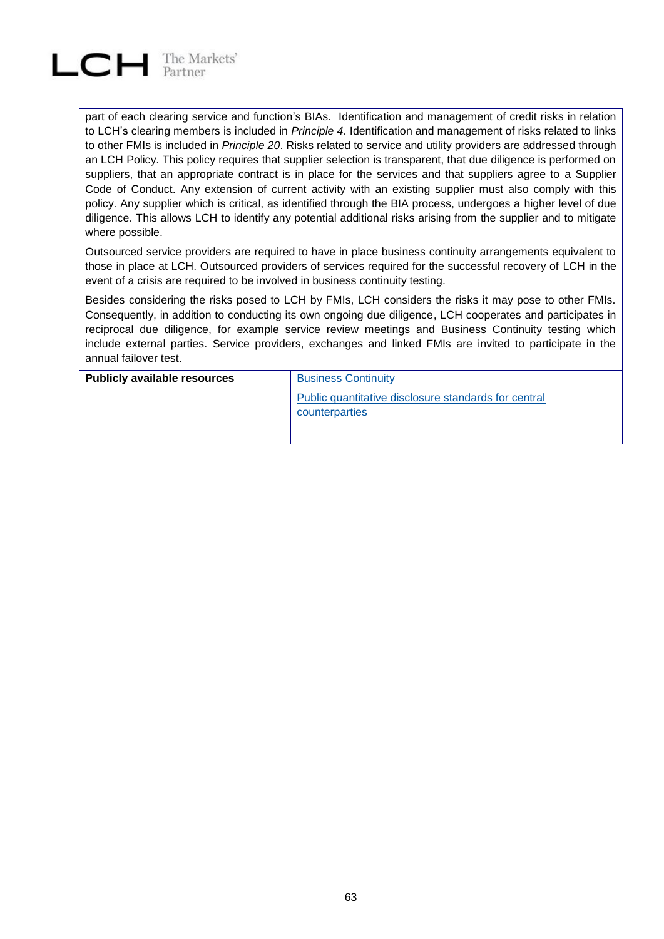

part of each clearing service and function's BIAs. Identification and management of credit risks in relation to LCH's clearing members is included in *Principle 4*. Identification and management of risks related to links to other FMIs is included in *Principle 20*. Risks related to service and utility providers are addressed through an LCH Policy. This policy requires that supplier selection is transparent, that due diligence is performed on suppliers, that an appropriate contract is in place for the services and that suppliers agree to a Supplier Code of Conduct. Any extension of current activity with an existing supplier must also comply with this policy. Any supplier which is critical, as identified through the BIA process, undergoes a higher level of due diligence. This allows LCH to identify any potential additional risks arising from the supplier and to mitigate where possible.

Outsourced service providers are required to have in place business continuity arrangements equivalent to those in place at LCH. Outsourced providers of services required for the successful recovery of LCH in the event of a crisis are required to be involved in business continuity testing.

Besides considering the risks posed to LCH by FMIs, LCH considers the risks it may pose to other FMIs. Consequently, in addition to conducting its own ongoing due diligence, LCH cooperates and participates in reciprocal due diligence, for example service review meetings and Business Continuity testing which include external parties. Service providers, exchanges and linked FMIs are invited to participate in the annual failover test.

| <b>Publicly available resources</b> | <b>Business Continuity</b>                                             |  |
|-------------------------------------|------------------------------------------------------------------------|--|
|                                     | Public quantitative disclosure standards for central<br>counterparties |  |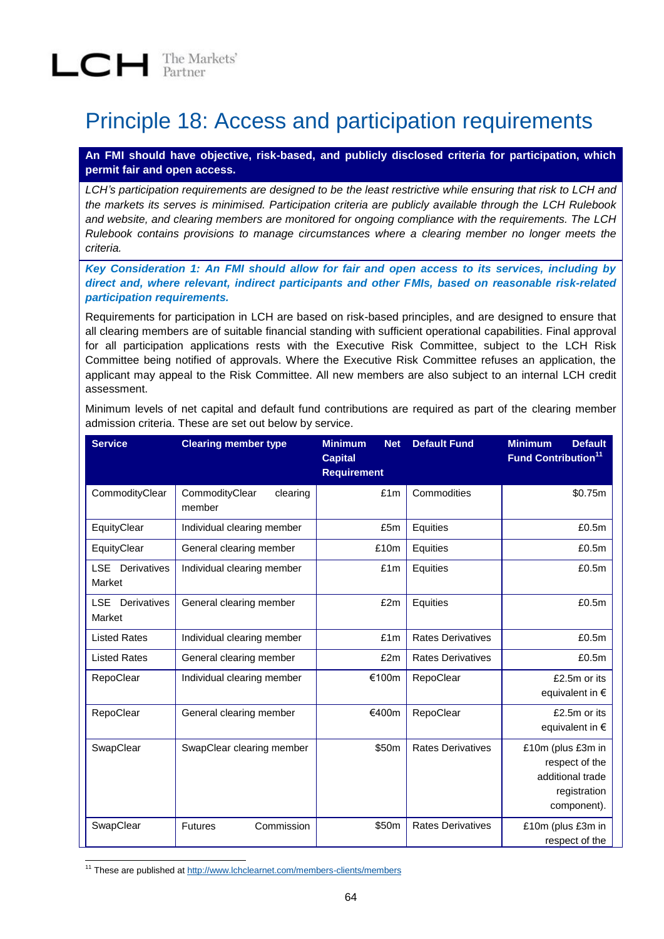## Principle 18: Access and participation requirements

**An FMI should have objective, risk-based, and publicly disclosed criteria for participation, which permit fair and open access.**

*LCH's participation requirements are designed to be the least restrictive while ensuring that risk to LCH and the markets its serves is minimised. Participation criteria are publicly available through the LCH Rulebook and website, and clearing members are monitored for ongoing compliance with the requirements. The LCH Rulebook contains provisions to manage circumstances where a clearing member no longer meets the criteria.* 

*Key Consideration 1: An FMI should allow for fair and open access to its services, including by direct and, where relevant, indirect participants and other FMIs, based on reasonable risk-related participation requirements.*

Requirements for participation in LCH are based on risk-based principles, and are designed to ensure that all clearing members are of suitable financial standing with sufficient operational capabilities. Final approval for all participation applications rests with the Executive Risk Committee, subject to the LCH Risk Committee being notified of approvals. Where the Executive Risk Committee refuses an application, the applicant may appeal to the Risk Committee. All new members are also subject to an internal LCH credit assessment.

Minimum levels of net capital and default fund contributions are required as part of the clearing member admission criteria. These are set out below by service.

| <b>Service</b>                      | <b>Clearing member type</b>          | <b>Minimum</b><br><b>Net</b><br><b>Capital</b><br><b>Requirement</b> | <b>Default Fund</b>      | <b>Minimum</b><br><b>Default</b><br>Fund Contribution <sup>11</sup>                    |
|-------------------------------------|--------------------------------------|----------------------------------------------------------------------|--------------------------|----------------------------------------------------------------------------------------|
| CommodityClear                      | CommodityClear<br>clearing<br>member | £1m                                                                  | Commodities              | \$0.75m                                                                                |
| EquityClear                         | Individual clearing member           | £5m                                                                  | Equities                 | £0.5m                                                                                  |
| EquityClear                         | General clearing member              | £10m                                                                 | Equities                 | £0.5m                                                                                  |
| <b>LSE</b><br>Derivatives<br>Market | Individual clearing member           | £1m                                                                  | Equities                 | £0.5m                                                                                  |
| <b>LSE</b><br>Derivatives<br>Market | General clearing member              | £2m                                                                  | Equities                 | £0.5m                                                                                  |
| <b>Listed Rates</b>                 | Individual clearing member           | £1m                                                                  | <b>Rates Derivatives</b> | £0.5m                                                                                  |
| <b>Listed Rates</b>                 | General clearing member              | £2m                                                                  | <b>Rates Derivatives</b> | £0.5m                                                                                  |
| RepoClear                           | Individual clearing member           | €100m                                                                | RepoClear                | £2.5m or its<br>equivalent in €                                                        |
| RepoClear                           | General clearing member              | €400m                                                                | RepoClear                | £2.5m or its<br>equivalent in €                                                        |
| SwapClear                           | SwapClear clearing member            | \$50m                                                                | <b>Rates Derivatives</b> | £10m (plus £3m in<br>respect of the<br>additional trade<br>registration<br>component). |
| SwapClear                           | Commission<br><b>Futures</b>         | \$50m                                                                | <b>Rates Derivatives</b> | £10m (plus £3m in<br>respect of the                                                    |

l <sup>11</sup> These are published at<http://www.lchclearnet.com/members-clients/members>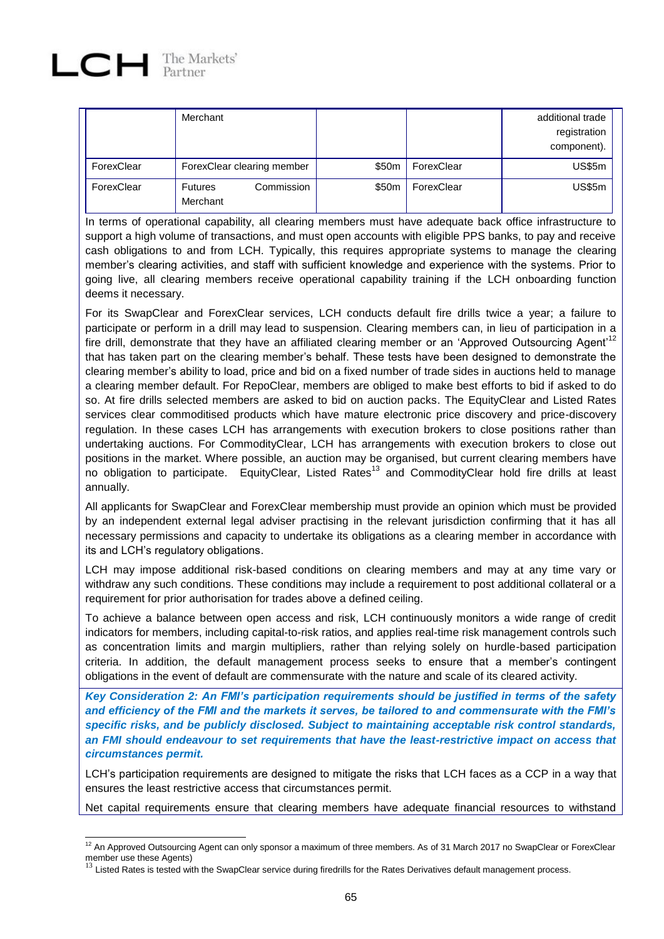|            | Merchant                                 |       |            | additional trade<br>registration<br>component). |
|------------|------------------------------------------|-------|------------|-------------------------------------------------|
| ForexClear | ForexClear clearing member               | \$50m | ForexClear | <b>US\$5m</b>                                   |
| ForexClear | Commission<br><b>Futures</b><br>Merchant | \$50m | ForexClear | <b>US\$5m</b>                                   |

In terms of operational capability, all clearing members must have adequate back office infrastructure to support a high volume of transactions, and must open accounts with eligible PPS banks, to pay and receive cash obligations to and from LCH. Typically, this requires appropriate systems to manage the clearing member's clearing activities, and staff with sufficient knowledge and experience with the systems. Prior to going live, all clearing members receive operational capability training if the LCH onboarding function deems it necessary.

For its SwapClear and ForexClear services, LCH conducts default fire drills twice a year; a failure to participate or perform in a drill may lead to suspension. Clearing members can, in lieu of participation in a fire drill, demonstrate that they have an affiliated clearing member or an 'Approved Outsourcing Agent'<sup>12</sup> that has taken part on the clearing member's behalf. These tests have been designed to demonstrate the clearing member's ability to load, price and bid on a fixed number of trade sides in auctions held to manage a clearing member default. For RepoClear, members are obliged to make best efforts to bid if asked to do so. At fire drills selected members are asked to bid on auction packs. The EquityClear and Listed Rates services clear commoditised products which have mature electronic price discovery and price-discovery regulation. In these cases LCH has arrangements with execution brokers to close positions rather than undertaking auctions. For CommodityClear, LCH has arrangements with execution brokers to close out positions in the market. Where possible, an auction may be organised, but current clearing members have no obligation to participate. EquityClear, Listed Rates<sup>13</sup> and CommodityClear hold fire drills at least annually.

All applicants for SwapClear and ForexClear membership must provide an opinion which must be provided by an independent external legal adviser practising in the relevant jurisdiction confirming that it has all necessary permissions and capacity to undertake its obligations as a clearing member in accordance with its and LCH's regulatory obligations.

LCH may impose additional risk-based conditions on clearing members and may at any time vary or withdraw any such conditions. These conditions may include a requirement to post additional collateral or a requirement for prior authorisation for trades above a defined ceiling.

To achieve a balance between open access and risk, LCH continuously monitors a wide range of credit indicators for members, including capital-to-risk ratios, and applies real-time risk management controls such as concentration limits and margin multipliers, rather than relying solely on hurdle-based participation criteria. In addition, the default management process seeks to ensure that a member's contingent obligations in the event of default are commensurate with the nature and scale of its cleared activity.

*Key Consideration 2: An FMI's participation requirements should be justified in terms of the safety and efficiency of the FMI and the markets it serves, be tailored to and commensurate with the FMI's specific risks, and be publicly disclosed. Subject to maintaining acceptable risk control standards, an FMI should endeavour to set requirements that have the least-restrictive impact on access that circumstances permit.*

LCH's participation requirements are designed to mitigate the risks that LCH faces as a CCP in a way that ensures the least restrictive access that circumstances permit.

Net capital requirements ensure that clearing members have adequate financial resources to withstand

l  $12$  An Approved Outsourcing Agent can only sponsor a maximum of three members. As of 31 March 2017 no SwapClear or ForexClear member use these Agents)<br><sup>13</sup> Listed Rates is tested with the SwapClear service during firedrills for the Rates Derivatives default management process.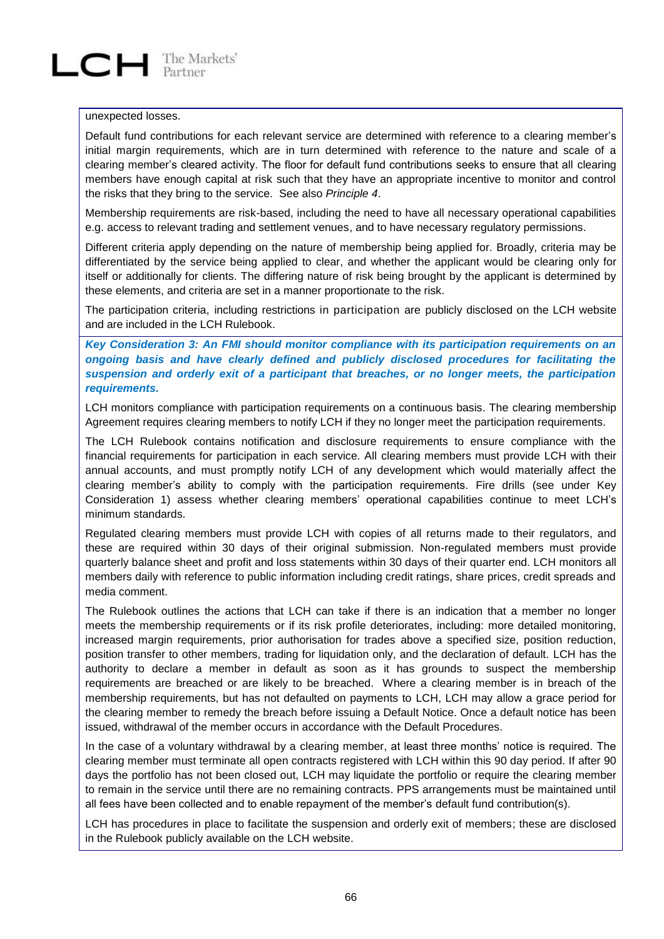#### unexpected losses.

Default fund contributions for each relevant service are determined with reference to a clearing member's initial margin requirements, which are in turn determined with reference to the nature and scale of a clearing member's cleared activity. The floor for default fund contributions seeks to ensure that all clearing members have enough capital at risk such that they have an appropriate incentive to monitor and control the risks that they bring to the service. See also *Principle 4*.

Membership requirements are risk-based, including the need to have all necessary operational capabilities e.g. access to relevant trading and settlement venues, and to have necessary regulatory permissions.

Different criteria apply depending on the nature of membership being applied for. Broadly, criteria may be differentiated by the service being applied to clear, and whether the applicant would be clearing only for itself or additionally for clients. The differing nature of risk being brought by the applicant is determined by these elements, and criteria are set in a manner proportionate to the risk.

The participation criteria, including restrictions in participation are publicly disclosed on the LCH website and are included in the LCH Rulebook.

*Key Consideration 3: An FMI should monitor compliance with its participation requirements on an ongoing basis and have clearly defined and publicly disclosed procedures for facilitating the suspension and orderly exit of a participant that breaches, or no longer meets, the participation requirements.*

LCH monitors compliance with participation requirements on a continuous basis. The clearing membership Agreement requires clearing members to notify LCH if they no longer meet the participation requirements.

The LCH Rulebook contains notification and disclosure requirements to ensure compliance with the financial requirements for participation in each service. All clearing members must provide LCH with their annual accounts, and must promptly notify LCH of any development which would materially affect the clearing member's ability to comply with the participation requirements. Fire drills (see under Key Consideration 1) assess whether clearing members' operational capabilities continue to meet LCH's minimum standards.

Regulated clearing members must provide LCH with copies of all returns made to their regulators, and these are required within 30 days of their original submission. Non-regulated members must provide quarterly balance sheet and profit and loss statements within 30 days of their quarter end. LCH monitors all members daily with reference to public information including credit ratings, share prices, credit spreads and media comment.

The Rulebook outlines the actions that LCH can take if there is an indication that a member no longer meets the membership requirements or if its risk profile deteriorates, including: more detailed monitoring, increased margin requirements, prior authorisation for trades above a specified size, position reduction, position transfer to other members, trading for liquidation only, and the declaration of default. LCH has the authority to declare a member in default as soon as it has grounds to suspect the membership requirements are breached or are likely to be breached. Where a clearing member is in breach of the membership requirements, but has not defaulted on payments to LCH, LCH may allow a grace period for the clearing member to remedy the breach before issuing a Default Notice. Once a default notice has been issued, withdrawal of the member occurs in accordance with the Default Procedures.

In the case of a voluntary withdrawal by a clearing member, at least three months' notice is required. The clearing member must terminate all open contracts registered with LCH within this 90 day period. If after 90 days the portfolio has not been closed out, LCH may liquidate the portfolio or require the clearing member to remain in the service until there are no remaining contracts. PPS arrangements must be maintained until all fees have been collected and to enable repayment of the member's default fund contribution(s).

LCH has procedures in place to facilitate the suspension and orderly exit of members; these are disclosed in the Rulebook publicly available on the LCH website.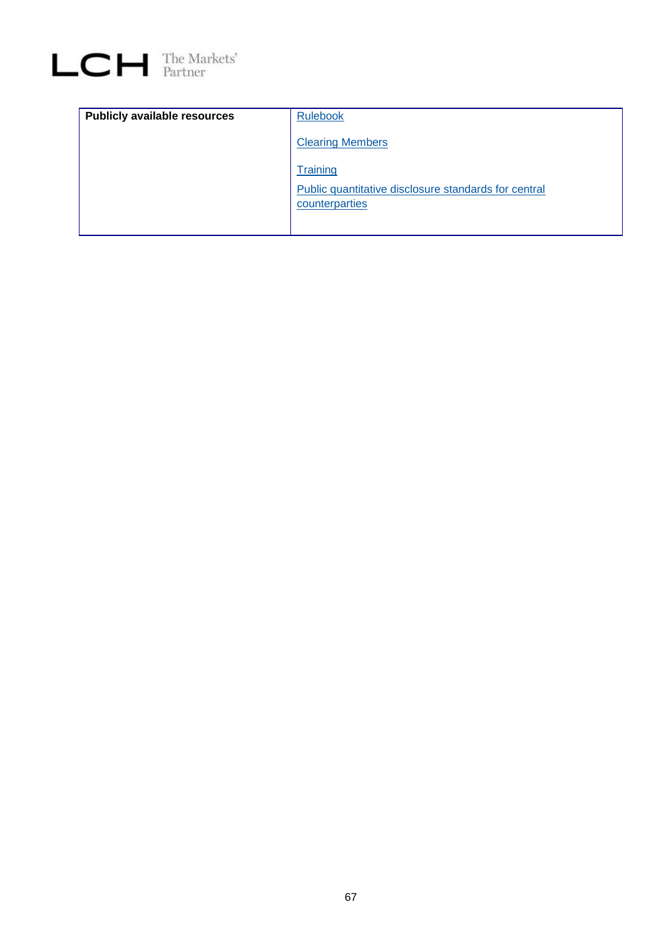

| <b>Publicly available resources</b> | <b>Rulebook</b>                                                        |
|-------------------------------------|------------------------------------------------------------------------|
|                                     | <b>Clearing Members</b>                                                |
|                                     | Training                                                               |
|                                     | Public quantitative disclosure standards for central<br>counterparties |
|                                     |                                                                        |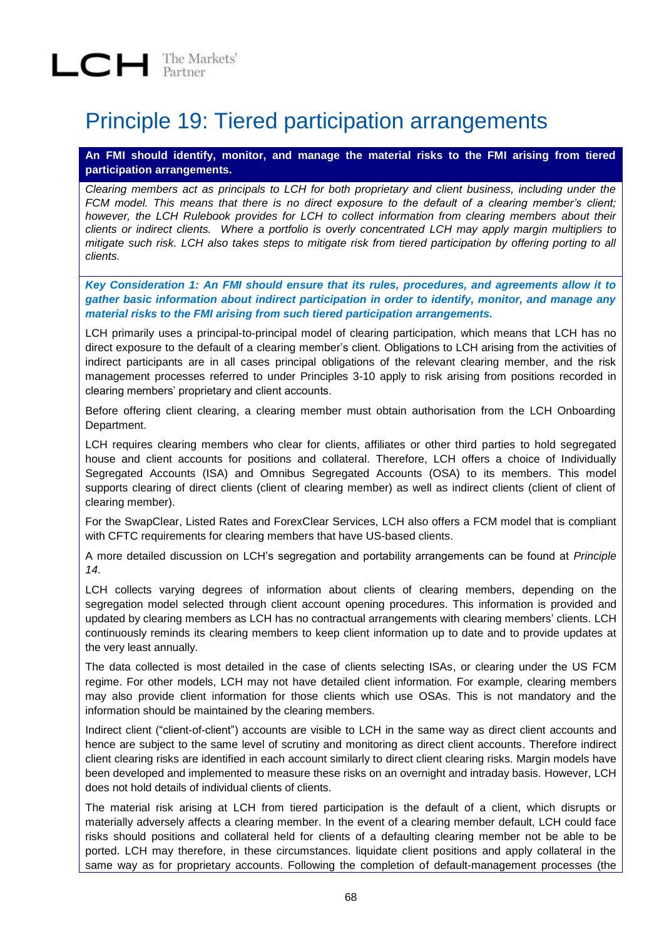### Principle 19: Tiered participation arrangements

**An FMI should identify, monitor, and manage the material risks to the FMI arising from tiered participation arrangements.**

*Clearing members act as principals to LCH for both proprietary and client business, including under the FCM model. This means that there is no direct exposure to the default of a clearing member's client; however, the LCH Rulebook provides for LCH to collect information from clearing members about their clients or indirect clients. Where a portfolio is overly concentrated LCH may apply margin multipliers to mitigate such risk. LCH also takes steps to mitigate risk from tiered participation by offering porting to all clients.* 

*Key Consideration 1: An FMI should ensure that its rules, procedures, and agreements allow it to gather basic information about indirect participation in order to identify, monitor, and manage any material risks to the FMI arising from such tiered participation arrangements.*

LCH primarily uses a principal-to-principal model of clearing participation, which means that LCH has no direct exposure to the default of a clearing member's client. Obligations to LCH arising from the activities of indirect participants are in all cases principal obligations of the relevant clearing member, and the risk management processes referred to under Principles 3-10 apply to risk arising from positions recorded in clearing members' proprietary and client accounts.

Before offering client clearing, a clearing member must obtain authorisation from the LCH Onboarding Department.

LCH requires clearing members who clear for clients, affiliates or other third parties to hold segregated house and client accounts for positions and collateral. Therefore, LCH offers a choice of Individually Segregated Accounts (ISA) and Omnibus Segregated Accounts (OSA) to its members. This model supports clearing of direct clients (client of clearing member) as well as indirect clients (client of client of clearing member).

For the SwapClear, Listed Rates and ForexClear Services, LCH also offers a FCM model that is compliant with CFTC requirements for clearing members that have US-based clients.

A more detailed discussion on LCH's segregation and portability arrangements can be found at *Principle 14*.

LCH collects varying degrees of information about clients of clearing members, depending on the segregation model selected through client account opening procedures. This information is provided and updated by clearing members as LCH has no contractual arrangements with clearing members' clients. LCH continuously reminds its clearing members to keep client information up to date and to provide updates at the very least annually.

The data collected is most detailed in the case of clients selecting ISAs, or clearing under the US FCM regime. For other models, LCH may not have detailed client information. For example, clearing members may also provide client information for those clients which use OSAs. This is not mandatory and the information should be maintained by the clearing members.

Indirect client ("client-of-client") accounts are visible to LCH in the same way as direct client accounts and hence are subject to the same level of scrutiny and monitoring as direct client accounts. Therefore indirect client clearing risks are identified in each account similarly to direct client clearing risks. Margin models have been developed and implemented to measure these risks on an overnight and intraday basis. However, LCH does not hold details of individual clients of clients.

The material risk arising at LCH from tiered participation is the default of a client, which disrupts or materially adversely affects a clearing member. In the event of a clearing member default, LCH could face risks should positions and collateral held for clients of a defaulting clearing member not be able to be ported. LCH may therefore, in these circumstances. liquidate client positions and apply collateral in the same way as for proprietary accounts. Following the completion of default-management processes (the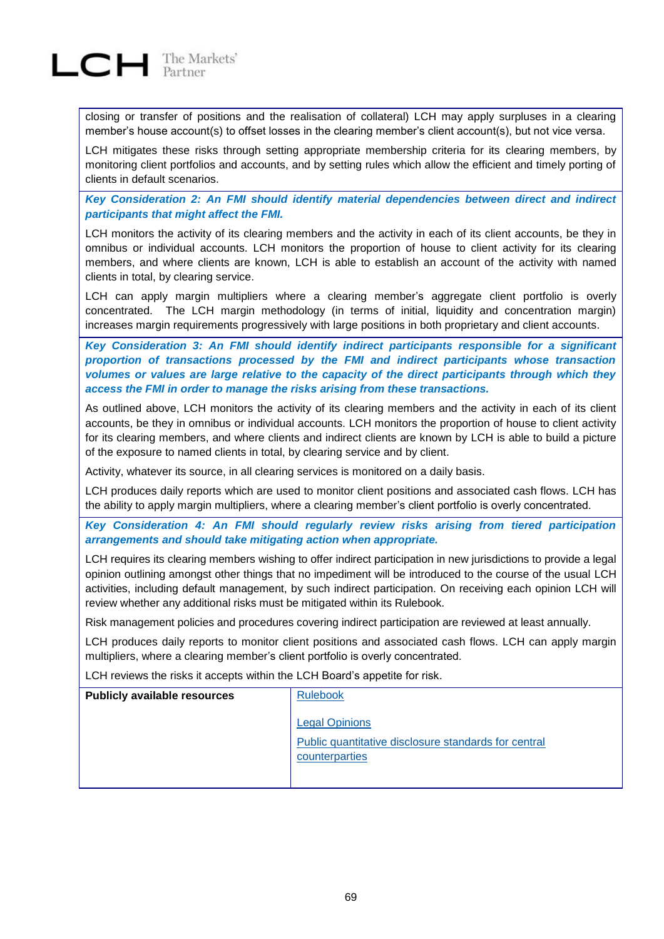

closing or transfer of positions and the realisation of collateral) LCH may apply surpluses in a clearing member's house account(s) to offset losses in the clearing member's client account(s), but not vice versa.

LCH mitigates these risks through setting appropriate membership criteria for its clearing members, by monitoring client portfolios and accounts, and by setting rules which allow the efficient and timely porting of clients in default scenarios.

*Key Consideration 2: An FMI should identify material dependencies between direct and indirect participants that might affect the FMI.*

LCH monitors the activity of its clearing members and the activity in each of its client accounts, be they in omnibus or individual accounts. LCH monitors the proportion of house to client activity for its clearing members, and where clients are known, LCH is able to establish an account of the activity with named clients in total, by clearing service.

LCH can apply margin multipliers where a clearing member's aggregate client portfolio is overly concentrated. The LCH margin methodology (in terms of initial, liquidity and concentration margin) increases margin requirements progressively with large positions in both proprietary and client accounts.

*Key Consideration 3: An FMI should identify indirect participants responsible for a significant proportion of transactions processed by the FMI and indirect participants whose transaction*  volumes or values are large relative to the capacity of the direct participants through which they *access the FMI in order to manage the risks arising from these transactions.*

As outlined above, LCH monitors the activity of its clearing members and the activity in each of its client accounts, be they in omnibus or individual accounts. LCH monitors the proportion of house to client activity for its clearing members, and where clients and indirect clients are known by LCH is able to build a picture of the exposure to named clients in total, by clearing service and by client.

Activity, whatever its source, in all clearing services is monitored on a daily basis.

LCH produces daily reports which are used to monitor client positions and associated cash flows. LCH has the ability to apply margin multipliers, where a clearing member's client portfolio is overly concentrated.

*Key Consideration 4: An FMI should regularly review risks arising from tiered participation arrangements and should take mitigating action when appropriate.*

LCH requires its clearing members wishing to offer indirect participation in new jurisdictions to provide a legal opinion outlining amongst other things that no impediment will be introduced to the course of the usual LCH activities, including default management, by such indirect participation. On receiving each opinion LCH will review whether any additional risks must be mitigated within its Rulebook.

Risk management policies and procedures covering indirect participation are reviewed at least annually.

LCH produces daily reports to monitor client positions and associated cash flows. LCH can apply margin multipliers, where a clearing member's client portfolio is overly concentrated.

LCH reviews the risks it accepts within the LCH Board's appetite for risk.

| <b>Publicly available resources</b> | <b>Rulebook</b>                                                        |
|-------------------------------------|------------------------------------------------------------------------|
|                                     | <b>Legal Opinions</b>                                                  |
|                                     | Public quantitative disclosure standards for central<br>counterparties |
|                                     |                                                                        |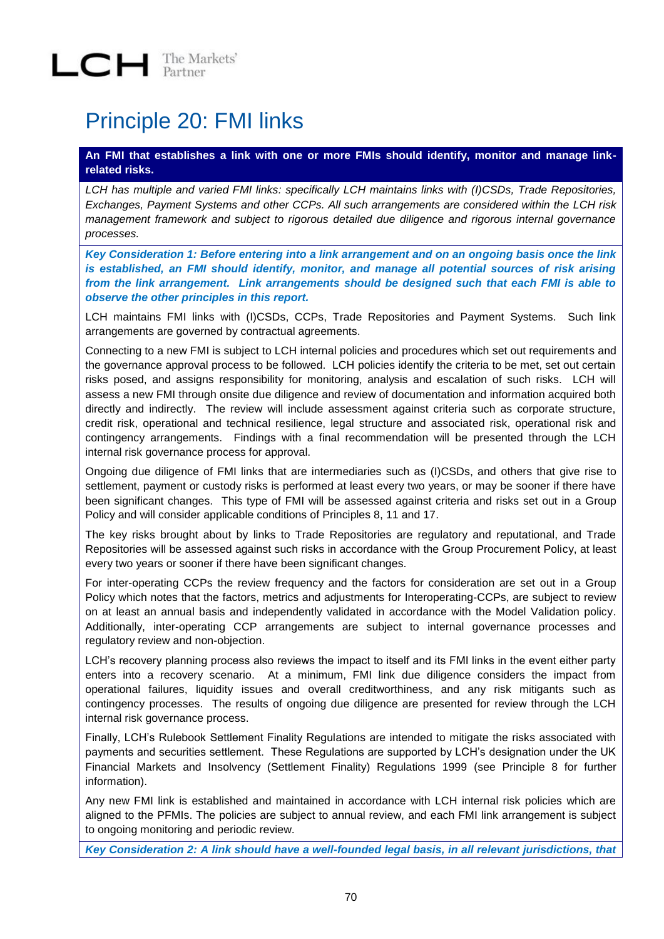## Principle 20: FMI links

### **An FMI that establishes a link with one or more FMIs should identify, monitor and manage linkrelated risks.**

*LCH has multiple and varied FMI links: specifically LCH maintains links with (I)CSDs, Trade Repositories, Exchanges, Payment Systems and other CCPs. All such arrangements are considered within the LCH risk management framework and subject to rigorous detailed due diligence and rigorous internal governance processes.* 

*Key Consideration 1: Before entering into a link arrangement and on an ongoing basis once the link is established, an FMI should identify, monitor, and manage all potential sources of risk arising from the link arrangement. Link arrangements should be designed such that each FMI is able to observe the other principles in this report.*

LCH maintains FMI links with (I)CSDs, CCPs, Trade Repositories and Payment Systems. Such link arrangements are governed by contractual agreements.

Connecting to a new FMI is subject to LCH internal policies and procedures which set out requirements and the governance approval process to be followed. LCH policies identify the criteria to be met, set out certain risks posed, and assigns responsibility for monitoring, analysis and escalation of such risks. LCH will assess a new FMI through onsite due diligence and review of documentation and information acquired both directly and indirectly. The review will include assessment against criteria such as corporate structure, credit risk, operational and technical resilience, legal structure and associated risk, operational risk and contingency arrangements. Findings with a final recommendation will be presented through the LCH internal risk governance process for approval.

Ongoing due diligence of FMI links that are intermediaries such as (I)CSDs, and others that give rise to settlement, payment or custody risks is performed at least every two years, or may be sooner if there have been significant changes. This type of FMI will be assessed against criteria and risks set out in a Group Policy and will consider applicable conditions of Principles 8, 11 and 17.

The key risks brought about by links to Trade Repositories are regulatory and reputational, and Trade Repositories will be assessed against such risks in accordance with the Group Procurement Policy, at least every two years or sooner if there have been significant changes.

For inter-operating CCPs the review frequency and the factors for consideration are set out in a Group Policy which notes that the factors, metrics and adjustments for Interoperating-CCPs, are subject to review on at least an annual basis and independently validated in accordance with the Model Validation policy. Additionally, inter-operating CCP arrangements are subject to internal governance processes and regulatory review and non-objection.

LCH's recovery planning process also reviews the impact to itself and its FMI links in the event either party enters into a recovery scenario. At a minimum, FMI link due diligence considers the impact from operational failures, liquidity issues and overall creditworthiness, and any risk mitigants such as contingency processes. The results of ongoing due diligence are presented for review through the LCH internal risk governance process.

Finally, LCH's Rulebook Settlement Finality Regulations are intended to mitigate the risks associated with payments and securities settlement. These Regulations are supported by LCH's designation under the UK Financial Markets and Insolvency (Settlement Finality) Regulations 1999 (see Principle 8 for further information).

Any new FMI link is established and maintained in accordance with LCH internal risk policies which are aligned to the PFMIs. The policies are subject to annual review, and each FMI link arrangement is subject to ongoing monitoring and periodic review.

*Key Consideration 2: A link should have a well-founded legal basis, in all relevant jurisdictions, that*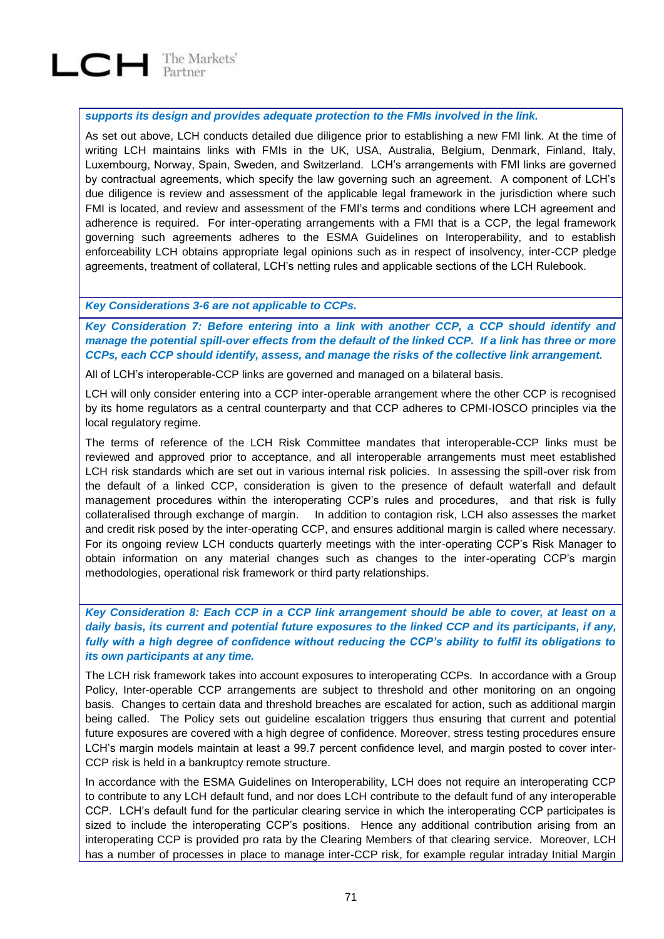

*supports its design and provides adequate protection to the FMIs involved in the link.*

As set out above, LCH conducts detailed due diligence prior to establishing a new FMI link. At the time of writing LCH maintains links with FMIs in the UK, USA, Australia, Belgium, Denmark, Finland, Italy, Luxembourg, Norway, Spain, Sweden, and Switzerland. LCH's arrangements with FMI links are governed by contractual agreements, which specify the law governing such an agreement. A component of LCH's due diligence is review and assessment of the applicable legal framework in the jurisdiction where such FMI is located, and review and assessment of the FMI's terms and conditions where LCH agreement and adherence is required. For inter-operating arrangements with a FMI that is a CCP, the legal framework governing such agreements adheres to the ESMA Guidelines on Interoperability, and to establish enforceability LCH obtains appropriate legal opinions such as in respect of insolvency, inter-CCP pledge agreements, treatment of collateral, LCH's netting rules and applicable sections of the LCH Rulebook.

#### *Key Considerations 3-6 are not applicable to CCPs.*

*Key Consideration 7: Before entering into a link with another CCP, a CCP should identify and manage the potential spill-over effects from the default of the linked CCP. If a link has three or more CCPs, each CCP should identify, assess, and manage the risks of the collective link arrangement.*

All of LCH's interoperable-CCP links are governed and managed on a bilateral basis.

LCH will only consider entering into a CCP inter-operable arrangement where the other CCP is recognised by its home regulators as a central counterparty and that CCP adheres to CPMI-IOSCO principles via the local regulatory regime.

The terms of reference of the LCH Risk Committee mandates that interoperable-CCP links must be reviewed and approved prior to acceptance, and all interoperable arrangements must meet established LCH risk standards which are set out in various internal risk policies. In assessing the spill-over risk from the default of a linked CCP, consideration is given to the presence of default waterfall and default management procedures within the interoperating CCP's rules and procedures, and that risk is fully collateralised through exchange of margin. In addition to contagion risk, LCH also assesses the market and credit risk posed by the inter-operating CCP, and ensures additional margin is called where necessary. For its ongoing review LCH conducts quarterly meetings with the inter-operating CCP's Risk Manager to obtain information on any material changes such as changes to the inter-operating CCP's margin methodologies, operational risk framework or third party relationships.

*Key Consideration 8: Each CCP in a CCP link arrangement should be able to cover, at least on a daily basis, its current and potential future exposures to the linked CCP and its participants, if any, fully with a high degree of confidence without reducing the CCP's ability to fulfil its obligations to its own participants at any time.*

The LCH risk framework takes into account exposures to interoperating CCPs. In accordance with a Group Policy, Inter-operable CCP arrangements are subject to threshold and other monitoring on an ongoing basis. Changes to certain data and threshold breaches are escalated for action, such as additional margin being called. The Policy sets out guideline escalation triggers thus ensuring that current and potential future exposures are covered with a high degree of confidence. Moreover, stress testing procedures ensure LCH's margin models maintain at least a 99.7 percent confidence level, and margin posted to cover inter-CCP risk is held in a bankruptcy remote structure.

In accordance with the ESMA Guidelines on Interoperability, LCH does not require an interoperating CCP to contribute to any LCH default fund, and nor does LCH contribute to the default fund of any interoperable CCP. LCH's default fund for the particular clearing service in which the interoperating CCP participates is sized to include the interoperating CCP's positions. Hence any additional contribution arising from an interoperating CCP is provided pro rata by the Clearing Members of that clearing service. Moreover, LCH has a number of processes in place to manage inter-CCP risk, for example regular intraday Initial Margin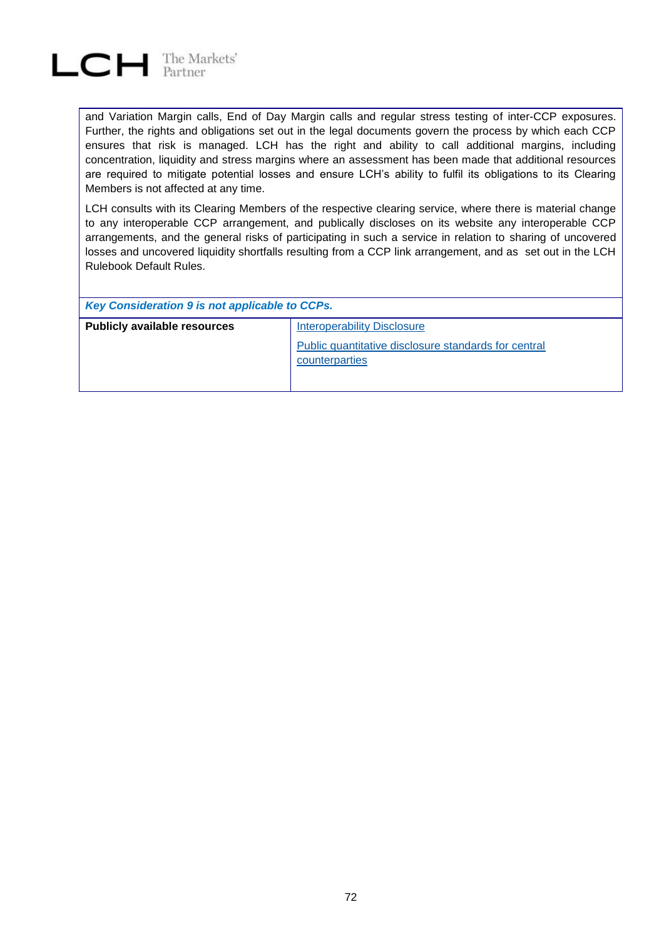

and Variation Margin calls, End of Day Margin calls and regular stress testing of inter-CCP exposures. Further, the rights and obligations set out in the legal documents govern the process by which each CCP ensures that risk is managed. LCH has the right and ability to call additional margins, including concentration, liquidity and stress margins where an assessment has been made that additional resources are required to mitigate potential losses and ensure LCH's ability to fulfil its obligations to its Clearing Members is not affected at any time.

LCH consults with its Clearing Members of the respective clearing service, where there is material change to any interoperable CCP arrangement, and publically discloses on its website any interoperable CCP arrangements, and the general risks of participating in such a service in relation to sharing of uncovered losses and uncovered liquidity shortfalls resulting from a CCP link arrangement, and as set out in the LCH Rulebook Default Rules.

| Key Consideration 9 is not applicable to CCPs. |                                                                        |  |  |  |
|------------------------------------------------|------------------------------------------------------------------------|--|--|--|
| <b>Publicly available resources</b>            | <b>Interoperability Disclosure</b>                                     |  |  |  |
|                                                | Public quantitative disclosure standards for central<br>counterparties |  |  |  |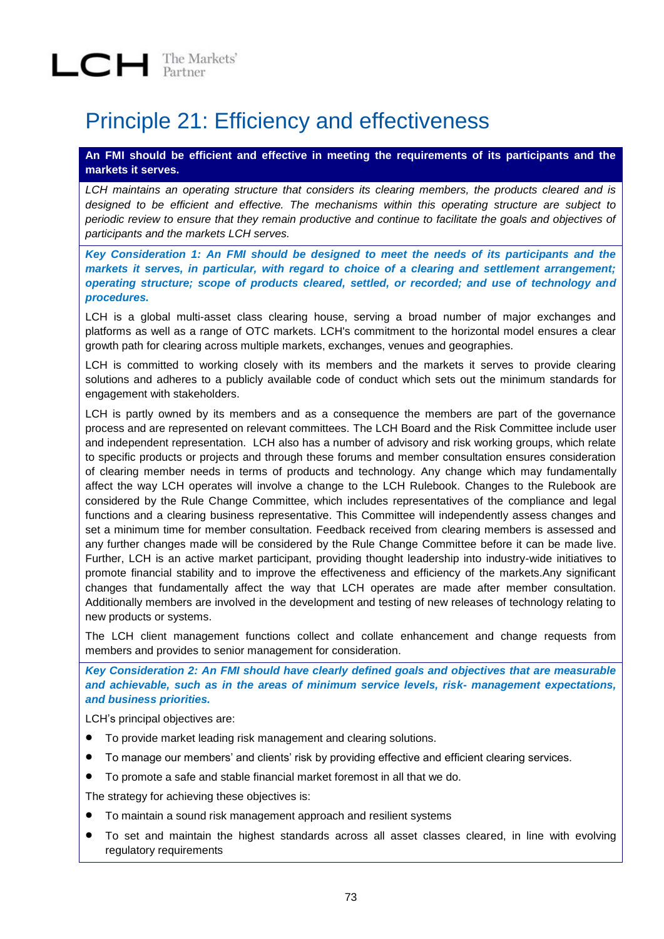## Principle 21: Efficiency and effectiveness

**An FMI should be efficient and effective in meeting the requirements of its participants and the markets it serves.**

*LCH maintains an operating structure that considers its clearing members, the products cleared and is designed to be efficient and effective. The mechanisms within this operating structure are subject to periodic review to ensure that they remain productive and continue to facilitate the goals and objectives of participants and the markets LCH serves.* 

*Key Consideration 1: An FMI should be designed to meet the needs of its participants and the markets it serves, in particular, with regard to choice of a clearing and settlement arrangement; operating structure; scope of products cleared, settled, or recorded; and use of technology and procedures.*

LCH is a global multi-asset class clearing house, serving a broad number of major exchanges and platforms as well as a range of OTC markets. LCH's commitment to the horizontal model ensures a clear growth path for clearing across multiple markets, exchanges, venues and geographies.

LCH is committed to working closely with its members and the markets it serves to provide clearing solutions and adheres to a publicly available code of conduct which sets out the minimum standards for engagement with stakeholders.

LCH is partly owned by its members and as a consequence the members are part of the governance process and are represented on relevant committees. The LCH Board and the Risk Committee include user and independent representation. LCH also has a number of advisory and risk working groups, which relate to specific products or projects and through these forums and member consultation ensures consideration of clearing member needs in terms of products and technology. Any change which may fundamentally affect the way LCH operates will involve a change to the LCH Rulebook. Changes to the Rulebook are considered by the Rule Change Committee, which includes representatives of the compliance and legal functions and a clearing business representative. This Committee will independently assess changes and set a minimum time for member consultation. Feedback received from clearing members is assessed and any further changes made will be considered by the Rule Change Committee before it can be made live. Further, LCH is an active market participant, providing thought leadership into industry-wide initiatives to promote financial stability and to improve the effectiveness and efficiency of the markets.Any significant changes that fundamentally affect the way that LCH operates are made after member consultation. Additionally members are involved in the development and testing of new releases of technology relating to new products or systems.

The LCH client management functions collect and collate enhancement and change requests from members and provides to senior management for consideration.

*Key Consideration 2: An FMI should have clearly defined goals and objectives that are measurable and achievable, such as in the areas of minimum service levels, risk- management expectations, and business priorities.*

LCH's principal objectives are:

- To provide market leading risk management and clearing solutions.
- To manage our members' and clients' risk by providing effective and efficient clearing services.
- To promote a safe and stable financial market foremost in all that we do.

The strategy for achieving these objectives is:

- To maintain a sound risk management approach and resilient systems
- To set and maintain the highest standards across all asset classes cleared, in line with evolving regulatory requirements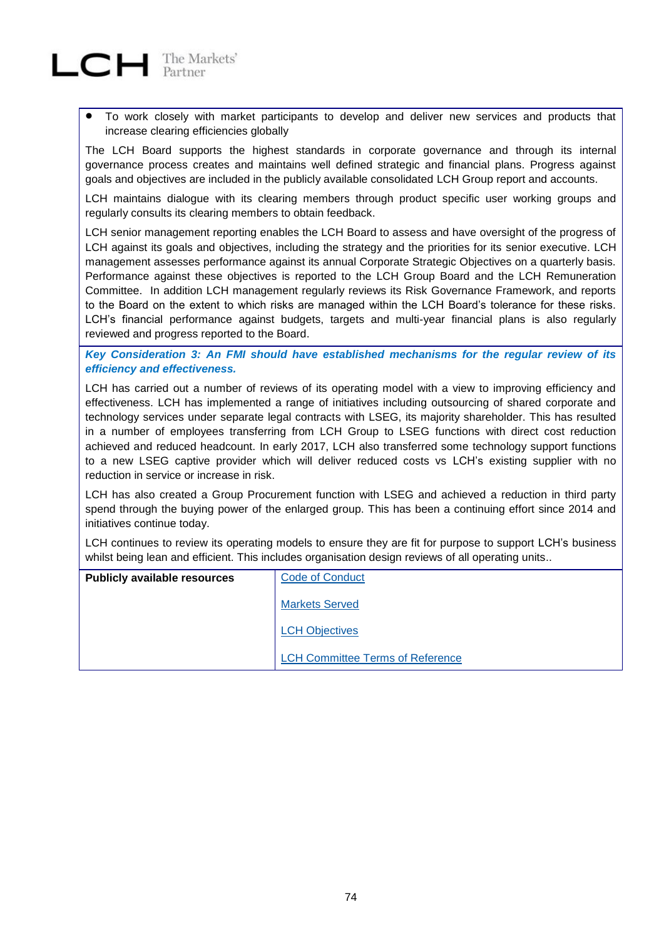

 To work closely with market participants to develop and deliver new services and products that increase clearing efficiencies globally

The LCH Board supports the highest standards in corporate governance and through its internal governance process creates and maintains well defined strategic and financial plans. Progress against goals and objectives are included in the publicly available consolidated LCH Group report and accounts.

LCH maintains dialogue with its clearing members through product specific user working groups and regularly consults its clearing members to obtain feedback.

LCH senior management reporting enables the LCH Board to assess and have oversight of the progress of LCH against its goals and objectives, including the strategy and the priorities for its senior executive. LCH management assesses performance against its annual Corporate Strategic Objectives on a quarterly basis. Performance against these objectives is reported to the LCH Group Board and the LCH Remuneration Committee. In addition LCH management regularly reviews its Risk Governance Framework, and reports to the Board on the extent to which risks are managed within the LCH Board's tolerance for these risks. LCH's financial performance against budgets, targets and multi-year financial plans is also regularly reviewed and progress reported to the Board.

*Key Consideration 3: An FMI should have established mechanisms for the regular review of its efficiency and effectiveness.*

LCH has carried out a number of reviews of its operating model with a view to improving efficiency and effectiveness. LCH has implemented a range of initiatives including outsourcing of shared corporate and technology services under separate legal contracts with LSEG, its majority shareholder. This has resulted in a number of employees transferring from LCH Group to LSEG functions with direct cost reduction achieved and reduced headcount. In early 2017, LCH also transferred some technology support functions to a new LSEG captive provider which will deliver reduced costs vs LCH's existing supplier with no reduction in service or increase in risk.

LCH has also created a Group Procurement function with LSEG and achieved a reduction in third party spend through the buying power of the enlarged group. This has been a continuing effort since 2014 and initiatives continue today.

LCH continues to review its operating models to ensure they are fit for purpose to support LCH's business whilst being lean and efficient. This includes organisation design reviews of all operating units..

| <b>Publicly available resources</b> | <b>Code of Conduct</b>                  |
|-------------------------------------|-----------------------------------------|
|                                     | <b>Markets Served</b>                   |
|                                     | <b>LCH Objectives</b>                   |
|                                     | <b>LCH Committee Terms of Reference</b> |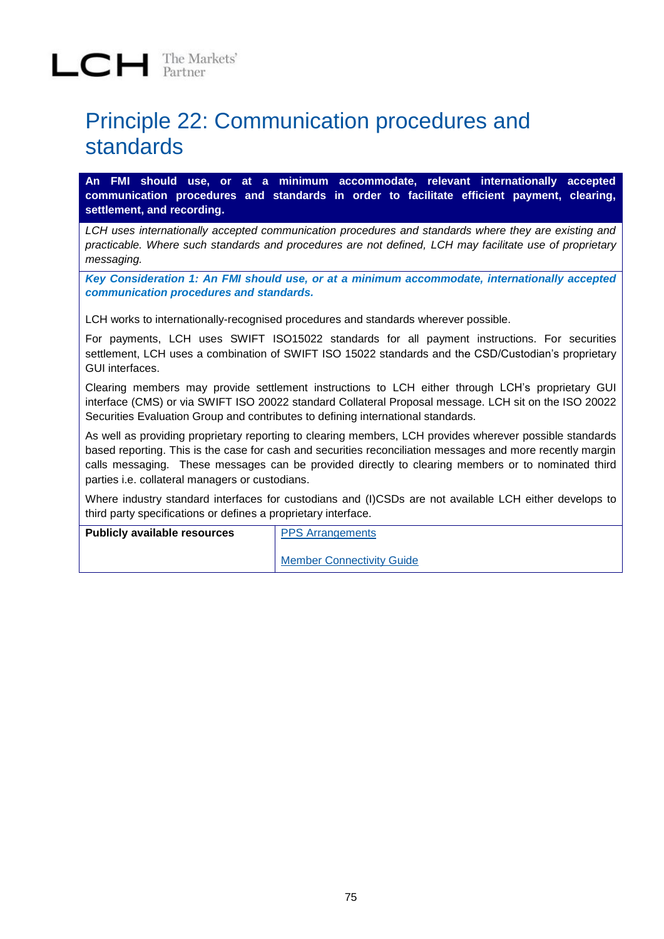### Principle 22: Communication procedures and standards

**An FMI should use, or at a minimum accommodate, relevant internationally accepted communication procedures and standards in order to facilitate efficient payment, clearing, settlement, and recording.**

*LCH uses internationally accepted communication procedures and standards where they are existing and practicable. Where such standards and procedures are not defined, LCH may facilitate use of proprietary messaging.* 

*Key Consideration 1: An FMI should use, or at a minimum accommodate, internationally accepted communication procedures and standards.*

LCH works to internationally-recognised procedures and standards wherever possible.

For payments, LCH uses SWIFT ISO15022 standards for all payment instructions. For securities settlement, LCH uses a combination of SWIFT ISO 15022 standards and the CSD/Custodian's proprietary GUI interfaces.

Clearing members may provide settlement instructions to LCH either through LCH's proprietary GUI interface (CMS) or via SWIFT ISO 20022 standard Collateral Proposal message. LCH sit on the ISO 20022 Securities Evaluation Group and contributes to defining international standards.

As well as providing proprietary reporting to clearing members, LCH provides wherever possible standards based reporting. This is the case for cash and securities reconciliation messages and more recently margin calls messaging. These messages can be provided directly to clearing members or to nominated third parties i.e. collateral managers or custodians.

Where industry standard interfaces for custodians and (I)CSDs are not available LCH either develops to third party specifications or defines a proprietary interface.

| <b>Publicly available resources</b> | <b>PPS Arrangements</b>          |
|-------------------------------------|----------------------------------|
|                                     | <b>Member Connectivity Guide</b> |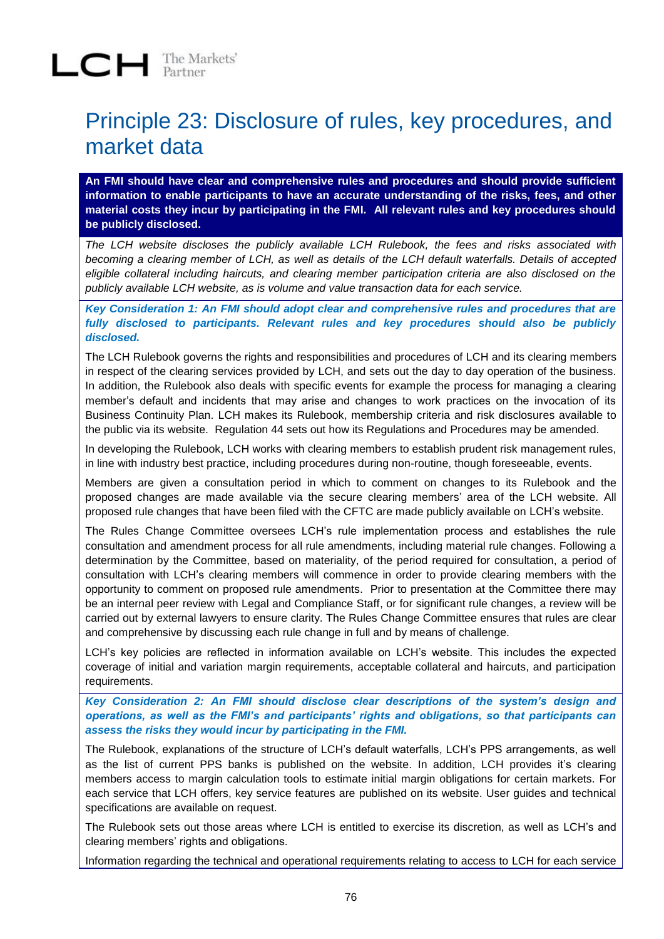### Principle 23: Disclosure of rules, key procedures, and market data

**An FMI should have clear and comprehensive rules and procedures and should provide sufficient information to enable participants to have an accurate understanding of the risks, fees, and other material costs they incur by participating in the FMI. All relevant rules and key procedures should be publicly disclosed.**

*The LCH website discloses the publicly available LCH Rulebook, the fees and risks associated with becoming a clearing member of LCH, as well as details of the LCH default waterfalls. Details of accepted eligible collateral including haircuts, and clearing member participation criteria are also disclosed on the publicly available LCH website, as is volume and value transaction data for each service.*

*Key Consideration 1: An FMI should adopt clear and comprehensive rules and procedures that are fully disclosed to participants. Relevant rules and key procedures should also be publicly disclosed.*

The LCH Rulebook governs the rights and responsibilities and procedures of LCH and its clearing members in respect of the clearing services provided by LCH, and sets out the day to day operation of the business. In addition, the Rulebook also deals with specific events for example the process for managing a clearing member's default and incidents that may arise and changes to work practices on the invocation of its Business Continuity Plan. LCH makes its Rulebook, membership criteria and risk disclosures available to the public via its website. Regulation 44 sets out how its Regulations and Procedures may be amended.

In developing the Rulebook, LCH works with clearing members to establish prudent risk management rules, in line with industry best practice, including procedures during non-routine, though foreseeable, events.

Members are given a consultation period in which to comment on changes to its Rulebook and the proposed changes are made available via the secure clearing members' area of the LCH website. All proposed rule changes that have been filed with the CFTC are made publicly available on LCH's website.

The Rules Change Committee oversees LCH's rule implementation process and establishes the rule consultation and amendment process for all rule amendments, including material rule changes. Following a determination by the Committee, based on materiality, of the period required for consultation, a period of consultation with LCH's clearing members will commence in order to provide clearing members with the opportunity to comment on proposed rule amendments. Prior to presentation at the Committee there may be an internal peer review with Legal and Compliance Staff, or for significant rule changes, a review will be carried out by external lawyers to ensure clarity. The Rules Change Committee ensures that rules are clear and comprehensive by discussing each rule change in full and by means of challenge.

LCH's key policies are reflected in information available on LCH's website. This includes the expected coverage of initial and variation margin requirements, acceptable collateral and haircuts, and participation requirements.

*Key Consideration 2: An FMI should disclose clear descriptions of the system's design and operations, as well as the FMI's and participants' rights and obligations, so that participants can assess the risks they would incur by participating in the FMI.*

The Rulebook, explanations of the structure of LCH's default waterfalls, LCH's PPS arrangements, as well as the list of current PPS banks is published on the website. In addition, LCH provides it's clearing members access to margin calculation tools to estimate initial margin obligations for certain markets. For each service that LCH offers, key service features are published on its website. User guides and technical specifications are available on request.

The Rulebook sets out those areas where LCH is entitled to exercise its discretion, as well as LCH's and clearing members' rights and obligations.

Information regarding the technical and operational requirements relating to access to LCH for each service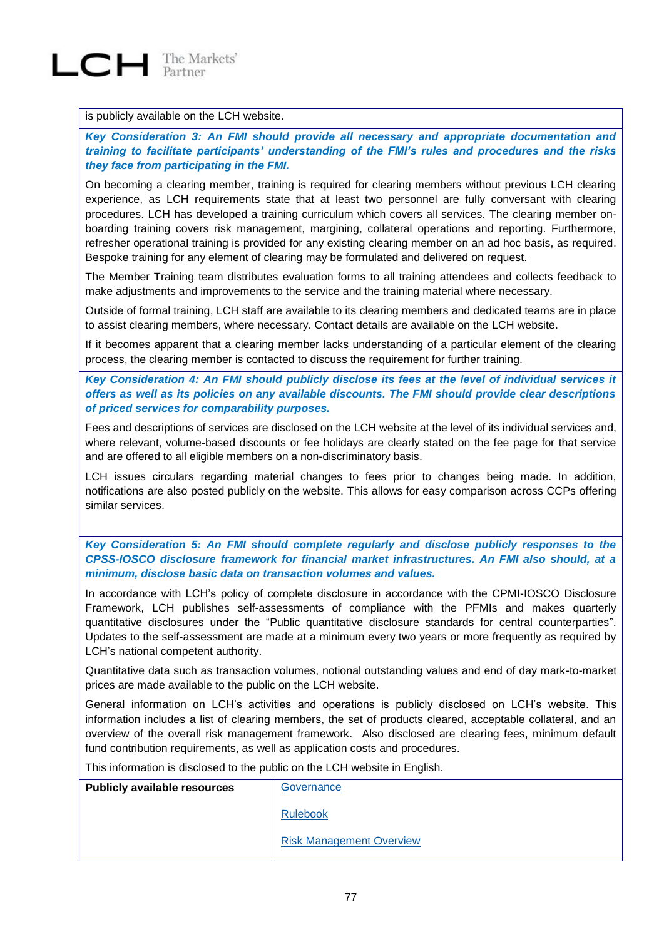

#### is publicly available on the LCH website.

*Key Consideration 3: An FMI should provide all necessary and appropriate documentation and training to facilitate participants' understanding of the FMI's rules and procedures and the risks they face from participating in the FMI.*

On becoming a clearing member, training is required for clearing members without previous LCH clearing experience, as LCH requirements state that at least two personnel are fully conversant with clearing procedures. LCH has developed a training curriculum which covers all services. The clearing member onboarding training covers risk management, margining, collateral operations and reporting. Furthermore, refresher operational training is provided for any existing clearing member on an ad hoc basis, as required. Bespoke training for any element of clearing may be formulated and delivered on request.

The Member Training team distributes evaluation forms to all training attendees and collects feedback to make adjustments and improvements to the service and the training material where necessary.

Outside of formal training, LCH staff are available to its clearing members and dedicated teams are in place to assist clearing members, where necessary. Contact details are available on the LCH website.

If it becomes apparent that a clearing member lacks understanding of a particular element of the clearing process, the clearing member is contacted to discuss the requirement for further training.

*Key Consideration 4: An FMI should publicly disclose its fees at the level of individual services it offers as well as its policies on any available discounts. The FMI should provide clear descriptions of priced services for comparability purposes.*

Fees and descriptions of services are disclosed on the LCH website at the level of its individual services and, where relevant, volume-based discounts or fee holidays are clearly stated on the fee page for that service and are offered to all eligible members on a non-discriminatory basis.

LCH issues circulars regarding material changes to fees prior to changes being made. In addition, notifications are also posted publicly on the website. This allows for easy comparison across CCPs offering similar services.

*Key Consideration 5: An FMI should complete regularly and disclose publicly responses to the CPSS-IOSCO disclosure framework for financial market infrastructures. An FMI also should, at a minimum, disclose basic data on transaction volumes and values.*

In accordance with LCH's policy of complete disclosure in accordance with the CPMI-IOSCO Disclosure Framework, LCH publishes self-assessments of compliance with the PFMIs and makes quarterly quantitative disclosures under the "Public quantitative disclosure standards for central counterparties". Updates to the self-assessment are made at a minimum every two years or more frequently as required by LCH's national competent authority.

Quantitative data such as transaction volumes, notional outstanding values and end of day mark-to-market prices are made available to the public on the LCH website.

General information on LCH's activities and operations is publicly disclosed on LCH's website. This information includes a list of clearing members, the set of products cleared, acceptable collateral, and an overview of the overall risk management framework. Also disclosed are clearing fees, minimum default fund contribution requirements, as well as application costs and procedures.

This information is disclosed to the public on the LCH website in English.

| <b>Publicly available resources</b> | Governance                      |
|-------------------------------------|---------------------------------|
|                                     | <b>Rulebook</b>                 |
|                                     | <b>Risk Management Overview</b> |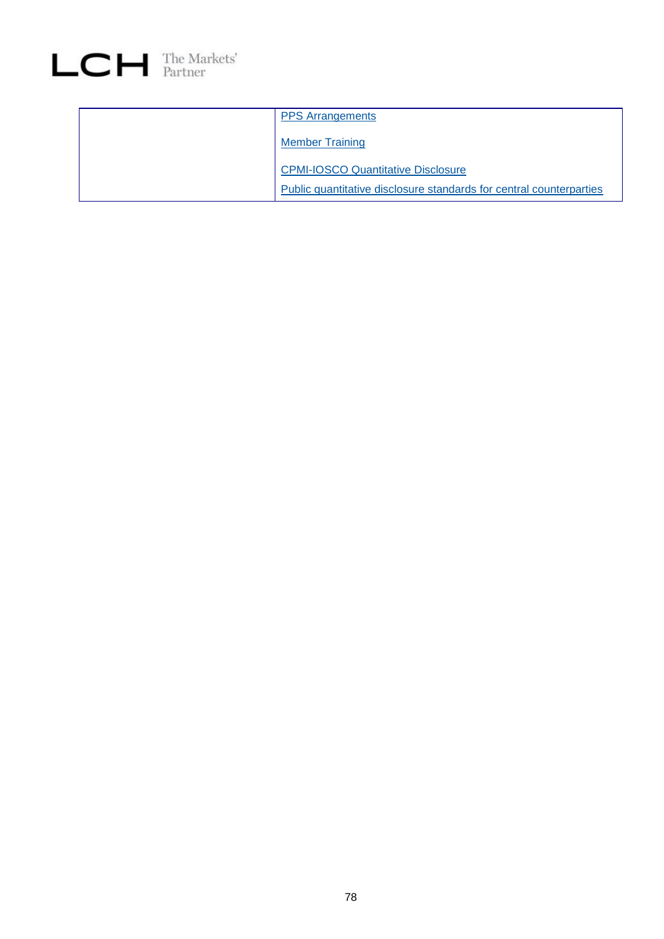

| <b>PPS Arrangements</b>                                             |
|---------------------------------------------------------------------|
| <b>Member Training</b>                                              |
| <b>CPMI-IOSCO Quantitative Disclosure</b>                           |
| Public quantitative disclosure standards for central counterparties |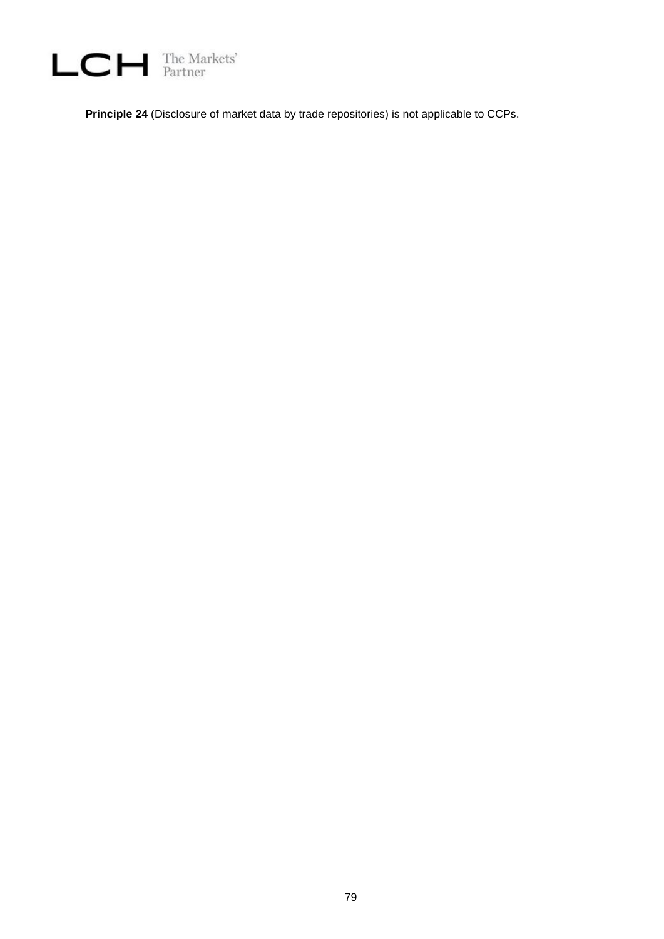

**Principle 24** (Disclosure of market data by trade repositories) is not applicable to CCPs.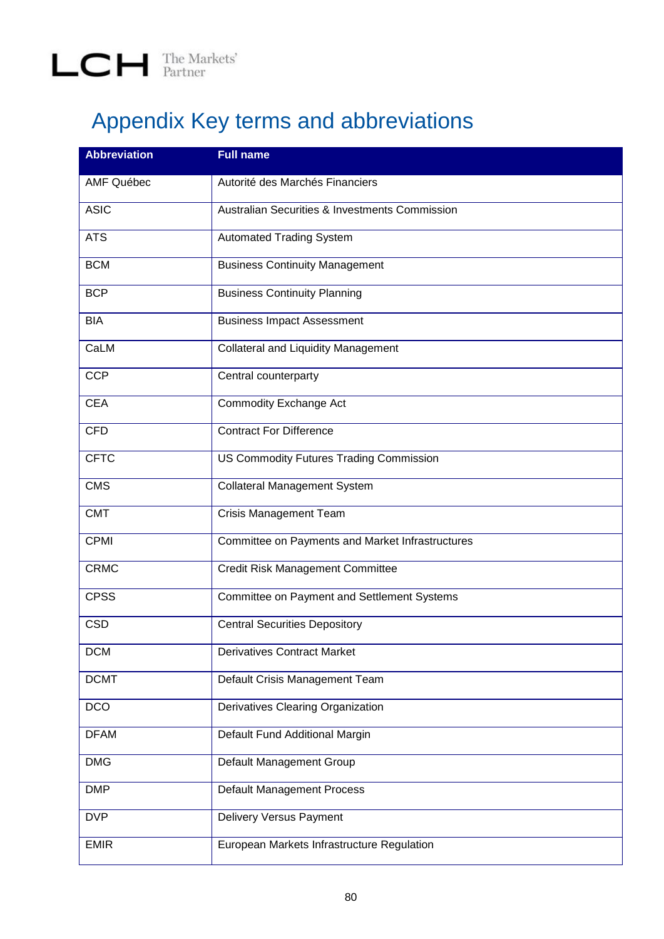## Appendix Key terms and abbreviations

| <b>Abbreviation</b> | <b>Full name</b>                                          |
|---------------------|-----------------------------------------------------------|
| <b>AMF Québec</b>   | Autorité des Marchés Financiers                           |
| <b>ASIC</b>         | <b>Australian Securities &amp; Investments Commission</b> |
| <b>ATS</b>          | <b>Automated Trading System</b>                           |
| <b>BCM</b>          | <b>Business Continuity Management</b>                     |
| <b>BCP</b>          | <b>Business Continuity Planning</b>                       |
| <b>BIA</b>          | <b>Business Impact Assessment</b>                         |
| CaLM                | <b>Collateral and Liquidity Management</b>                |
| <b>CCP</b>          | Central counterparty                                      |
| <b>CEA</b>          | <b>Commodity Exchange Act</b>                             |
| <b>CFD</b>          | <b>Contract For Difference</b>                            |
| <b>CFTC</b>         | <b>US Commodity Futures Trading Commission</b>            |
| <b>CMS</b>          | <b>Collateral Management System</b>                       |
| <b>CMT</b>          | <b>Crisis Management Team</b>                             |
| <b>CPMI</b>         | Committee on Payments and Market Infrastructures          |
| <b>CRMC</b>         | <b>Credit Risk Management Committee</b>                   |
| <b>CPSS</b>         | Committee on Payment and Settlement Systems               |
| <b>CSD</b>          | <b>Central Securities Depository</b>                      |
| <b>DCM</b>          | <b>Derivatives Contract Market</b>                        |
| <b>DCMT</b>         | Default Crisis Management Team                            |
| <b>DCO</b>          | Derivatives Clearing Organization                         |
| <b>DFAM</b>         | Default Fund Additional Margin                            |
| <b>DMG</b>          | Default Management Group                                  |
| <b>DMP</b>          | Default Management Process                                |
| <b>DVP</b>          | <b>Delivery Versus Payment</b>                            |
| <b>EMIR</b>         | European Markets Infrastructure Regulation                |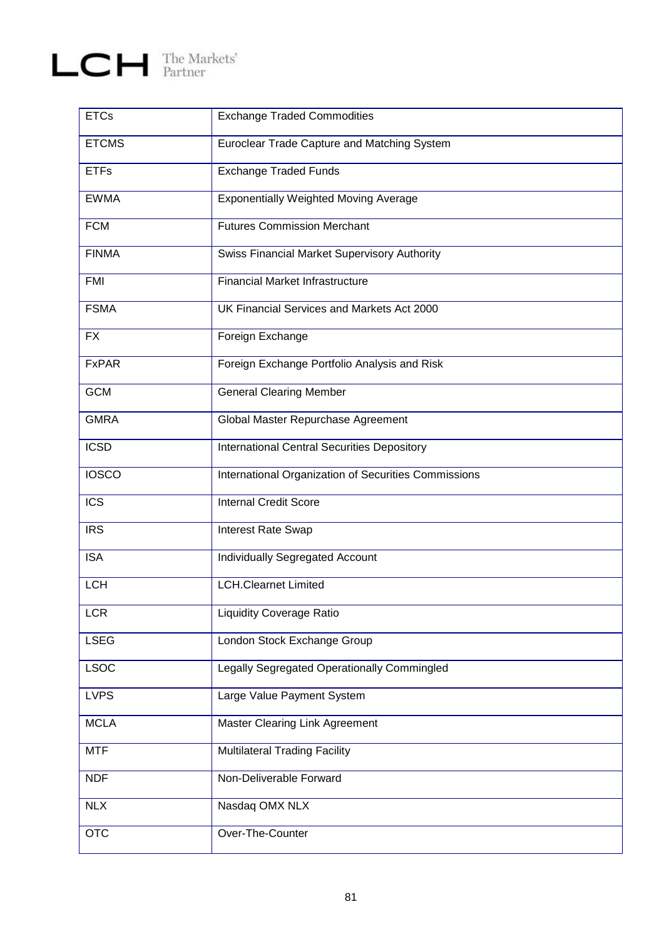# $L$   $C$   $H$  The Markets'

| <b>ETCs</b>  | <b>Exchange Traded Commodities</b>                   |
|--------------|------------------------------------------------------|
| <b>ETCMS</b> | Euroclear Trade Capture and Matching System          |
| <b>ETFs</b>  | <b>Exchange Traded Funds</b>                         |
| <b>EWMA</b>  | <b>Exponentially Weighted Moving Average</b>         |
| <b>FCM</b>   | <b>Futures Commission Merchant</b>                   |
| <b>FINMA</b> | <b>Swiss Financial Market Supervisory Authority</b>  |
| <b>FMI</b>   | <b>Financial Market Infrastructure</b>               |
| <b>FSMA</b>  | UK Financial Services and Markets Act 2000           |
| <b>FX</b>    | Foreign Exchange                                     |
| <b>FxPAR</b> | Foreign Exchange Portfolio Analysis and Risk         |
| <b>GCM</b>   | <b>General Clearing Member</b>                       |
| <b>GMRA</b>  | Global Master Repurchase Agreement                   |
| <b>ICSD</b>  | <b>International Central Securities Depository</b>   |
| <b>IOSCO</b> | International Organization of Securities Commissions |
| <b>ICS</b>   | <b>Internal Credit Score</b>                         |
| <b>IRS</b>   | Interest Rate Swap                                   |
| <b>ISA</b>   | Individually Segregated Account                      |
| <b>LCH</b>   | <b>LCH.Clearnet Limited</b>                          |
| <b>LCR</b>   | Liquidity Coverage Ratio                             |
| <b>LSEG</b>  | London Stock Exchange Group                          |
| <b>LSOC</b>  | Legally Segregated Operationally Commingled          |
| <b>LVPS</b>  | Large Value Payment System                           |
| <b>MCLA</b>  | <b>Master Clearing Link Agreement</b>                |
| <b>MTF</b>   | <b>Multilateral Trading Facility</b>                 |
| <b>NDF</b>   | Non-Deliverable Forward                              |
| <b>NLX</b>   | Nasdaq OMX NLX                                       |
| <b>OTC</b>   | Over-The-Counter                                     |